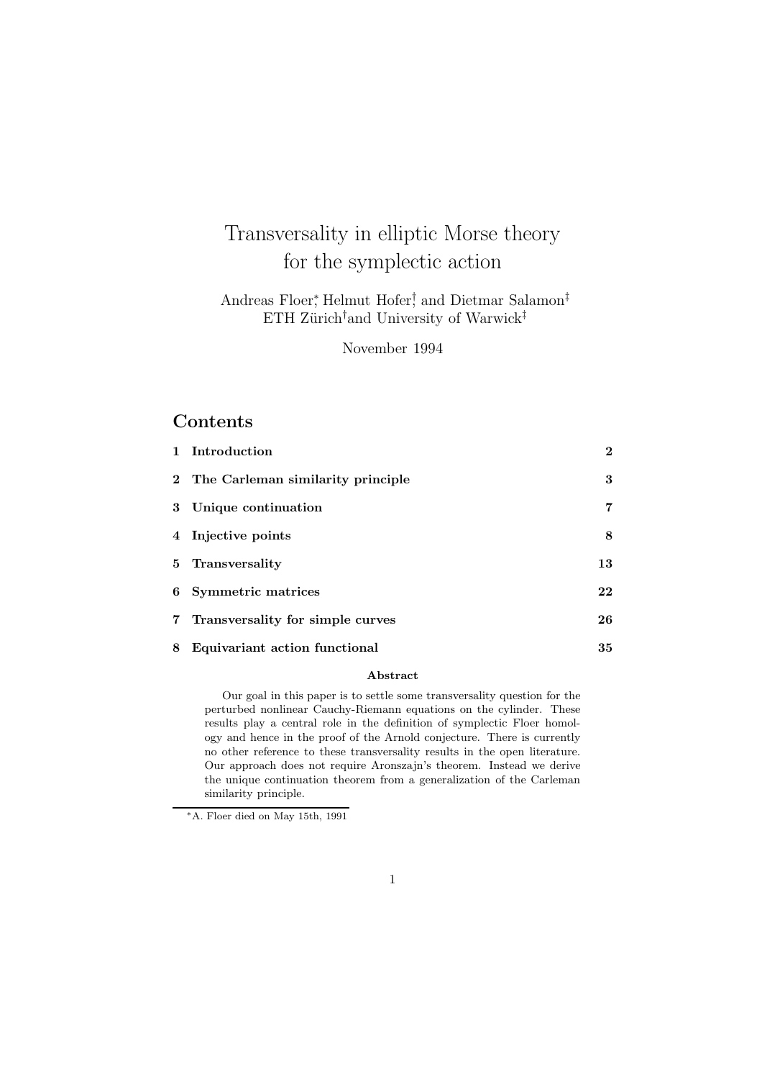# Transversality in elliptic Morse theory for the symplectic action

Andreas Floer,<sup>\*</sup> Helmut Hofer<sup>†</sup> and Dietmar Salamon<sup>‡</sup> ETH Zürich<sup>†</sup>and University of Warwick<sup>‡</sup>

November 1994

# **Contents**

|   | 1 Introduction                      | $\mathbf{2}$ |
|---|-------------------------------------|--------------|
|   | 2 The Carleman similarity principle | 3            |
|   | 3 Unique continuation               | 7            |
|   | 4 Injective points                  | 8            |
|   | 5 Transversality                    | 13           |
|   | 6 Symmetric matrices                | 22           |
|   | 7 Transversality for simple curves  | 26           |
| 8 | Equivariant action functional       | 35           |

#### Abstract

Our goal in this paper is to settle some transversality question for the perturbed nonlinear Cauchy-Riemann equations on the cylinder. These results play a central role in the definition of symplectic Floer homology and hence in the proof of the Arnold conjecture. There is currently no other reference to these transversality results in the open literature. Our approach does not require Aronszajn's theorem. Instead we derive the unique continuation theorem from a generalization of the Carleman similarity principle.

<sup>∗</sup>A. Floer died on May 15th, 1991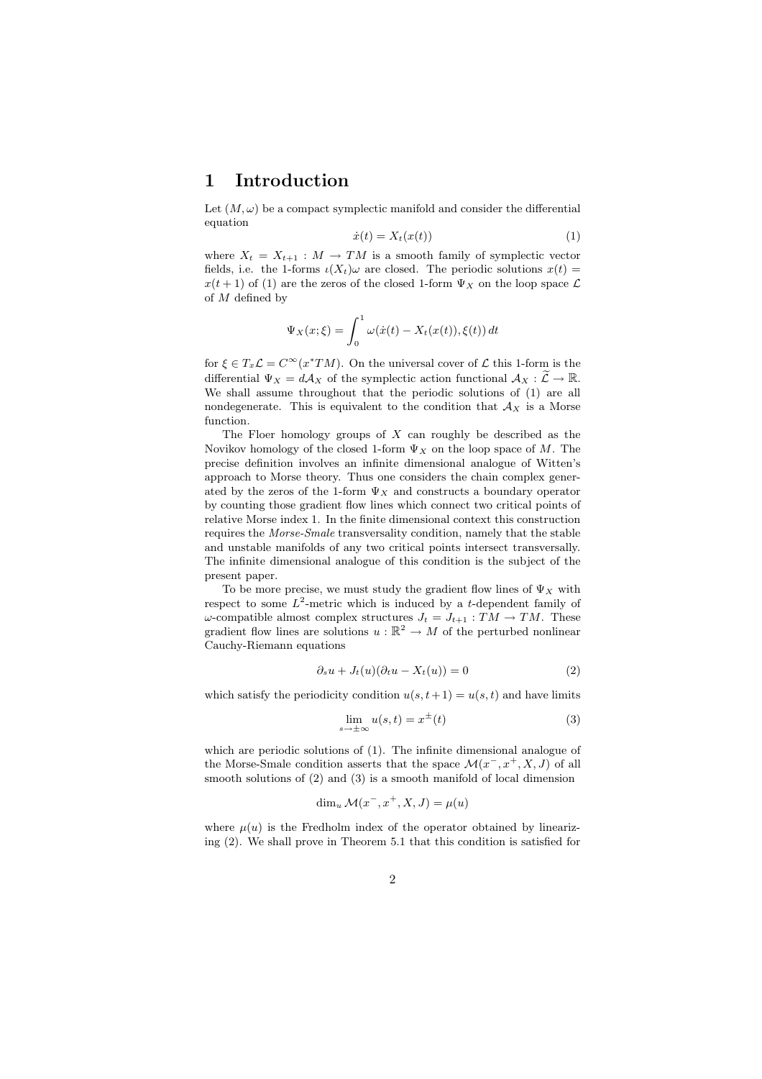#### 1 Introduction

Let  $(M, \omega)$  be a compact symplectic manifold and consider the differential equation

$$
\dot{x}(t) = X_t(x(t))\tag{1}
$$

where  $X_t = X_{t+1} : M \to TM$  is a smooth family of symplectic vector fields, i.e. the 1-forms  $\iota(X_t)\omega$  are closed. The periodic solutions  $x(t)$  =  $x(t+1)$  of (1) are the zeros of the closed 1-form  $\Psi_X$  on the loop space  $\mathcal L$ of M defined by

$$
\Psi_X(x;\xi) = \int_0^1 \omega(\dot{x}(t) - X_t(x(t)), \xi(t)) dt
$$

for  $\xi \in T_x \mathcal{L} = C^\infty(x^*TM)$ . On the universal cover of  $\mathcal{L}$  this 1-form is the differential  $\Psi_X = dA_X$  of the symplectic action functional  $A_X : \widetilde{\mathcal{L}} \to \mathbb{R}$ . We shall assume throughout that the periodic solutions of (1) are all nondegenerate. This is equivalent to the condition that  $A_X$  is a Morse function.

The Floer homology groups of  $X$  can roughly be described as the Novikov homology of the closed 1-form  $\Psi_X$  on the loop space of M. The precise definition involves an infinite dimensional analogue of Witten's approach to Morse theory. Thus one considers the chain complex generated by the zeros of the 1-form  $\Psi_X$  and constructs a boundary operator by counting those gradient flow lines which connect two critical points of relative Morse index 1. In the finite dimensional context this construction requires the Morse-Smale transversality condition, namely that the stable and unstable manifolds of any two critical points intersect transversally. The infinite dimensional analogue of this condition is the subject of the present paper.

To be more precise, we must study the gradient flow lines of  $\Psi_X$  with respect to some  $L^2$ -metric which is induced by a t-dependent family of  $\omega$ -compatible almost complex structures  $J_t = J_{t+1} : TM \to TM$ . These gradient flow lines are solutions  $u : \mathbb{R}^2 \to M$  of the perturbed nonlinear Cauchy-Riemann equations

$$
\partial_s u + J_t(u)(\partial_t u - X_t(u)) = 0 \tag{2}
$$

which satisfy the periodicity condition  $u(s,t+1) = u(s,t)$  and have limits

$$
\lim_{s \to \pm \infty} u(s, t) = x^{\pm}(t)
$$
\n(3)

which are periodic solutions of (1). The infinite dimensional analogue of the Morse-Smale condition asserts that the space  $\mathcal{M}(x^-, x^+, X, J)$  of all smooth solutions of (2) and (3) is a smooth manifold of local dimension

$$
\dim_u \mathcal{M}(x^-, x^+, X, J) = \mu(u)
$$

where  $u(u)$  is the Fredholm index of the operator obtained by linearizing (2). We shall prove in Theorem 5.1 that this condition is satisfied for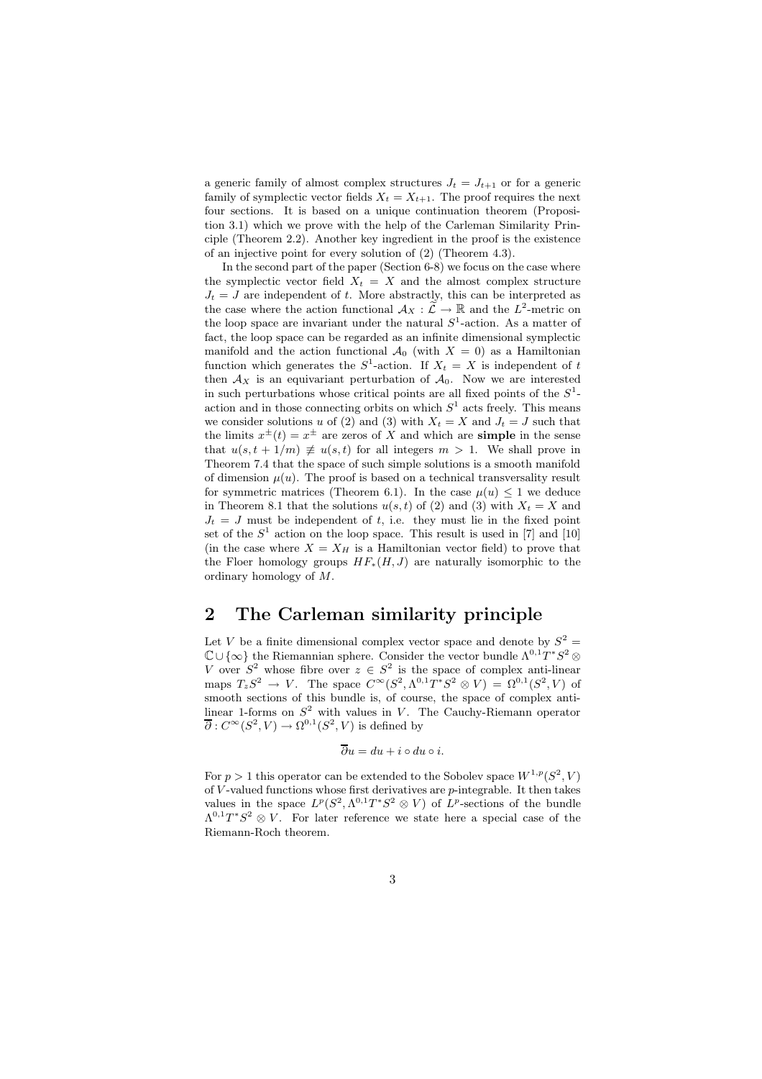a generic family of almost complex structures  $J_t = J_{t+1}$  or for a generic family of symplectic vector fields  $X_t = X_{t+1}$ . The proof requires the next four sections. It is based on a unique continuation theorem (Proposition 3.1) which we prove with the help of the Carleman Similarity Principle (Theorem 2.2). Another key ingredient in the proof is the existence of an injective point for every solution of (2) (Theorem 4.3).

In the second part of the paper (Section 6-8) we focus on the case where the symplectic vector field  $X_t = X$  and the almost complex structure  $J_t = J$  are independent of t. More abstractly, this can be interpreted as the case where the action functional  $\mathcal{A}_X : \widetilde{\mathcal{L}} \to \mathbb{R}$  and the  $L^2$ -metric on the loop space are invariant under the natural  $S^1$ -action. As a matter of fact, the loop space can be regarded as an infinite dimensional symplectic manifold and the action functional  $\mathcal{A}_0$  (with  $X = 0$ ) as a Hamiltonian function which generates the  $S^1$ -action. If  $X_t = X$  is independent of t then  $\mathcal{A}_X$  is an equivariant perturbation of  $\mathcal{A}_0$ . Now we are interested in such perturbations whose critical points are all fixed points of the  $S^1$ action and in those connecting orbits on which  $S<sup>1</sup>$  acts freely. This means we consider solutions u of (2) and (3) with  $X_t = X$  and  $J_t = J$  such that the limits  $x^{\pm}(t) = x^{\pm}$  are zeros of X and which are **simple** in the sense that  $u(s,t+1/m) \neq u(s,t)$  for all integers  $m > 1$ . We shall prove in Theorem 7.4 that the space of such simple solutions is a smooth manifold of dimension  $\mu(u)$ . The proof is based on a technical transversality result for symmetric matrices (Theorem 6.1). In the case  $\mu(u) \leq 1$  we deduce in Theorem 8.1 that the solutions  $u(s,t)$  of (2) and (3) with  $X_t = X$  and  $J_t = J$  must be independent of t, i.e. they must lie in the fixed point set of the  $S<sup>1</sup>$  action on the loop space. This result is used in [7] and [10] (in the case where  $X = X_H$  is a Hamiltonian vector field) to prove that the Floer homology groups  $HF_*(H, J)$  are naturally isomorphic to the ordinary homology of M.

#### 2 The Carleman similarity principle

Let V be a finite dimensional complex vector space and denote by  $S^2 =$  $\mathbb{C} \cup \{\infty\}$  the Riemannian sphere. Consider the vector bundle  $\Lambda^{0,1}T^*S^2$  ⊗ V over  $S^2$  whose fibre over  $z \in S^2$  is the space of complex anti-linear maps  $T_zS^2 \to V$ . The space  $C^{\infty}(S^2, \Lambda^{0,1}T^*S^2 \otimes V) = \Omega^{0,1}(S^2, V)$  of smooth sections of this bundle is, of course, the space of complex antilinear 1-forms on  $S^2$  with values in V. The Cauchy-Riemann operator  $\overline{\partial}: C^{\infty}(S^2, V) \to \Omega^{0,1}(S^2, V)$  is defined by

$$
\overline{\partial} u = du + i \circ du \circ i.
$$

For  $p > 1$  this operator can be extended to the Sobolev space  $W^{1,p}(S^2, V)$ of  $V$ -valued functions whose first derivatives are  $p$ -integrable. It then takes values in the space  $L^p(S^2, \Lambda^{0,1}T^*S^2 \otimes V)$  of  $L^p$ -sections of the bundle  $\Lambda^{0,1}T^*S^2 \otimes V$ . For later reference we state here a special case of the Riemann-Roch theorem.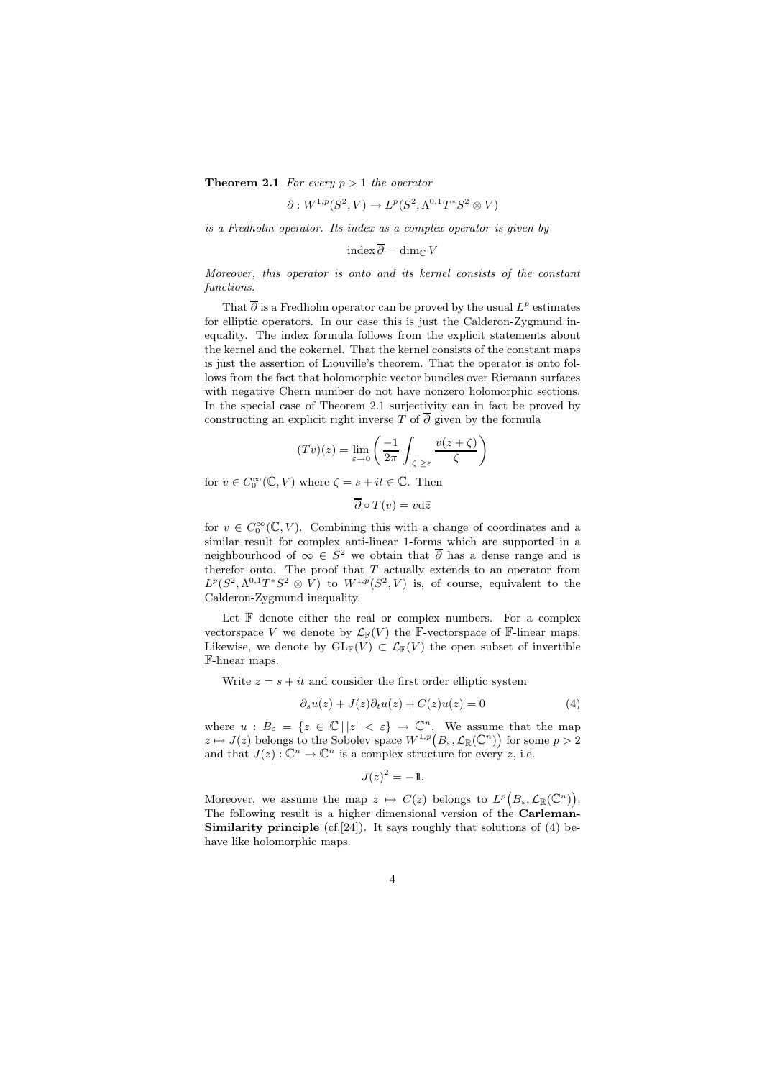**Theorem 2.1** For every  $p > 1$  the operator

$$
\overline{\partial}: W^{1,p}(S^2, V) \to L^p(S^2, \Lambda^{0,1}T^*S^2 \otimes V)
$$

is a Fredholm operator. Its index as a complex operator is given by

index  $\overline{\partial}$  = dim<sub>€</sub> V

Moreover, this operator is onto and its kernel consists of the constant functions.

That  $\overline{\partial}$  is a Fredholm operator can be proved by the usual  $L^p$  estimates for elliptic operators. In our case this is just the Calderon-Zygmund inequality. The index formula follows from the explicit statements about the kernel and the cokernel. That the kernel consists of the constant maps is just the assertion of Liouville's theorem. That the operator is onto follows from the fact that holomorphic vector bundles over Riemann surfaces with negative Chern number do not have nonzero holomorphic sections. In the special case of Theorem 2.1 surjectivity can in fact be proved by constructing an explicit right inverse T of  $\overline{\partial}$  given by the formula

$$
(Tv)(z) = \lim_{\varepsilon \to 0} \left( \frac{-1}{2\pi} \int_{|\zeta| \ge \varepsilon} \frac{v(z+\zeta)}{\zeta} \right)
$$

for  $v \in C_0^{\infty}(\mathbb{C}, V)$  where  $\zeta = s + it \in \mathbb{C}$ . Then

 $\overline{\partial} \circ T(v) = v \mathrm{d}\overline{z}$ 

for  $v \in C_0^{\infty}(\mathbb{C}, V)$ . Combining this with a change of coordinates and a similar result for complex anti-linear 1-forms which are supported in a neighbourhood of  $\infty \in S^2$  we obtain that  $\overline{\partial}$  has a dense range and is therefor onto. The proof that  $T$  actually extends to an operator from  $L^p(S^2, \Lambda^{0,1}T^*S^2 \otimes V)$  to  $W^{1,p}(S^2, V)$  is, of course, equivalent to the Calderon-Zygmund inequality.

Let  $F$  denote either the real or complex numbers. For a complex vectorspace V we denote by  $\mathcal{L}_{\mathbb{F}}(V)$  the F-vectorspace of F-linear maps. Likewise, we denote by  $GL_F(V) \subset \mathcal{L}_F(V)$  the open subset of invertible F-linear maps.

Write  $z = s + it$  and consider the first order elliptic system

$$
\partial_s u(z) + J(z)\partial_t u(z) + C(z)u(z) = 0 \tag{4}
$$

where  $u : B_{\varepsilon} = \{z \in \mathbb{C} \mid |z| < \varepsilon\} \to \mathbb{C}^n$ . We assume that the map  $z \mapsto J(z)$  belongs to the Sobolev space  $W^{1,p}(B_{\varepsilon}, \mathcal{L}_{\mathbb{R}}(\mathbb{C}^n))$  for some  $p > 2$ and that  $J(z): \mathbb{C}^n \to \mathbb{C}^n$  is a complex structure for every z, i.e.

$$
J(z)^2 = -1.
$$

Moreover, we assume the map  $z \mapsto C(z)$  belongs to  $L^p(B_\varepsilon, \mathcal{L}_{\mathbb{R}}(\mathbb{C}^n)).$ The following result is a higher dimensional version of the Carleman-**Similarity principle** (cf.[24]). It says roughly that solutions of (4) behave like holomorphic maps.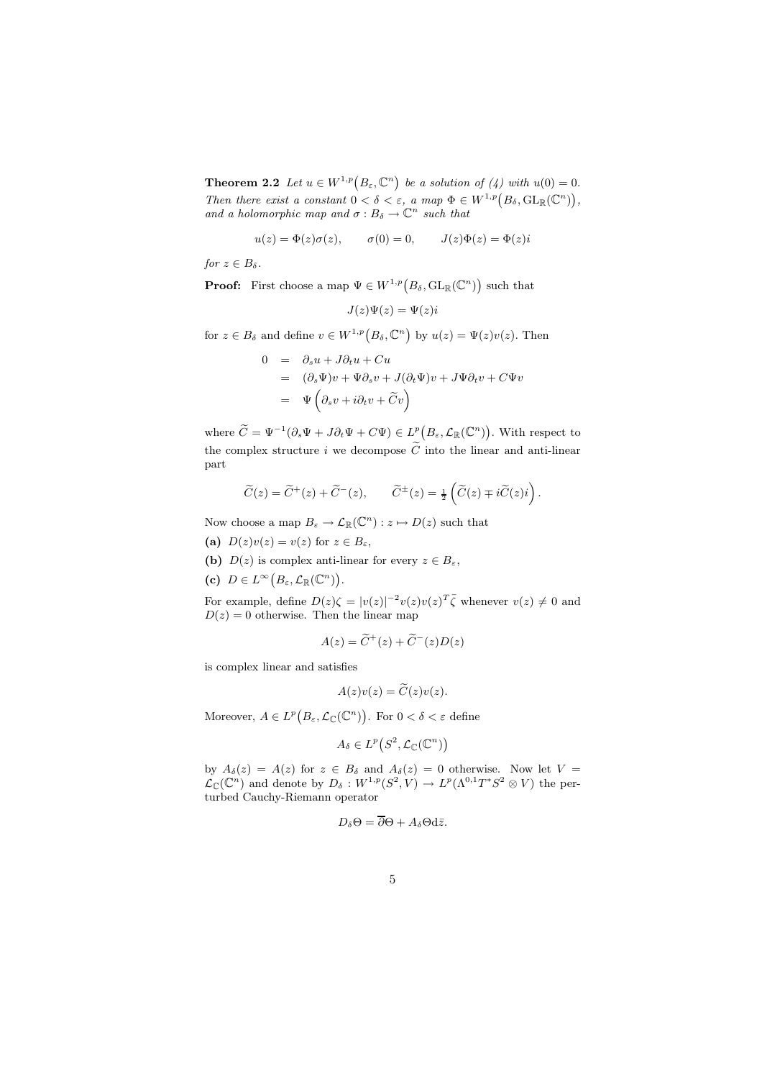**Theorem 2.2** Let  $u \in W^{1,p}(B_\varepsilon,\mathbb{C}^n)$  be a solution of (4) with  $u(0) = 0$ . Then there exist a constant  $0 < \delta < \varepsilon$ , a map  $\Phi \in W^{1,p}(B_\delta, GL_\mathbb{R}(\mathbb{C}^n)),$ and a holomorphic map and  $\sigma : B_{\delta} \to \mathbb{C}^n$  such that

$$
u(z) = \Phi(z)\sigma(z), \qquad \sigma(0) = 0, \qquad J(z)\Phi(z) = \Phi(z)i
$$

for  $z \in B_\delta$ .

**Proof:** First choose a map  $\Psi \in W^{1,p}(B_\delta, GL_\mathbb{R}(\mathbb{C}^n))$  such that

$$
J(z)\Psi(z)=\Psi(z)i
$$

for  $z \in B_\delta$  and define  $v \in W^{1,p}(B_\delta, \mathbb{C}^n)$  by  $u(z) = \Psi(z)v(z)$ . Then

$$
0 = \partial_s u + J \partial_t u + Cu
$$
  
=  $(\partial_s \Psi)v + \Psi \partial_s v + J(\partial_t \Psi)v + J\Psi \partial_t v + C\Psi v$   
=  $\Psi \left(\partial_s v + i \partial_t v + \widetilde{C}v\right)$ 

where  $\widetilde{C} = \Psi^{-1}(\partial_s \Psi + J \partial_t \Psi + C \Psi) \in L^p(B_\varepsilon, \mathcal{L}_\mathbb{R}(\mathbb{C}^n)).$  With respect to the complex structure i we decompose  $\widetilde{C}$  into the linear and anti-linear part

$$
\widetilde{C}(z) = \widetilde{C}^+(z) + \widetilde{C}^-(z), \qquad \widetilde{C}^{\pm}(z) = \frac{1}{2} \left( \widetilde{C}(z) \mp i \widetilde{C}(z) i \right).
$$

Now choose a map  $B_{\varepsilon} \to \mathcal{L}_{\mathbb{R}}(\mathbb{C}^n) : z \mapsto D(z)$  such that

- (a)  $D(z)v(z) = v(z)$  for  $z \in B_{\varepsilon}$ ,
- (b)  $D(z)$  is complex anti-linear for every  $z \in B_{\varepsilon}$ ,
- (c)  $D \in L^{\infty}(B_{\varepsilon}, \mathcal{L}_{\mathbb{R}}(\mathbb{C}^n)).$

For example, define  $D(z)\zeta = |v(z)|^{-2}v(z)v(z)^T\bar{\zeta}$  whenever  $v(z) \neq 0$  and  $D(z) = 0$  otherwise. Then the linear map

$$
A(z) = \widetilde{C}^+(z) + \widetilde{C}^-(z)D(z)
$$

is complex linear and satisfies

$$
A(z)v(z) = \widetilde{C}(z)v(z).
$$

Moreover,  $A \in L^p(B_\varepsilon, \mathcal{L}_{\mathbb{C}}(\mathbb{C}^n))$ . For  $0 < \delta < \varepsilon$  define

$$
A_{\delta} \in L^p(S^2, \mathcal{L}_{\mathbb{C}}(\mathbb{C}^n))
$$

by  $A_{\delta}(z) = A(z)$  for  $z \in B_{\delta}$  and  $A_{\delta}(z) = 0$  otherwise. Now let  $V =$  $\mathcal{L}_{\mathbb{C}}(\mathbb{C}^n)$  and denote by  $D_{\delta}: W^{1,p}(S^2, V) \to L^p(\Lambda^{0,1}T^*S^2 \otimes V)$  the perturbed Cauchy-Riemann operator

$$
D_{\delta}\Theta = \overline{\partial}\Theta + A_{\delta}\Theta d\bar{z}.
$$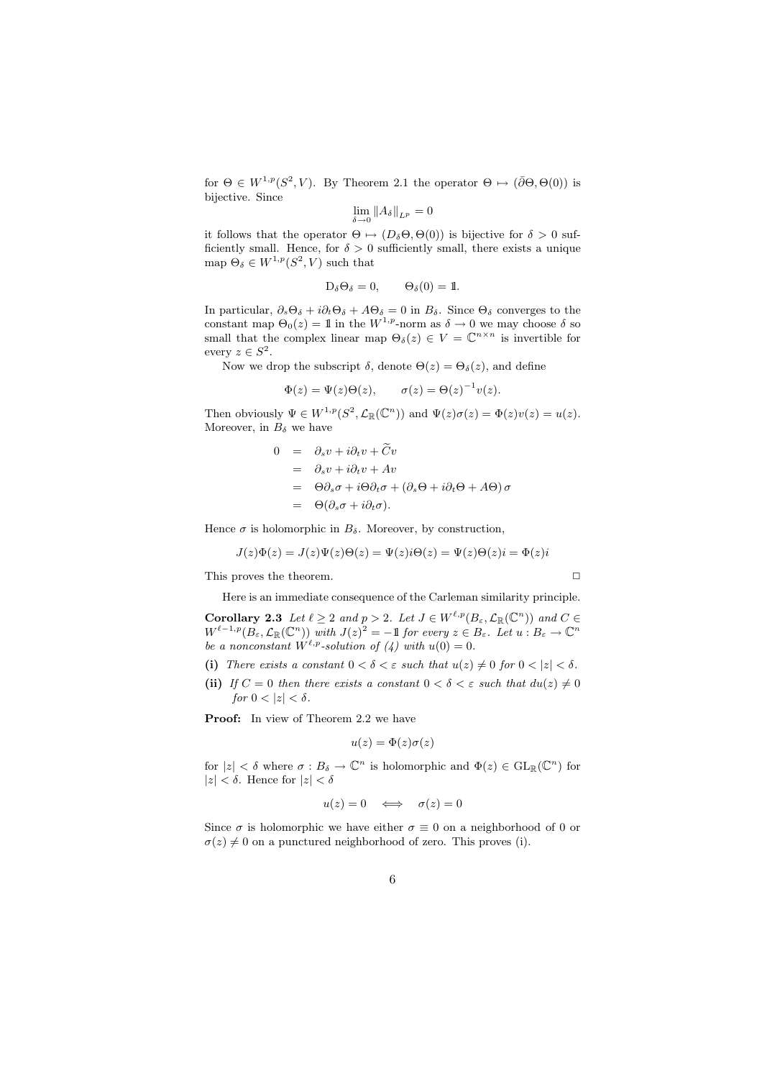for  $\Theta \in W^{1,p}(S^2, V)$ . By Theorem 2.1 the operator  $\Theta \mapsto (\overline{\partial} \Theta, \Theta(0))$  is bijective. Since

$$
\lim_{\delta \to 0} \|A_{\delta}\|_{L^p} = 0
$$

it follows that the operator  $\Theta \mapsto (D_{\delta} \Theta, \Theta(0))$  is bijective for  $\delta > 0$  sufficiently small. Hence, for  $\delta > 0$  sufficiently small, there exists a unique map  $\Theta_{\delta} \in W^{1,p}(S^2, V)$  such that

$$
D_{\delta} \Theta_{\delta} = 0, \qquad \Theta_{\delta}(0) = 1.
$$

In particular,  $\partial_s \Theta_\delta + i \partial_t \Theta_\delta + A \Theta_\delta = 0$  in  $B_\delta$ . Since  $\Theta_\delta$  converges to the constant map  $\Theta_0(z) = 1$  in the  $W^{1,p}$ -norm as  $\delta \to 0$  we may choose  $\delta$  so small that the complex linear map  $\Theta_{\delta}(z) \in V = \mathbb{C}^{n \times n}$  is invertible for every  $z \in S^2$ .

Now we drop the subscript  $\delta$ , denote  $\Theta(z) = \Theta_{\delta}(z)$ , and define

$$
\Phi(z) = \Psi(z)\Theta(z), \qquad \sigma(z) = \Theta(z)^{-1}v(z).
$$

Then obviously  $\Psi \in W^{1,p}(S^2, \mathcal{L}_{\mathbb{R}}(\mathbb{C}^n))$  and  $\Psi(z)\sigma(z) = \Phi(z)v(z) = u(z)$ . Moreover, in  $B_{\delta}$  we have

$$
0 = \partial_s v + i \partial_t v + \tilde{C}v
$$
  
=  $\partial_s v + i \partial_t v + Av$   
=  $\Theta \partial_s \sigma + i \Theta \partial_t \sigma + (\partial_s \Theta + i \partial_t \Theta + A \Theta) \sigma$   
=  $\Theta(\partial_s \sigma + i \partial_t \sigma).$ 

Hence  $\sigma$  is holomorphic in  $B_{\delta}$ . Moreover, by construction,

$$
J(z)\Phi(z) = J(z)\Psi(z)\Theta(z) = \Psi(z)i\Theta(z) = \Psi(z)\Theta(z)i = \Phi(z)i
$$

This proves the theorem.  $\Box$ 

Here is an immediate consequence of the Carleman similarity principle.

**Corollary 2.3** Let  $\ell \geq 2$  and  $p > 2$ . Let  $J \in W^{\ell,p}(B_\varepsilon, \mathcal{L}_{\mathbb{R}}(\mathbb{C}^n))$  and  $C \in$  $W^{\ell-1,p}(B_\varepsilon,\mathcal{L}_\mathbb{R}(\mathbb{C}^n))$  with  $J(z)^2=-1$  for every  $z\in B_\varepsilon$ . Let  $u: B_\varepsilon\to \mathbb{C}^n$ be a nonconstant  $W^{\ell,p}$ -solution of (4) with  $u(0) = 0$ .

- (i) There exists a constant  $0 < \delta < \varepsilon$  such that  $u(z) \neq 0$  for  $0 < |z| < \delta$ .
- (ii) If  $C = 0$  then there exists a constant  $0 < \delta < \varepsilon$  such that  $du(z) \neq 0$ for  $0 < |z| < \delta$ .

Proof: In view of Theorem 2.2 we have

$$
u(z) = \Phi(z)\sigma(z)
$$

for  $|z| < \delta$  where  $\sigma : B_{\delta} \to \mathbb{C}^n$  is holomorphic and  $\Phi(z) \in GL_{\mathbb{R}}(\mathbb{C}^n)$  for  $|z| < \delta$ . Hence for  $|z| < \delta$ 

$$
u(z) = 0 \iff \sigma(z) = 0
$$

Since  $\sigma$  is holomorphic we have either  $\sigma \equiv 0$  on a neighborhood of 0 or  $\sigma(z) \neq 0$  on a punctured neighborhood of zero. This proves (i).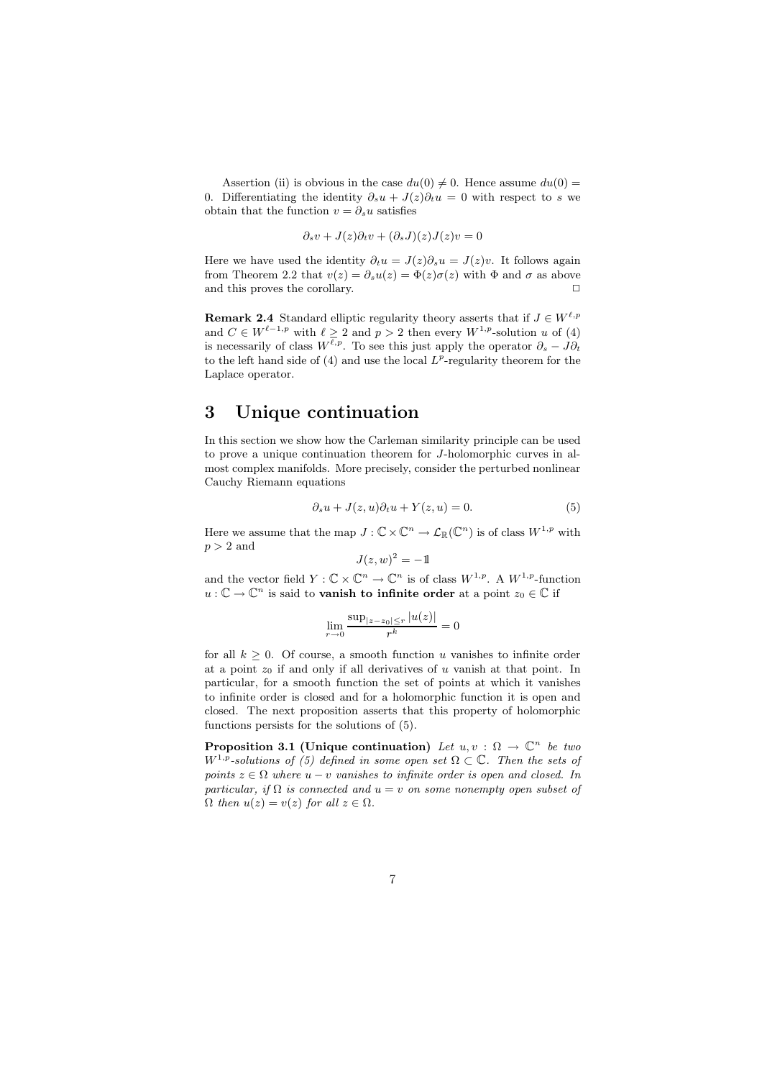Assertion (ii) is obvious in the case  $du(0) \neq 0$ . Hence assume  $du(0) =$ 0. Differentiating the identity  $\partial_s u + J(z)\partial_t u = 0$  with respect to s we obtain that the function  $v = \partial_s u$  satisfies

$$
\partial_s v + J(z)\partial_t v + (\partial_s J)(z)J(z)v = 0
$$

Here we have used the identity  $\partial_t u = J(z)\partial_s u = J(z)v$ . It follows again from Theorem 2.2 that  $v(z) = \partial_s u(z) = \Phi(z)\sigma(z)$  with  $\Phi$  and  $\sigma$  as above and this proves the corollary.  $\Box$ 

**Remark 2.4** Standard elliptic regularity theory asserts that if  $J \in W^{\ell,p}$ and  $C \in W^{\ell-1,p}$  with  $\ell \geq 2$  and  $p > 2$  then every  $W^{1,p}$ -solution u of (4) is necessarily of class  $W^{\ell,p}$ . To see this just apply the operator  $\partial_s - J \partial_t$ to the left hand side of  $(4)$  and use the local  $L^p$ -regularity theorem for the Laplace operator.

# 3 Unique continuation

In this section we show how the Carleman similarity principle can be used to prove a unique continuation theorem for J-holomorphic curves in almost complex manifolds. More precisely, consider the perturbed nonlinear Cauchy Riemann equations

$$
\partial_s u + J(z, u)\partial_t u + Y(z, u) = 0.
$$
\n(5)

Here we assume that the map  $J: \mathbb{C} \times \mathbb{C}^n \to \mathcal{L}_{\mathbb{R}}(\mathbb{C}^n)$  is of class  $W^{1,p}$  with  $p > 2$  and

$$
J(z,w)^2 = -1
$$

and the vector field  $Y: \mathbb{C} \times \mathbb{C}^n \to \mathbb{C}^n$  is of class  $W^{1,p}$ . A  $W^{1,p}$ -function  $u: \mathbb{C} \to \mathbb{C}^n$  is said to **vanish to infinite order** at a point  $z_0 \in \mathbb{C}$  if

$$
\lim_{r \to 0} \frac{\sup_{|z - z_0| \le r} |u(z)|}{r^k} = 0
$$

for all  $k \geq 0$ . Of course, a smooth function u vanishes to infinite order at a point  $z_0$  if and only if all derivatives of u vanish at that point. In particular, for a smooth function the set of points at which it vanishes to infinite order is closed and for a holomorphic function it is open and closed. The next proposition asserts that this property of holomorphic functions persists for the solutions of (5).

**Proposition 3.1 (Unique continuation)** Let  $u, v : \Omega \to \mathbb{C}^n$  be two  $W^{1,p}$ -solutions of (5) defined in some open set  $\Omega \subset \mathbb{C}$ . Then the sets of points  $z \in \Omega$  where  $u - v$  vanishes to infinite order is open and closed. In particular, if  $\Omega$  is connected and  $u = v$  on some nonempty open subset of  $\Omega$  then  $u(z) = v(z)$  for all  $z \in \Omega$ .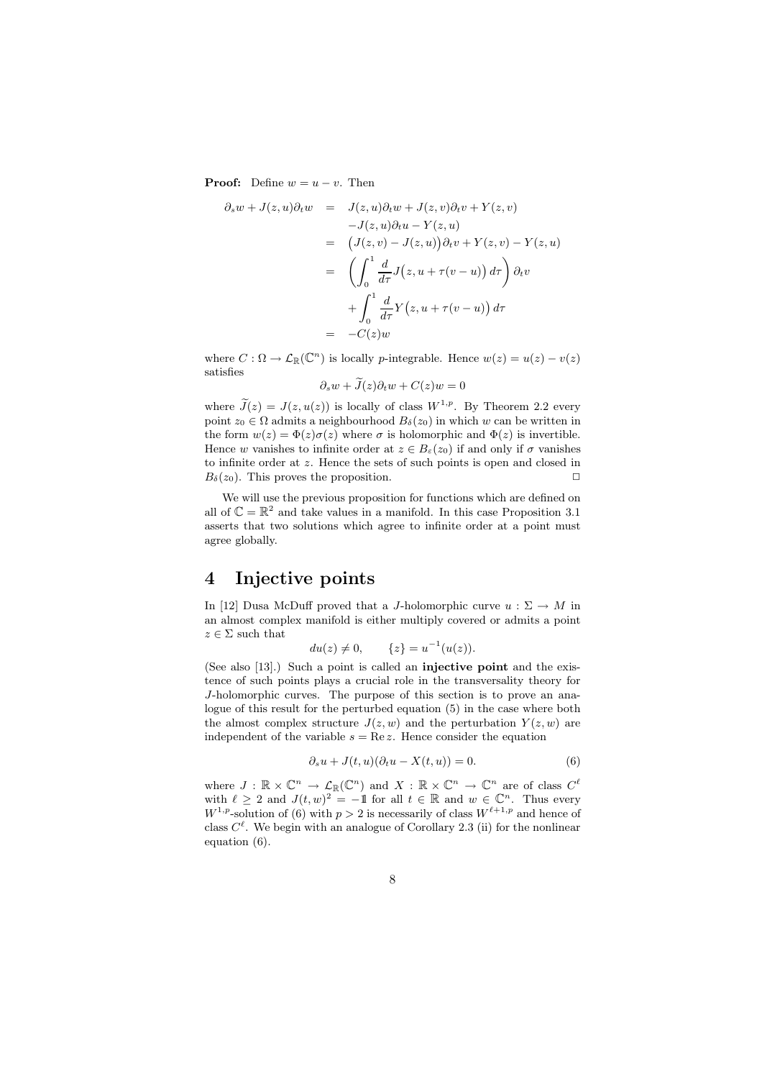**Proof:** Define  $w = u - v$ . Then

$$
\partial_s w + J(z, u)\partial_t w = J(z, u)\partial_t w + J(z, v)\partial_t v + Y(z, v)
$$
  
\n
$$
-J(z, u)\partial_t u - Y(z, u)
$$
  
\n
$$
= (J(z, v) - J(z, u))\partial_t v + Y(z, v) - Y(z, u)
$$
  
\n
$$
= \left(\int_0^1 \frac{d}{d\tau} J(z, u + \tau(v - u)) d\tau\right) \partial_t v
$$
  
\n
$$
+ \int_0^1 \frac{d}{d\tau} Y(z, u + \tau(v - u)) d\tau
$$
  
\n
$$
= -C(z)w
$$

where  $C : \Omega \to \mathcal{L}_{\mathbb{R}}(\mathbb{C}^n)$  is locally p-integrable. Hence  $w(z) = u(z) - v(z)$ satisfies

$$
\partial_s w + J(z)\partial_t w + C(z)w = 0
$$

where  $\tilde{J}(z) = J(z, u(z))$  is locally of class  $W^{1,p}$ . By Theorem 2.2 every point  $z_0 \in \Omega$  admits a neighbourhood  $B_\delta(z_0)$  in which w can be written in the form  $w(z) = \Phi(z)\sigma(z)$  where  $\sigma$  is holomorphic and  $\Phi(z)$  is invertible. Hence w vanishes to infinite order at  $z \in B_{\varepsilon}(z_0)$  if and only if  $\sigma$  vanishes to infinite order at z. Hence the sets of such points is open and closed in  $B_\delta(z_0)$ . This proves the proposition.

We will use the previous proposition for functions which are defined on all of  $\mathbb{C} = \mathbb{R}^2$  and take values in a manifold. In this case Proposition 3.1 asserts that two solutions which agree to infinite order at a point must agree globally.

# 4 Injective points

In [12] Dusa McDuff proved that a J-holomorphic curve  $u : \Sigma \to M$  in an almost complex manifold is either multiply covered or admits a point  $z \in \Sigma$  such that

$$
du(z) \neq 0,
$$
  $\{z\} = u^{-1}(u(z)).$ 

(See also [13].) Such a point is called an injective point and the existence of such points plays a crucial role in the transversality theory for J-holomorphic curves. The purpose of this section is to prove an analogue of this result for the perturbed equation (5) in the case where both the almost complex structure  $J(z, w)$  and the perturbation  $Y(z, w)$  are independent of the variable  $s = \text{Re } z$ . Hence consider the equation

$$
\partial_s u + J(t, u)(\partial_t u - X(t, u)) = 0.
$$
\n(6)

where  $J: \mathbb{R} \times \mathbb{C}^n \to \mathcal{L}_{\mathbb{R}}(\mathbb{C}^n)$  and  $X: \mathbb{R} \times \mathbb{C}^n \to \mathbb{C}^n$  are of class  $C^{\ell}$ with  $\ell \geq 2$  and  $J(t, w)^2 = -1$  for all  $t \in \mathbb{R}$  and  $w \in \mathbb{C}^n$ . Thus every  $W^{1,p}$ -solution of (6) with  $p > 2$  is necessarily of class  $W^{\ell+1,p}$  and hence of class  $C^{\ell}$ . We begin with an analogue of Corollary 2.3 (ii) for the nonlinear equation (6).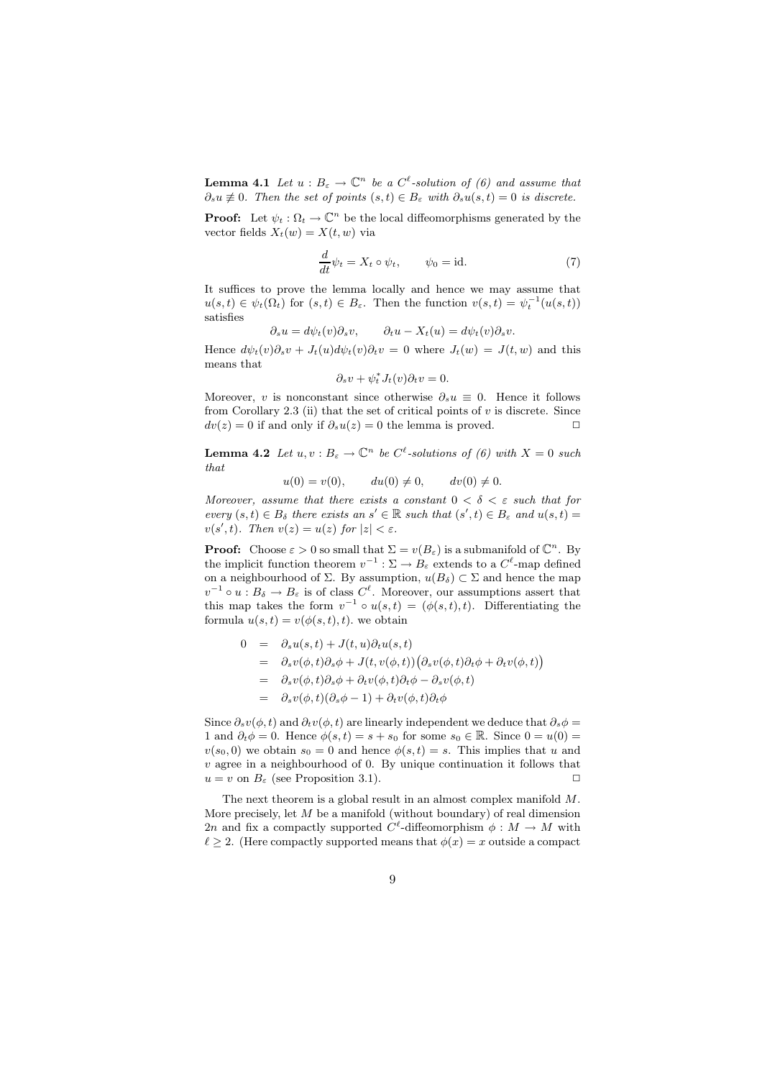**Lemma 4.1** Let  $u : B_{\varepsilon} \to \mathbb{C}^n$  be a  $C^{\ell}$ -solution of (6) and assume that  $\partial_s u \neq 0$ . Then the set of points  $(s,t) \in B_\varepsilon$  with  $\partial_s u(s,t) = 0$  is discrete.

**Proof:** Let  $\psi_t : \Omega_t \to \mathbb{C}^n$  be the local diffeomorphisms generated by the vector fields  $X_t(w) = X(t, w)$  via

$$
\frac{d}{dt}\psi_t = X_t \circ \psi_t, \qquad \psi_0 = \text{id}.\tag{7}
$$

It suffices to prove the lemma locally and hence we may assume that  $u(s,t) \in \psi_t(\Omega_t)$  for  $(s,t) \in B_\varepsilon$ . Then the function  $v(s,t) = \psi_t^{-1}(u(s,t))$ satisfies

$$
\partial_s u = d\psi_t(v)\partial_s v, \qquad \partial_t u - X_t(u) = d\psi_t(v)\partial_s v.
$$

Hence  $d\psi_t(v)\partial_s v + J_t(u)dv_t(v)\partial_t v = 0$  where  $J_t(w) = J(t, w)$  and this means that

$$
\partial_s v + \psi_t^* J_t(v) \partial_t v = 0.
$$

Moreover, v is nonconstant since otherwise  $\partial_s u \equiv 0$ . Hence it follows from Corollary 2.3 (ii) that the set of critical points of  $v$  is discrete. Since  $dv(z) = 0$  if and only if  $\partial_s u(z) = 0$  the lemma is proved.

**Lemma 4.2** Let  $u, v : B_{\varepsilon} \to \mathbb{C}^n$  be  $C^{\ell}$ -solutions of (6) with  $X = 0$  such that

$$
u(0) = v(0)
$$
,  $du(0) \neq 0$ ,  $dv(0) \neq 0$ .

Moreover, assume that there exists a constant  $0 < \delta < \varepsilon$  such that for every  $(s,t) \in B_{\delta}$  there exists an  $s' \in \mathbb{R}$  such that  $(s',t) \in B_{\varepsilon}$  and  $u(s,t) =$  $v(s',t)$ . Then  $v(z) = u(z)$  for  $|z| < \varepsilon$ .

**Proof:** Choose  $\varepsilon > 0$  so small that  $\Sigma = v(B_{\varepsilon})$  is a submanifold of  $\mathbb{C}^n$ . By the implicit function theorem  $v^{-1}$ :  $\Sigma \to B_{\varepsilon}$  extends to a  $C^{\ell}$ -map defined on a neighbourhood of  $\Sigma$ . By assumption,  $u(B_\delta) \subset \Sigma$  and hence the map  $v^{-1} \circ u : B_{\delta} \to B_{\varepsilon}$  is of class  $C^{\ell}$ . Moreover, our assumptions assert that this map takes the form  $v^{-1} \circ u(s,t) = (\phi(s,t),t)$ . Differentiating the formula  $u(s,t) = v(\phi(s,t),t)$ , we obtain

$$
0 = \partial_s u(s, t) + J(t, u) \partial_t u(s, t)
$$
  
\n
$$
= \partial_s v(\phi, t) \partial_s \phi + J(t, v(\phi, t)) (\partial_s v(\phi, t) \partial_t \phi + \partial_t v(\phi, t))
$$
  
\n
$$
= \partial_s v(\phi, t) \partial_s \phi + \partial_t v(\phi, t) \partial_t \phi - \partial_s v(\phi, t)
$$
  
\n
$$
= \partial_s v(\phi, t) (\partial_s \phi - 1) + \partial_t v(\phi, t) \partial_t \phi
$$

Since  $\partial_s v(\phi, t)$  and  $\partial_t v(\phi, t)$  are linearly independent we deduce that  $\partial_s \phi =$ 1 and  $\partial_t \phi = 0$ . Hence  $\phi(s,t) = s + s_0$  for some  $s_0 \in \mathbb{R}$ . Since  $0 = u(0) =$  $v(s_0, 0)$  we obtain  $s_0 = 0$  and hence  $\phi(s,t) = s$ . This implies that u and  $v$  agree in a neighbourhood of 0. By unique continuation it follows that  $u = v$  on  $B_{\varepsilon}$  (see Proposition 3.1).

The next theorem is a global result in an almost complex manifold M. More precisely, let  $M$  be a manifold (without boundary) of real dimension 2n and fix a compactly supported  $C^{\ell}$ -diffeomorphism  $\phi : M \to M$  with  $\ell \geq 2$ . (Here compactly supported means that  $\phi(x) = x$  outside a compact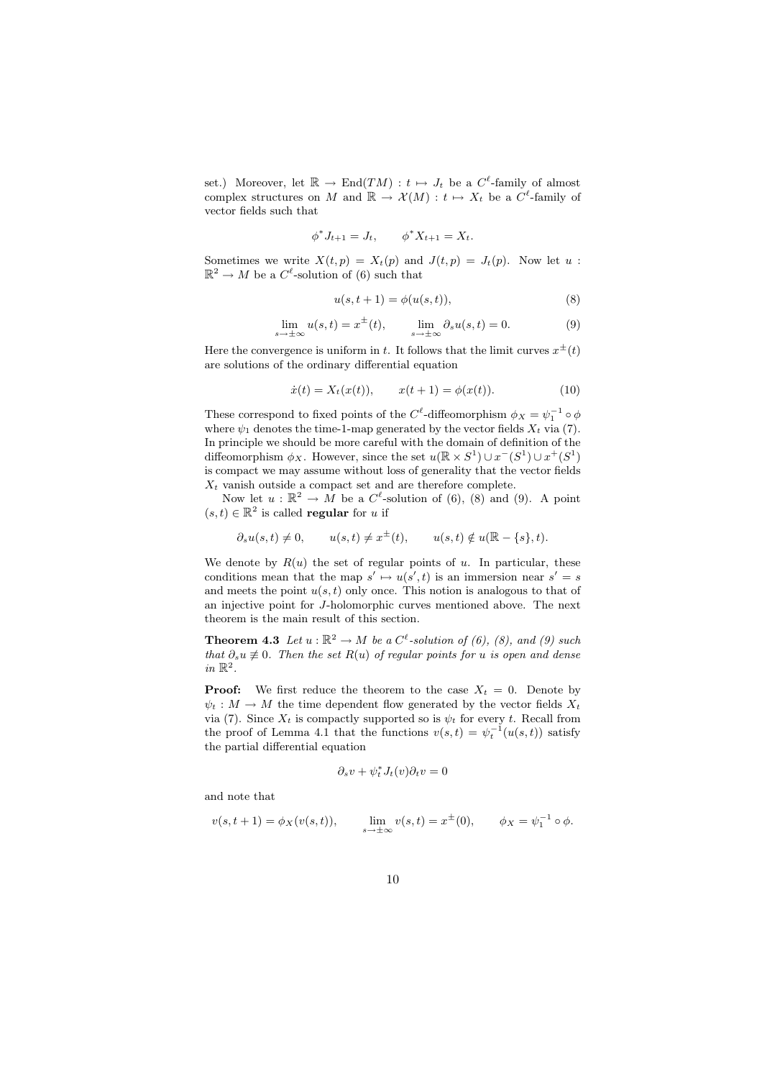set.) Moreover, let  $\mathbb{R} \to \text{End}(TM) : t \mapsto J_t$  be a  $C^{\ell}$ -family of almost complex structures on M and  $\mathbb{R} \to \mathcal{X}(M) : t \mapsto X_t$  be a  $C^{\ell}$ -family of vector fields such that

$$
\phi^* J_{t+1} = J_t, \qquad \phi^* X_{t+1} = X_t.
$$

Sometimes we write  $X(t, p) = X_t(p)$  and  $J(t, p) = J_t(p)$ . Now let u:  $\mathbb{R}^2 \to M$  be a  $C^{\ell}$ -solution of (6) such that

$$
u(s, t + 1) = \phi(u(s, t)),
$$
\n(8)

$$
\lim_{s \to \pm \infty} u(s, t) = x^{\pm}(t), \qquad \lim_{s \to \pm \infty} \partial_s u(s, t) = 0.
$$
 (9)

Here the convergence is uniform in t. It follows that the limit curves  $x^{\pm}(t)$ are solutions of the ordinary differential equation

$$
\dot{x}(t) = X_t(x(t)), \qquad x(t+1) = \phi(x(t)). \tag{10}
$$

These correspond to fixed points of the  $C^{\ell}$ -diffeomorphism  $\phi_X = \psi_1^{-1} \circ \phi$ where  $\psi_1$  denotes the time-1-map generated by the vector fields  $X_t$  via (7). In principle we should be more careful with the domain of definition of the diffeomorphism  $\phi_X$ . However, since the set  $u(\mathbb{R} \times S^1) \cup x^-(S^1) \cup x^+(S^1)$ is compact we may assume without loss of generality that the vector fields  $X_t$  vanish outside a compact set and are therefore complete.

Now let  $u : \mathbb{R}^2 \to \tilde{M}$  be a  $C^{\ell}$ -solution of (6), (8) and (9). A point  $(s,t) \in \mathbb{R}^2$  is called **regular** for u if

$$
\partial_s u(s,t) \neq 0, \qquad u(s,t) \neq x^{\pm}(t), \qquad u(s,t) \notin u(\mathbb{R}-\{s\},t).
$$

We denote by  $R(u)$  the set of regular points of u. In particular, these conditions mean that the map  $s' \mapsto u(s',t)$  is an immersion near  $s' = s$ and meets the point  $u(s, t)$  only once. This notion is analogous to that of an injective point for J-holomorphic curves mentioned above. The next theorem is the main result of this section.

**Theorem 4.3** Let  $u : \mathbb{R}^2 \to M$  be a  $C^{\ell}$ -solution of (6), (8), and (9) such that  $\partial_s u \neq 0$ . Then the set  $R(u)$  of regular points for u is open and dense in  $\mathbb{R}^2$ .

**Proof:** We first reduce the theorem to the case  $X_t = 0$ . Denote by  $\psi_t : M \to M$  the time dependent flow generated by the vector fields  $X_t$ via (7). Since  $X_t$  is compactly supported so is  $\psi_t$  for every t. Recall from the proof of Lemma 4.1 that the functions  $v(s,t) = \psi_t^{-1}(u(s,t))$  satisfy the partial differential equation

$$
\partial_s v + \psi_t^* J_t(v) \partial_t v = 0
$$

and note that

$$
v(s, t + 1) = \phi_X(v(s, t)),
$$
  $\lim_{s \to \pm \infty} v(s, t) = x^{\pm}(0),$   $\phi_X = \psi_1^{-1} \circ \phi.$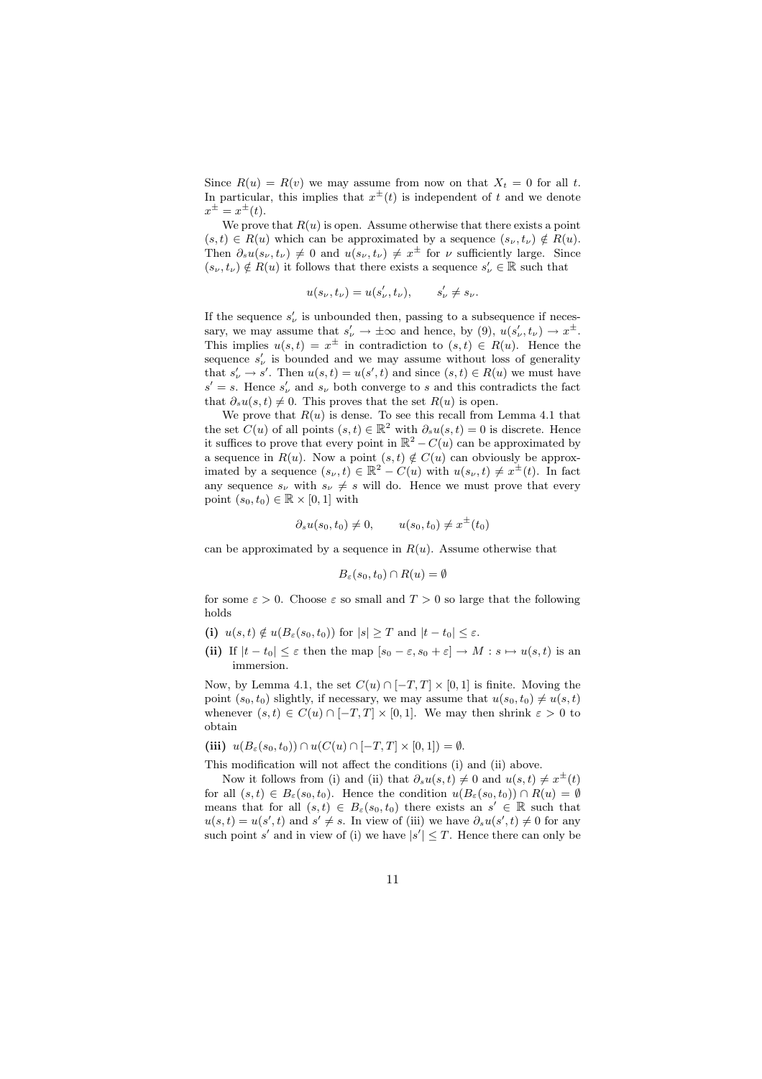Since  $R(u) = R(v)$  we may assume from now on that  $X_t = 0$  for all t. In particular, this implies that  $x^{\pm}(t)$  is independent of t and we denote  $x^{\pm} = x^{\pm}(t).$ 

We prove that  $R(u)$  is open. Assume otherwise that there exists a point  $(s,t) \in R(u)$  which can be approximated by a sequence  $(s_{\nu},t_{\nu}) \notin R(u)$ . Then  $\partial_s u(s_\nu, t_\nu) \neq 0$  and  $u(s_\nu, t_\nu) \neq x^{\pm}$  for  $\nu$  sufficiently large. Since  $(s_{\nu}, t_{\nu}) \notin R(u)$  it follows that there exists a sequence  $s'_{\nu} \in \mathbb{R}$  such that

$$
u(s_{\nu},t_{\nu})=u(s'_{\nu},t_{\nu}),\qquad s'_{\nu}\neq s_{\nu}.
$$

If the sequence  $s'_{\nu}$  is unbounded then, passing to a subsequence if necessary, we may assume that  $s'_{\nu} \to \pm \infty$  and hence, by (9),  $u(s'_{\nu}, t_{\nu}) \to x^{\pm}$ . This implies  $u(s,t) = x^{\pm}$  in contradiction to  $(s,t) \in R(u)$ . Hence the sequence  $s'_{\nu}$  is bounded and we may assume without loss of generality that  $s'_{\nu} \to s'$ . Then  $u(s,t) = u(s',t)$  and since  $(s,t) \in R(u)$  we must have  $s' = s$ . Hence  $s'_{\nu}$  and  $s_{\nu}$  both converge to s and this contradicts the fact that  $\partial_s u(s,t) \neq 0$ . This proves that the set  $R(u)$  is open.

We prove that  $R(u)$  is dense. To see this recall from Lemma 4.1 that the set  $C(u)$  of all points  $(s,t) \in \mathbb{R}^2$  with  $\partial_s u(s,t) = 0$  is discrete. Hence it suffices to prove that every point in  $\mathbb{R}^2 - C(u)$  can be approximated by a sequence in  $R(u)$ . Now a point  $(s,t) \notin C(u)$  can obviously be approximated by a sequence  $(s_{\nu}, t) \in \mathbb{R}^2 - C(u)$  with  $u(s_{\nu}, t) \neq x^{\pm}(t)$ . In fact any sequence  $s_{\nu}$  with  $s_{\nu} \neq s$  will do. Hence we must prove that every point  $(s_0,t_0) \in \mathbb{R} \times [0,1]$  with

$$
\partial_s u(s_0, t_0) \neq 0, \qquad u(s_0, t_0) \neq x^{\pm}(t_0)
$$

can be approximated by a sequence in  $R(u)$ . Assume otherwise that

$$
B_{\varepsilon}(s_0, t_0) \cap R(u) = \emptyset
$$

for some  $\varepsilon > 0$ . Choose  $\varepsilon$  so small and  $T > 0$  so large that the following holds

- (i)  $u(s,t) \notin u(B_\varepsilon(s_0,t_0))$  for  $|s| \geq T$  and  $|t-t_0| \leq \varepsilon$ .
- (ii) If  $|t-t_0| \leq \varepsilon$  then the map  $[s_0-\varepsilon, s_0+\varepsilon] \to M : s \mapsto u(s,t)$  is an immersion.

Now, by Lemma 4.1, the set  $C(u) \cap [-T, T] \times [0, 1]$  is finite. Moving the point  $(s_0, t_0)$  slightly, if necessary, we may assume that  $u(s_0, t_0) \neq u(s, t)$ whenever  $(s,t) \in C(u) \cap [-T,T] \times [0,1]$ . We may then shrink  $\varepsilon > 0$  to obtain

$$
(iii) \ \ u(B_{\varepsilon}(s_0,t_0)) \cap u(C(u) \cap [-T,T] \times [0,1]) = \emptyset.
$$

This modification will not affect the conditions (i) and (ii) above.

Now it follows from (i) and (ii) that  $\partial_s u(s,t) \neq 0$  and  $u(s,t) \neq x^{\pm}(t)$ for all  $(s,t) \in B_{\varepsilon}(s_0,t_0)$ . Hence the condition  $u(B_{\varepsilon}(s_0,t_0)) \cap R(u) = \emptyset$ means that for all  $(s,t) \in B_{\varepsilon}(s_0,t_0)$  there exists an  $s' \in \mathbb{R}$  such that  $u(s,t) = u(s',t)$  and  $s' \neq s$ . In view of (iii) we have  $\partial_s u(s',t) \neq 0$  for any such point s' and in view of (i) we have  $|s'| \leq T$ . Hence there can only be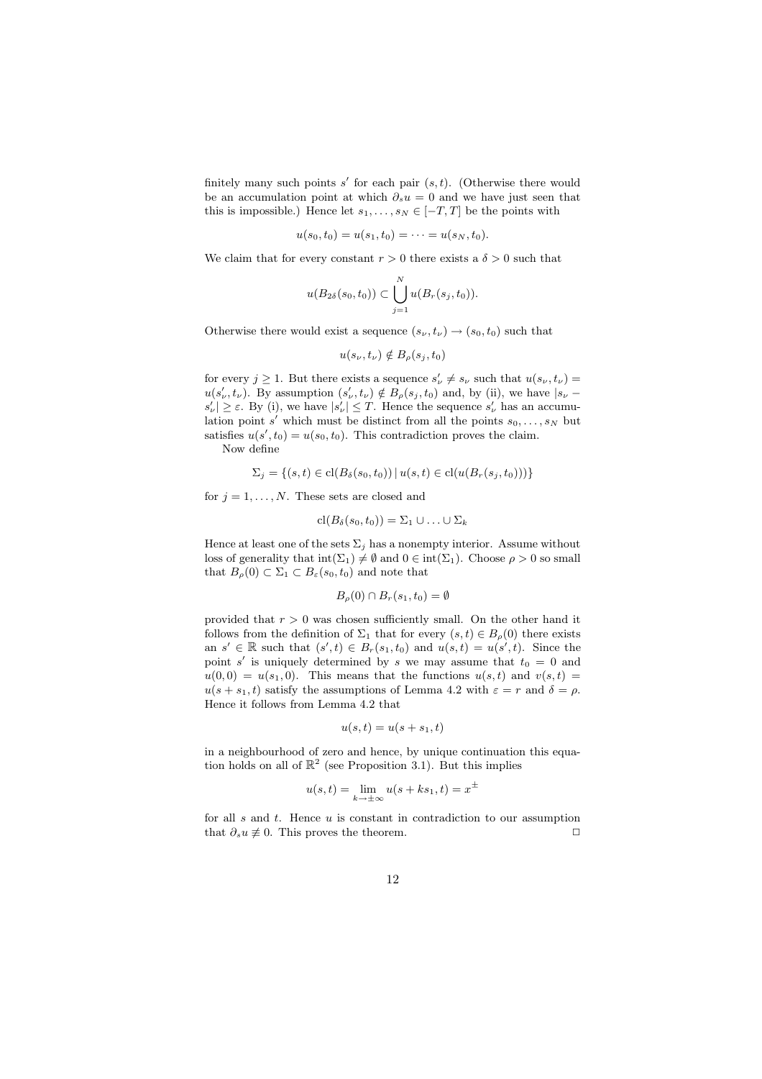finitely many such points  $s'$  for each pair  $(s,t)$ . (Otherwise there would be an accumulation point at which  $\partial_s u = 0$  and we have just seen that this is impossible.) Hence let  $s_1, \ldots, s_N \in [-T, T]$  be the points with

$$
u(s_0, t_0) = u(s_1, t_0) = \cdots = u(s_N, t_0).
$$

We claim that for every constant  $r > 0$  there exists a  $\delta > 0$  such that

$$
u(B_{2\delta}(s_0,t_0))\subset \bigcup_{j=1}^N u(B_r(s_j,t_0)).
$$

Otherwise there would exist a sequence  $(s_{\nu}, t_{\nu}) \rightarrow (s_0, t_0)$  such that

$$
u(s_{\nu},t_{\nu}) \notin B_{\rho}(s_j,t_0)
$$

for every  $j \geq 1$ . But there exists a sequence  $s'_{\nu} \neq s_{\nu}$  such that  $u(s_{\nu}, t_{\nu}) =$  $u(s'_\nu,t_\nu)$ . By assumption  $(s'_\nu,t_\nu) \notin B_\rho(s_j,t_0)$  and, by (ii), we have  $|s_\nu$  $s'_{\nu}$   $\geq \varepsilon$ . By (i), we have  $|s'_{\nu}| \leq T$ . Hence the sequence  $s'_{\nu}$  has an accumulation point s' which must be distinct from all the points  $s_0, \ldots, s_N$  but satisfies  $u(s', t_0) = u(s_0, t_0)$ . This contradiction proves the claim. Now define

$$
\Sigma_j = \{(s, t) \in \text{cl}(B_{\delta}(s_0, t_0)) \mid u(s, t) \in \text{cl}(u(B_r(s_j, t_0)))\}
$$

for  $j = 1, ..., N$ . These sets are closed and

$$
\mathrm{cl}(B_{\delta}(s_0, t_0)) = \Sigma_1 \cup \ldots \cup \Sigma_k
$$

Hence at least one of the sets  $\Sigma_j$  has a nonempty interior. Assume without loss of generality that  $\text{int}(\Sigma_1) \neq \emptyset$  and  $0 \in \text{int}(\Sigma_1)$ . Choose  $\rho > 0$  so small that  $B_{\rho}(0) \subset \Sigma_1 \subset B_{\varepsilon}(s_0,t_0)$  and note that

$$
B_{\rho}(0) \cap B_{r}(s_1, t_0) = \emptyset
$$

provided that  $r > 0$  was chosen sufficiently small. On the other hand it follows from the definition of  $\Sigma_1$  that for every  $(s,t) \in B_0(0)$  there exists an  $s' \in \mathbb{R}$  such that  $(s',t) \in B_r(s_1,t_0)$  and  $u(s,t) = u(s',t)$ . Since the point s' is uniquely determined by s we may assume that  $t_0 = 0$  and  $u(0,0) = u(s_1,0)$ . This means that the functions  $u(s,t)$  and  $v(s,t)$  $u(s + s_1, t)$  satisfy the assumptions of Lemma 4.2 with  $\varepsilon = r$  and  $\delta = \rho$ . Hence it follows from Lemma 4.2 that

$$
u(s,t) = u(s+s_1,t)
$$

in a neighbourhood of zero and hence, by unique continuation this equation holds on all of  $\mathbb{R}^2$  (see Proposition 3.1). But this implies

$$
u(s,t) = \lim_{k \to \pm \infty} u(s + ks_1, t) = x^{\pm}
$$

for all  $s$  and  $t$ . Hence  $u$  is constant in contradiction to our assumption that  $\partial_s u \neq 0$ . This proves the theorem.  $\Box$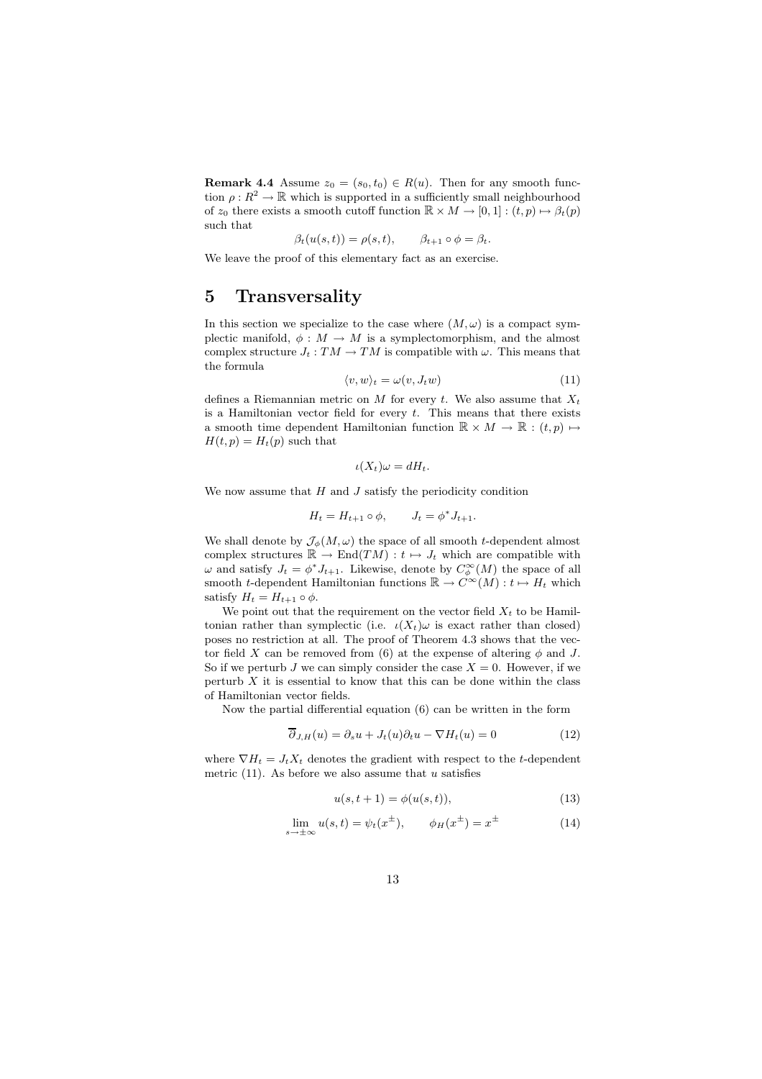**Remark 4.4** Assume  $z_0 = (s_0, t_0) \in R(u)$ . Then for any smooth function  $\rho: R^2 \to \mathbb{R}$  which is supported in a sufficiently small neighbourhood of  $z_0$  there exists a smooth cutoff function  $\mathbb{R} \times M \to [0, 1] : (t, p) \mapsto \beta_t(p)$ such that

$$
\beta_t(u(s,t)) = \rho(s,t), \qquad \beta_{t+1} \circ \phi = \beta_t.
$$

We leave the proof of this elementary fact as an exercise.

# 5 Transversality

In this section we specialize to the case where  $(M, \omega)$  is a compact symplectic manifold,  $\phi : M \to M$  is a symplectomorphism, and the almost complex structure  $J_t : TM \to TM$  is compatible with  $\omega$ . This means that the formula

$$
\langle v, w \rangle_t = \omega(v, J_t w) \tag{11}
$$

defines a Riemannian metric on M for every t. We also assume that  $X_t$ is a Hamiltonian vector field for every  $t$ . This means that there exists a smooth time dependent Hamiltonian function  $\mathbb{R} \times M \to \mathbb{R} : (t, p) \mapsto$  $H(t, p) = H_t(p)$  such that

$$
\iota(X_t)\omega = dH_t.
$$

We now assume that  $H$  and  $J$  satisfy the periodicity condition

$$
H_t = H_{t+1} \circ \phi, \qquad J_t = \phi^* J_{t+1}.
$$

We shall denote by  $\mathcal{J}_{\phi}(M,\omega)$  the space of all smooth t-dependent almost complex structures  $\mathbb{R} \to \text{End}(TM) : t \mapsto J_t$  which are compatible with  $\omega$  and satisfy  $J_t = \phi^* J_{t+1}$ . Likewise, denote by  $C_{\phi}^{\infty}(M)$  the space of all smooth t-dependent Hamiltonian functions  $\mathbb{R} \to C^{\infty}(M)$  :  $t \mapsto H_t$  which satisfy  $H_t = H_{t+1} \circ \phi$ .

We point out that the requirement on the vector field  $X_t$  to be Hamiltonian rather than symplectic (i.e.  $\iota(X_t)\omega$  is exact rather than closed) poses no restriction at all. The proof of Theorem 4.3 shows that the vector field X can be removed from (6) at the expense of altering  $\phi$  and J. So if we perturb J we can simply consider the case  $X = 0$ . However, if we perturb  $X$  it is essential to know that this can be done within the class of Hamiltonian vector fields.

Now the partial differential equation (6) can be written in the form

$$
\overline{\partial}_{J,H}(u) = \partial_s u + J_t(u)\partial_t u - \nabla H_t(u) = 0
$$
\n(12)

where  $\nabla H_t = J_t X_t$  denotes the gradient with respect to the t-dependent metric  $(11)$ . As before we also assume that u satisfies

$$
u(s, t+1) = \phi(u(s, t)),
$$
\n(13)

$$
\lim_{s \to \pm \infty} u(s, t) = \psi_t(x^{\pm}), \qquad \phi_H(x^{\pm}) = x^{\pm}
$$
\n(14)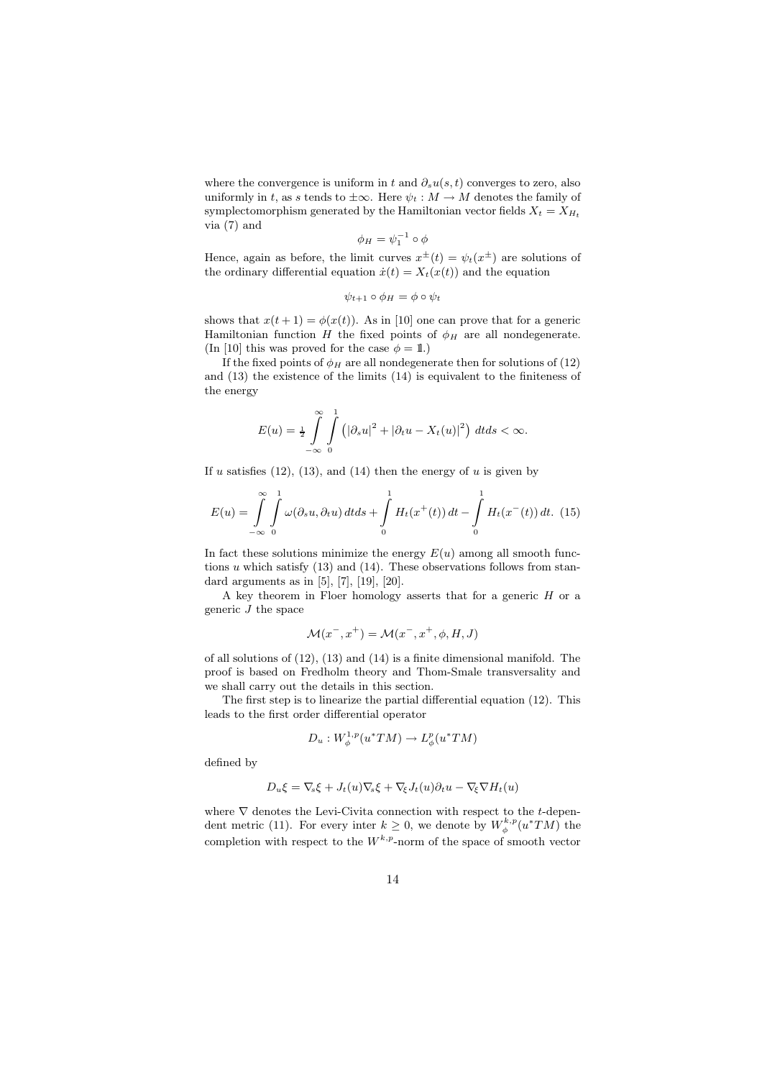where the convergence is uniform in t and  $\partial_s u(s,t)$  converges to zero, also uniformly in t, as s tends to  $\pm \infty$ . Here  $\psi_t : M \to M$  denotes the family of symplectomorphism generated by the Hamiltonian vector fields  $X_t = X_{H_t}$ via (7) and

$$
\phi_H = \psi_1^{-1} \circ \phi
$$

Hence, again as before, the limit curves  $x^{\pm}(t) = \psi_t(x^{\pm})$  are solutions of the ordinary differential equation  $\dot{x}(t) = X_t(x(t))$  and the equation

$$
\psi_{t+1} \circ \phi_H = \phi \circ \psi_t
$$

shows that  $x(t + 1) = \phi(x(t))$ . As in [10] one can prove that for a generic Hamiltonian function H the fixed points of  $\phi_H$  are all nondegenerate. (In [10] this was proved for the case  $\phi = 1$ .)

If the fixed points of  $\phi_H$  are all nondegenerate then for solutions of (12) and (13) the existence of the limits (14) is equivalent to the finiteness of the energy

$$
E(u) = \frac{1}{2} \int_{-\infty}^{\infty} \int_{0}^{1} \left( |\partial_s u|^2 + |\partial_t u - X_t(u)|^2 \right) dt ds < \infty.
$$

If u satisfies  $(12)$ ,  $(13)$ , and  $(14)$  then the energy of u is given by

$$
E(u) = \int_{-\infty}^{\infty} \int_{0}^{1} \omega(\partial_s u, \partial_t u) dt ds + \int_{0}^{1} H_t(x^+(t)) dt - \int_{0}^{1} H_t(x^-(t)) dt.
$$
 (15)

In fact these solutions minimize the energy  $E(u)$  among all smooth functions  $u$  which satisfy (13) and (14). These observations follows from standard arguments as in  $[5]$ ,  $[7]$ ,  $[19]$ ,  $[20]$ .

A key theorem in Floer homology asserts that for a generic  $H$  or a generic  $J$  the space

$$
\mathcal{M}(x^-, x^+) = \mathcal{M}(x^-, x^+, \phi, H, J)
$$

of all solutions of (12), (13) and (14) is a finite dimensional manifold. The proof is based on Fredholm theory and Thom-Smale transversality and we shall carry out the details in this section.

The first step is to linearize the partial differential equation (12). This leads to the first order differential operator

$$
D_u: W^{1,p}_{\phi}(u^*TM) \to L^p_{\phi}(u^*TM)
$$

defined by

$$
D_u \xi = \nabla_s \xi + J_t(u) \nabla_s \xi + \nabla_\xi J_t(u) \partial_t u - \nabla_\xi \nabla H_t(u)
$$

where  $\nabla$  denotes the Levi-Civita connection with respect to the t-dependent metric (11). For every inter  $k \geq 0$ , we denote by  $W_{\phi}^{k,p}(u^*TM)$  the completion with respect to the  $W^{k,p}$ -norm of the space of smooth vector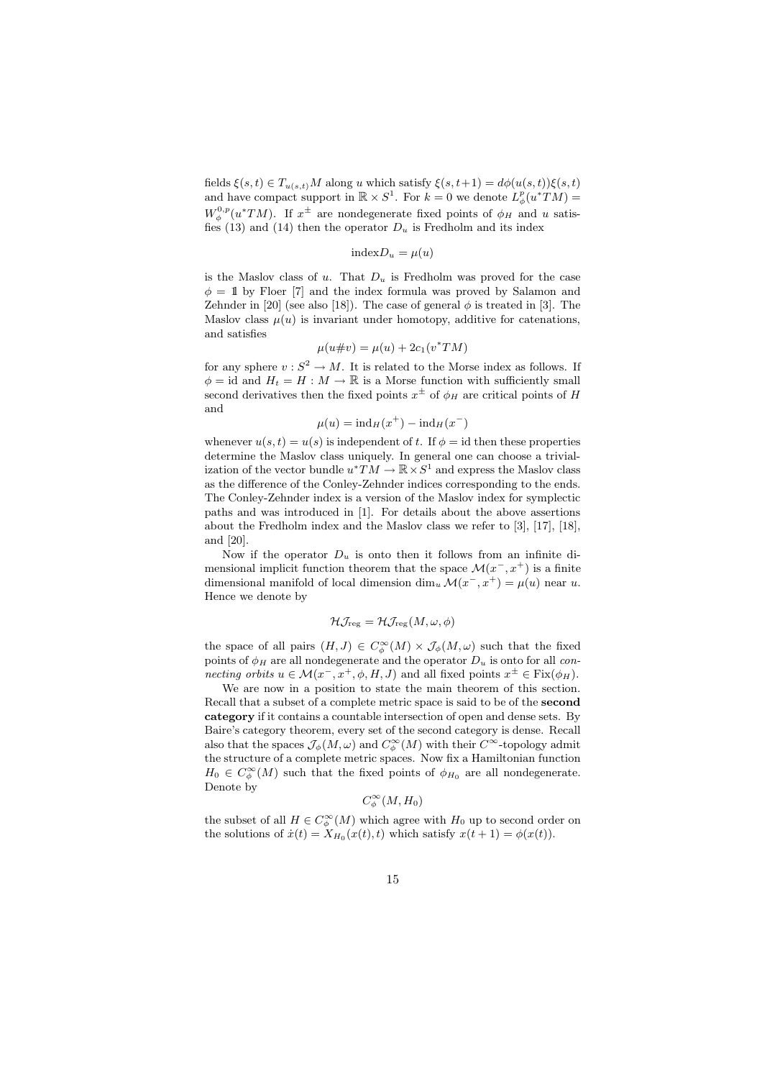fields  $\xi(s,t) \in T_{u(s,t)}M$  along u which satisfy  $\xi(s,t+1) = d\phi(u(s,t))\xi(s,t)$ and have compact support in  $\mathbb{R} \times S^1$ . For  $k = 0$  we denote  $L^p_{\phi}(u^*TM) =$  $W_{\phi}^{0,p}(u^*TM)$ . If  $x^{\pm}$  are nondegenerate fixed points of  $\phi_H$  and u satisfies (13) and (14) then the operator  $D_u$  is Fredholm and its index

$$
indexD_u = \mu(u)
$$

is the Maslov class of u. That  $D_u$  is Fredholm was proved for the case  $\phi = 1$  by Floer [7] and the index formula was proved by Salamon and Zehnder in [20] (see also [18]). The case of general  $\phi$  is treated in [3]. The Maslov class  $\mu(u)$  is invariant under homotopy, additive for catenations, and satisfies

$$
\mu(u \# v) = \mu(u) + 2c_1(v^*TM)
$$

for any sphere  $v : S^2 \to M$ . It is related to the Morse index as follows. If  $\phi = \text{id}$  and  $H_t = H : M \to \mathbb{R}$  is a Morse function with sufficiently small second derivatives then the fixed points  $x^{\pm}$  of  $\phi_H$  are critical points of H and

$$
\mu(u) = \mathrm{ind}_{H}(x^{+}) - \mathrm{ind}_{H}(x^{-})
$$

whenever  $u(s,t) = u(s)$  is independent of t. If  $\phi = id$  then these properties determine the Maslov class uniquely. In general one can choose a trivialization of the vector bundle  $u^* \overline{T} M \to \mathbb{R} \times S^1$  and express the Maslov class as the difference of the Conley-Zehnder indices corresponding to the ends. The Conley-Zehnder index is a version of the Maslov index for symplectic paths and was introduced in [1]. For details about the above assertions about the Fredholm index and the Maslov class we refer to [3], [17], [18], and [20].

Now if the operator  $D_u$  is onto then it follows from an infinite dimensional implicit function theorem that the space  $\mathcal{M}(x^-, x^+)$  is a finite dimensional manifold of local dimension  $\dim_u \mathcal{M}(x^-, x^+) = \mu(u)$  near u. Hence we denote by

$$
\mathcal{H}\mathcal{J}_{\text{reg}}=\mathcal{H}\mathcal{J}_{\text{reg}}(M,\omega,\phi)
$$

the space of all pairs  $(H, J) \in C_{\phi}^{\infty}(M) \times \mathcal{J}_{\phi}(M, \omega)$  such that the fixed points of  $\phi_H$  are all nondegenerate and the operator  $D_u$  is onto for all connecting orbits  $u \in \mathcal{M}(x^-, x^+, \phi, H, J)$  and all fixed points  $x^{\pm} \in \text{Fix}(\phi_H)$ .

We are now in a position to state the main theorem of this section. Recall that a subset of a complete metric space is said to be of the second category if it contains a countable intersection of open and dense sets. By Baire's category theorem, every set of the second category is dense. Recall also that the spaces  $\mathcal{J}_{\phi}(M, \omega)$  and  $C_{\phi}^{\infty}(M)$  with their  $C^{\infty}$ -topology admit the structure of a complete metric spaces. Now fix a Hamiltonian function  $H_0 \in C^{\infty}_{\phi}(M)$  such that the fixed points of  $\phi_{H_0}$  are all nondegenerate. Denote by

$$
C^{\infty}_{\phi}(M, H_0)
$$

the subset of all  $H \in C^{\infty}_{\phi}(M)$  which agree with  $H_0$  up to second order on the solutions of  $\dot{x}(t) = X_{H_0}(x(t), t)$  which satisfy  $x(t + 1) = \phi(x(t)).$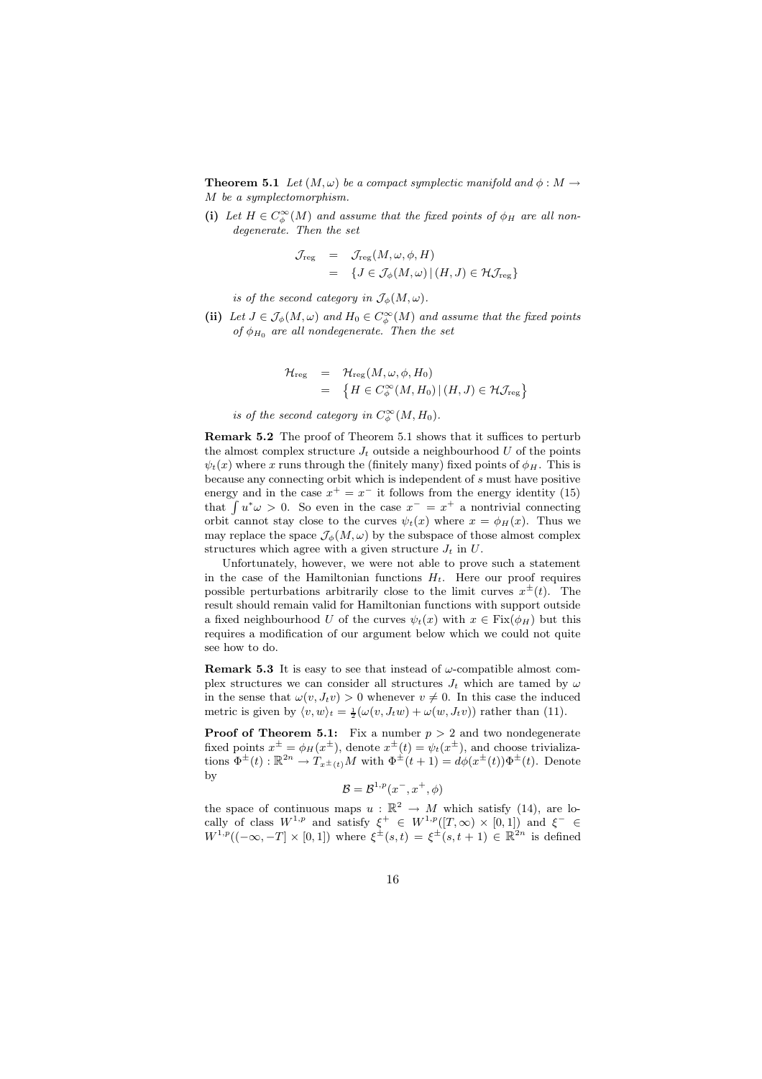**Theorem 5.1** Let  $(M, \omega)$  be a compact symplectic manifold and  $\phi : M \to$ M be a symplectomorphism.

(i) Let  $H \in C^{\infty}_{\phi}(M)$  and assume that the fixed points of  $\phi_H$  are all nondegenerate. Then the set

$$
\mathcal{J}_{reg} = \mathcal{J}_{reg}(M, \omega, \phi, H)
$$
  
= {  $J \in \mathcal{J}_{\phi}(M, \omega) | (H, J) \in \mathcal{H}_{reg}$  }

is of the second category in  $\mathcal{J}_{\phi}(M,\omega)$ .

(ii) Let  $J \in \mathcal{J}_{\phi}(M, \omega)$  and  $H_0 \in C_{\phi}^{\infty}(M)$  and assume that the fixed points of  $\phi_{H_0}$  are all nondegenerate. Then the set

$$
\mathcal{H}_{reg} = \mathcal{H}_{reg}(M, \omega, \phi, H_0)
$$
  
= 
$$
\{H \in C^{\infty}_{\phi}(M, H_0) | (H, J) \in \mathcal{H}_{reg}\}
$$

is of the second category in  $C^{\infty}_{\phi}(M, H_0)$ .

Remark 5.2 The proof of Theorem 5.1 shows that it suffices to perturb the almost complex structure  $J_t$  outside a neighbourhood  $U$  of the points  $\psi_t(x)$  where x runs through the (finitely many) fixed points of  $\phi_H$ . This is because any connecting orbit which is independent of s must have positive energy and in the case  $x^+ = x^-$  it follows from the energy identity (15) that  $\int u^*\omega > 0$ . So even in the case  $x^- = x^+$  a nontrivial connecting orbit cannot stay close to the curves  $\psi_t(x)$  where  $x = \phi_H(x)$ . Thus we may replace the space  $\mathcal{J}_{\phi}(M,\omega)$  by the subspace of those almost complex structures which agree with a given structure  $J_t$  in  $U$ .

Unfortunately, however, we were not able to prove such a statement in the case of the Hamiltonian functions  $H_t$ . Here our proof requires possible perturbations arbitrarily close to the limit curves  $x^{\pm}(t)$ . The result should remain valid for Hamiltonian functions with support outside a fixed neighbourhood U of the curves  $\psi_t(x)$  with  $x \in \text{Fix}(\phi_H)$  but this requires a modification of our argument below which we could not quite see how to do.

**Remark 5.3** It is easy to see that instead of  $\omega$ -compatible almost complex structures we can consider all structures  $J_t$  which are tamed by  $\omega$ in the sense that  $\omega(v, J_t v) > 0$  whenever  $v \neq 0$ . In this case the induced metric is given by  $\langle v, w \rangle_t = \frac{1}{2}(\omega(v, J_t w) + \omega(w, J_t v))$  rather than (11).

**Proof of Theorem 5.1:** Fix a number  $p > 2$  and two nondegenerate fixed points  $x^{\pm} = \phi_H(x^{\pm})$ , denote  $x^{\pm}(t) = \psi_t(x^{\pm})$ , and choose trivializations  $\Phi^{\pm}(t): \mathbb{R}^{2n} \to T_{x^{\pm}(t)}M$  with  $\Phi^{\pm}(t+1) = d\phi(x^{\pm}(t))\Phi^{\pm}(t)$ . Denote by

$$
\mathcal{B} = \mathcal{B}^{1,p}(x^-, x^+, \phi)
$$

the space of continuous maps  $u : \mathbb{R}^2 \to M$  which satisfy (14), are locally of class  $W^{1,p}$  and satisfy  $\xi^+ \in W^{1,p}([T,\infty) \times [0,1])$  and  $\xi^- \in$  $W^{1,p}((-\infty, -T] \times [0,1])$  where  $\xi^{\pm}(s,t) = \xi^{\pm}(s,t+1) \in \mathbb{R}^{2n}$  is defined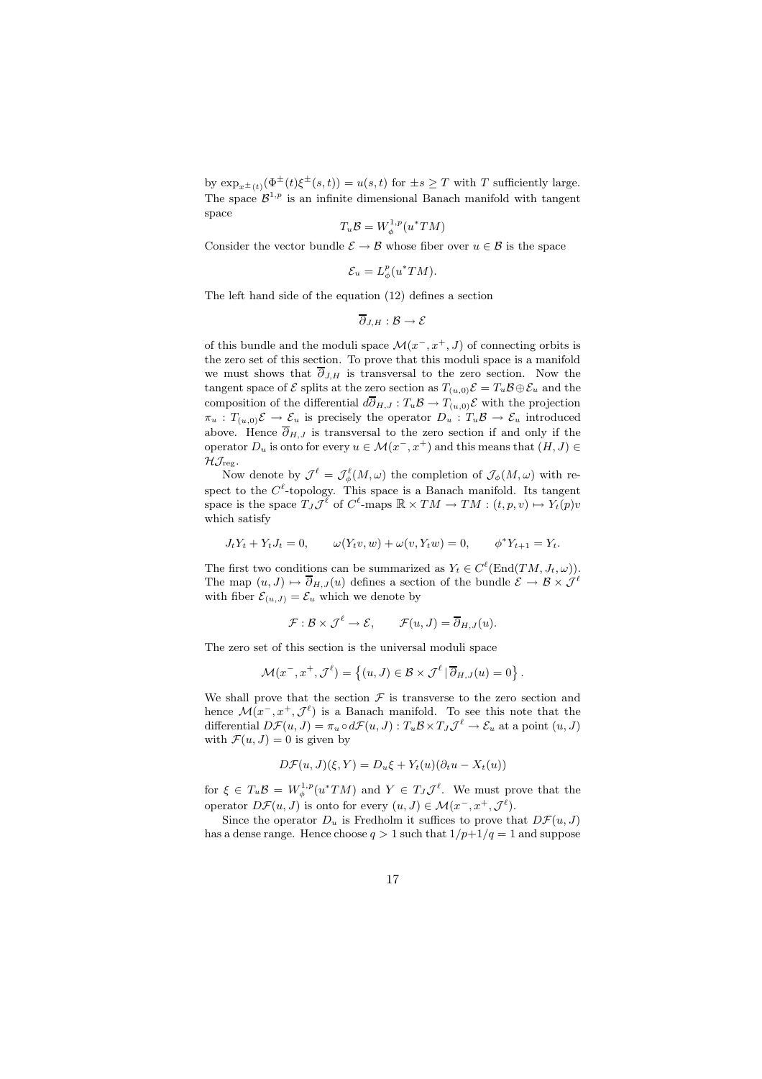by  $\exp_{x^{\pm}(t)}(\Phi^{\pm}(t)\xi^{\pm}(s,t)) = u(s,t)$  for  $\pm s \geq T$  with T sufficiently large. The space  $\mathcal{B}^{1,p}$  is an infinite dimensional Banach manifold with tangent space

$$
T_u \mathcal{B} = W_{\phi}^{1,p}(u^*TM)
$$

Consider the vector bundle  $\mathcal{E} \to \mathcal{B}$  whose fiber over  $u \in \mathcal{B}$  is the space

$$
\mathcal{E}_u = L^p_{\phi}(u^*TM).
$$

The left hand side of the equation (12) defines a section

$$
\overline{\partial}_{J,H}:\mathcal{B}\to\mathcal{E}
$$

of this bundle and the moduli space  $\mathcal{M}(x^-, x^+, J)$  of connecting orbits is the zero set of this section. To prove that this moduli space is a manifold we must shows that  $\overline{\partial}_{J,H}$  is transversal to the zero section. Now the tangent space of  $\mathcal E$  splits at the zero section as  $T_{(u,0)}\mathcal E = T_u\mathcal B \oplus \mathcal E_u$  and the composition of the differential  $d\overline{\partial}_{H,J} : T_u \mathcal{B} \to T_{(u,0)} \mathcal{E}$  with the projection  $\pi_u : T_{(u,0)}\mathcal{E} \to \mathcal{E}_u$  is precisely the operator  $D_u : T_u\mathcal{B} \to \mathcal{E}_u$  introduced above. Hence  $\overline{\partial}_{H,J}$  is transversal to the zero section if and only if the operator  $D_u$  is onto for every  $u \in \mathcal{M}(x^-, x^+)$  and this means that  $(H, J) \in$  $\mathcal{H}\mathcal{J}_{\text{reg}}$ .

Now denote by  $\mathcal{J}^{\ell} = \mathcal{J}_{\phi}^{\ell}(M,\omega)$  the completion of  $\mathcal{J}_{\phi}(M,\omega)$  with respect to the  $C^{\ell}$ -topology. This space is a Banach manifold. Its tangent space is the space  $T_J\mathcal{J}^{\ell}$  of  $C^{\ell}$ -maps  $\mathbb{R} \times TM \to TM : (t, p, v) \mapsto Y_t(p)v$ which satisfy

$$
J_t Y_t + Y_t J_t = 0, \qquad \omega(Y_t v, w) + \omega(v, Y_t w) = 0, \qquad \phi^* Y_{t+1} = Y_t.
$$

The first two conditions can be summarized as  $Y_t \in C^{\ell}(\text{End}(TM, J_t, \omega)).$ The map  $(u, J) \mapsto \overline{\partial}_{H,J}(u)$  defines a section of the bundle  $\mathcal{E} \to \mathcal{B} \times \mathcal{J}^{\ell}$ with fiber  $\mathcal{E}_{(u,J)} = \mathcal{E}_u$  which we denote by

$$
\mathcal{F}: \mathcal{B} \times \mathcal{J}^{\ell} \to \mathcal{E}, \qquad \mathcal{F}(u, J) = \overline{\partial}_{H, J}(u).
$$

The zero set of this section is the universal moduli space

$$
\mathcal{M}(x^-, x^+, \mathcal{J}^\ell) = \left\{ (u, J) \in \mathcal{B} \times \mathcal{J}^\ell \, | \, \overline{\partial}_{H, J}(u) = 0 \right\}.
$$

We shall prove that the section  $\mathcal F$  is transverse to the zero section and hence  $\mathcal{M}(x^-, x^+, \mathcal{J}^\ell)$  is a Banach manifold. To see this note that the differential  $D\mathcal{F}(u, J) = \pi_u \circ d\mathcal{F}(u, J) : T_u \mathcal{B} \times T_J \mathcal{J}^{\ell} \to \mathcal{E}_u$  at a point  $(u, J)$ with  $\mathcal{F}(u, J) = 0$  is given by

$$
D\mathcal{F}(u, J)(\xi, Y) = D_u \xi + Y_t(u)(\partial_t u - X_t(u))
$$

for  $\xi \in T_u \mathcal{B} = W_{\phi}^{1,p}(u^*TM)$  and  $Y \in T_J \mathcal{J}^{\ell}$ . We must prove that the operator  $D\mathcal{F}(u, J)$  is onto for every  $(u, J) \in \mathcal{M}(x^-, x^+, \mathcal{J}^{\ell}).$ 

Since the operator  $D_u$  is Fredholm it suffices to prove that  $D\mathcal{F}(u, J)$ has a dense range. Hence choose  $q > 1$  such that  $1/p+1/q = 1$  and suppose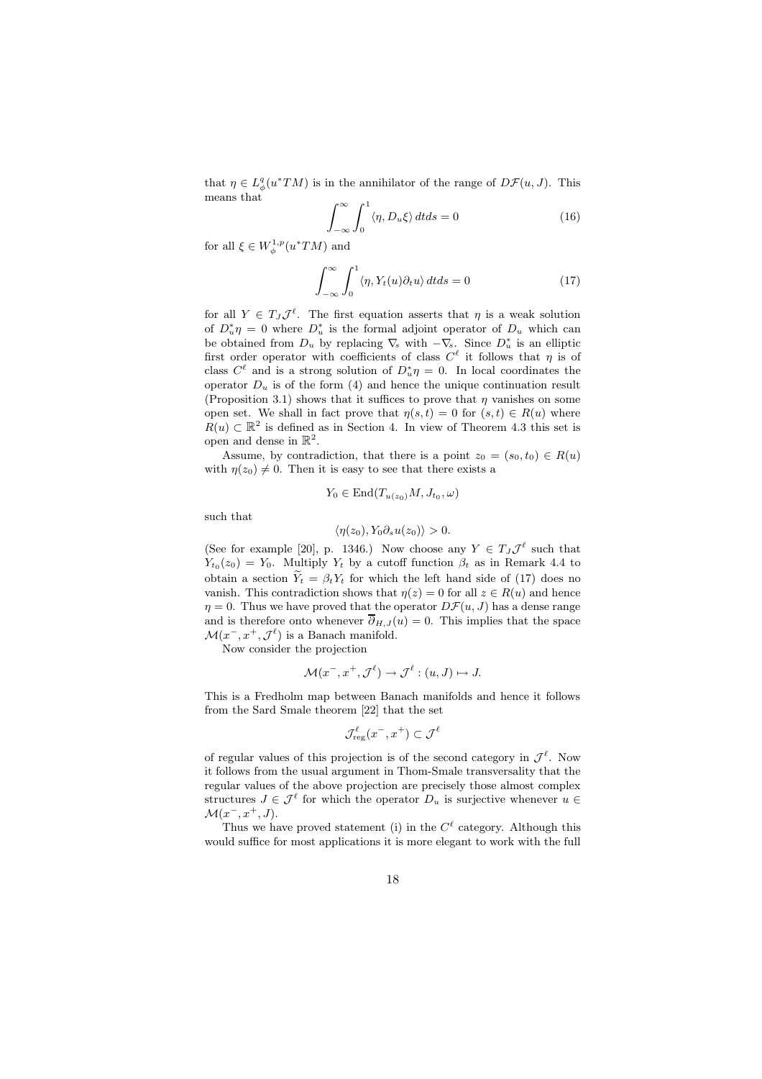that  $\eta \in L^q_{\phi}(u^*TM)$  is in the annihilator of the range of  $D\mathcal{F}(u, J)$ . This means that

$$
\int_{-\infty}^{\infty} \int_{0}^{1} \langle \eta, D_{u} \xi \rangle dt ds = 0
$$
 (16)

for all  $\xi \in W^{1,p}_{\phi}(u^*TM)$  and

$$
\int_{-\infty}^{\infty} \int_{0}^{1} \langle \eta, Y_t(u)\partial_t u \rangle dt ds = 0
$$
 (17)

for all  $Y \in T_J \mathcal{J}^{\ell}$ . The first equation asserts that  $\eta$  is a weak solution of  $D^*_u \eta = 0$  where  $D^*_u$  is the formal adjoint operator of  $D_u$  which can be obtained from  $D_u$  by replacing  $\nabla_s$  with  $-\nabla_s$ . Since  $D_u^*$  is an elliptic first order operator with coefficients of class  $C^{\ell}$  it follows that  $\eta$  is of class  $C^{\ell}$  and is a strong solution of  $D_{u}^{*}\eta = 0$ . In local coordinates the operator  $D_u$  is of the form (4) and hence the unique continuation result (Proposition 3.1) shows that it suffices to prove that  $\eta$  vanishes on some open set. We shall in fact prove that  $\eta(s,t) = 0$  for  $(s,t) \in R(u)$  where  $R(u) \subset \mathbb{R}^2$  is defined as in Section 4. In view of Theorem 4.3 this set is open and dense in  $\mathbb{R}^2$ .

Assume, by contradiction, that there is a point  $z_0 = (s_0, t_0) \in R(u)$ with  $\eta(z_0) \neq 0$ . Then it is easy to see that there exists a

$$
Y_0 \in \text{End}(T_{u(z_0)}M, J_{t_0}, \omega)
$$

such that

$$
\langle \eta(z_0), Y_0 \partial_s u(z_0) \rangle > 0.
$$

(See for example [20], p. 1346.) Now choose any  $Y \in T_J \mathcal{J}^{\ell}$  such that  $Y_{t_0}(z_0) = Y_0$ . Multiply  $Y_t$  by a cutoff function  $\beta_t$  as in Remark 4.4 to obtain a section  $\widetilde{Y}_t = \beta_t Y_t$  for which the left hand side of (17) does no vanish. This contradiction shows that  $\eta(z) = 0$  for all  $z \in R(u)$  and hence  $\eta = 0$ . Thus we have proved that the operator  $D\mathcal{F}(u, J)$  has a dense range and is therefore onto whenever  $\overline{\partial}_{H,J}(u) = 0$ . This implies that the space  $\mathcal{M}(x^-, x^+, \mathcal{J}^\ell)$  is a Banach manifold.

Now consider the projection

$$
\mathcal{M}(x^-, x^+, \mathcal{J}^\ell) \to \mathcal{J}^\ell : (u, J) \mapsto J.
$$

This is a Fredholm map between Banach manifolds and hence it follows from the Sard Smale theorem [22] that the set

$$
\mathcal{J}_{\rm reg}^{\ell}(x^-, x^+) \subset \mathcal{J}^{\ell}
$$

of regular values of this projection is of the second category in  $\mathcal{J}^{\ell}$ . Now it follows from the usual argument in Thom-Smale transversality that the regular values of the above projection are precisely those almost complex structures  $J \in \mathcal{J}^{\ell}$  for which the operator  $D_u$  is surjective whenever  $u \in$  $\mathcal{M}(x^-, x^+, J)$ .

Thus we have proved statement (i) in the  $C^{\ell}$  category. Although this would suffice for most applications it is more elegant to work with the full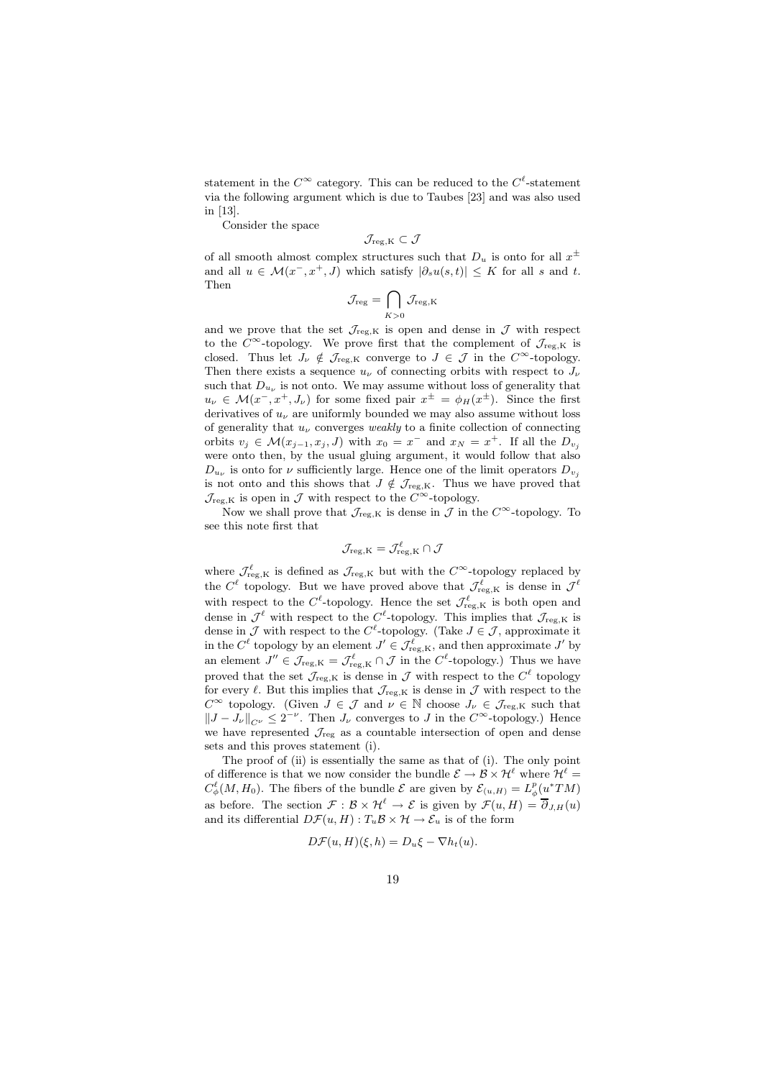statement in the  $C^{\infty}$  category. This can be reduced to the  $C^{\ell}$ -statement via the following argument which is due to Taubes [23] and was also used in [13].

Consider the space

$$
\mathcal{J}_{\rm reg,K}\subset \mathcal{J}
$$

of all smooth almost complex structures such that  $D_u$  is onto for all  $x^{\pm}$ and all  $u \in \mathcal{M}(x^-, x^+, J)$  which satisfy  $|\partial_s u(s,t)| \leq K$  for all s and t. Then

$$
\mathcal{J}_{\mathrm{reg}} = \bigcap_{K>0} \mathcal{J}_{\mathrm{reg},K}
$$

and we prove that the set  $\mathcal{J}_{\text{reg},K}$  is open and dense in  $\mathcal J$  with respect to the  $C^{\infty}$ -topology. We prove first that the complement of  $\mathcal{J}_{reg,K}$  is closed. Thus let  $J_{\nu} \notin \mathcal{J}_{reg,K}$  converge to  $J \in \mathcal{J}$  in the  $C^{\infty}$ -topology. Then there exists a sequence  $u_{\nu}$  of connecting orbits with respect to  $J_{\nu}$ such that  $D_{u_{\nu}}$  is not onto. We may assume without loss of generality that  $u_{\nu} \in \mathcal{M}(x^-, x^+, J_{\nu})$  for some fixed pair  $x^{\pm} = \phi_H(x^{\pm})$ . Since the first derivatives of  $u_{\nu}$  are uniformly bounded we may also assume without loss of generality that  $u_{\nu}$  converges *weakly* to a finite collection of connecting orbits  $v_j \in \mathcal{M}(x_{j-1}, x_j, J)$  with  $x_0 = x^-$  and  $x_N = x^+$ . If all the  $D_{v_j}$ were onto then, by the usual gluing argument, it would follow that also  $D_{u_{\nu}}$  is onto for  $\nu$  sufficiently large. Hence one of the limit operators  $D_{v_j}$ is not onto and this shows that  $J \notin \mathcal{J}_{reg,K}$ . Thus we have proved that  $\mathcal{J}_{\text{reg},K}$  is open in  $\mathcal J$  with respect to the  $C^{\infty}$ -topology.

Now we shall prove that  $\mathcal{J}_{reg,K}$  is dense in  $\mathcal{J}$  in the  $C^{\infty}$ -topology. To see this note first that

$$
\mathcal{J}_{\mathrm{reg},K}=\mathcal{J}_{\mathrm{reg},K}^{\ell}\cap \mathcal{J}
$$

where  $\mathcal{J}^{\ell}_{reg,K}$  is defined as  $\mathcal{J}_{reg,K}$  but with the  $C^{\infty}$ -topology replaced by the  $C^{\ell}$  topology. But we have proved above that  $\mathcal{J}^{\ell}_{reg,K}$  is dense in  $\mathcal{J}^{\ell}$ with respect to the  $C^{\ell}$ -topology. Hence the set  $\mathcal{J}_{\text{reg},K}^{\ell}$  is both open and dense in  $\mathcal{J}^{\ell}$  with respect to the  $C^{\ell}$ -topology. This implies that  $\mathcal{J}_{reg,K}$  is dense in  $\mathcal J$  with respect to the  $C^{\ell}$ -topology. (Take  $J \in \mathcal J$ , approximate it in the  $C^{\ell}$  topology by an element  $J' \in \mathcal{J}_{reg,K}^{\ell}$ , and then approximate  $J'$  by an element  $J'' \in \mathcal{J}_{reg,K} = \mathcal{J}_{reg,K}^{\ell} \cap \mathcal{J}$  in the C<sup> $\ell$ </sup>-topology.) Thus we have proved that the set  $\mathcal{J}_{\text{reg},K}$  is dense in  $\mathcal J$  with respect to the  $C^{\ell}$  topology for every  $\ell$ . But this implies that  $\mathcal{J}_{\text{reg},K}$  is dense in  $\mathcal{J}$  with respect to the  $C^{\infty}$  topology. (Given  $J \in \mathcal{J}$  and  $\nu \in \mathbb{N}$  choose  $J_{\nu} \in \mathcal{J}_{reg,K}$  such that  $||J - J_{\nu}||_{C^{\nu}} \leq 2^{-\nu}$ . Then  $J_{\nu}$  converges to J in the  $C^{\infty}$ -topology.) Hence we have represented  $\mathcal{J}_{\text{reg}}$  as a countable intersection of open and dense sets and this proves statement (i).

The proof of (ii) is essentially the same as that of (i). The only point of difference is that we now consider the bundle  $\mathcal{E} \to \mathcal{B} \times \mathcal{H}^{\ell}$  where  $\mathcal{H}^{\ell} =$  $C^{\ell}_{\phi}(M, H_0)$ . The fibers of the bundle  $\mathcal E$  are given by  $\mathcal E_{(u,H)} = L^p_{\phi}(u^*TM)$ as before. The section  $\mathcal{F}: \mathcal{B} \times \mathcal{H}^{\ell} \to \mathcal{E}$  is given by  $\mathcal{F}(u, H) = \overline{\partial}_{J,H}(u)$ and its differential  $D\mathcal{F}(u, H): T_u\mathcal{B} \times \mathcal{H} \to \mathcal{E}_u$  is of the form

$$
D\mathcal{F}(u, H)(\xi, h) = D_u \xi - \nabla h_t(u).
$$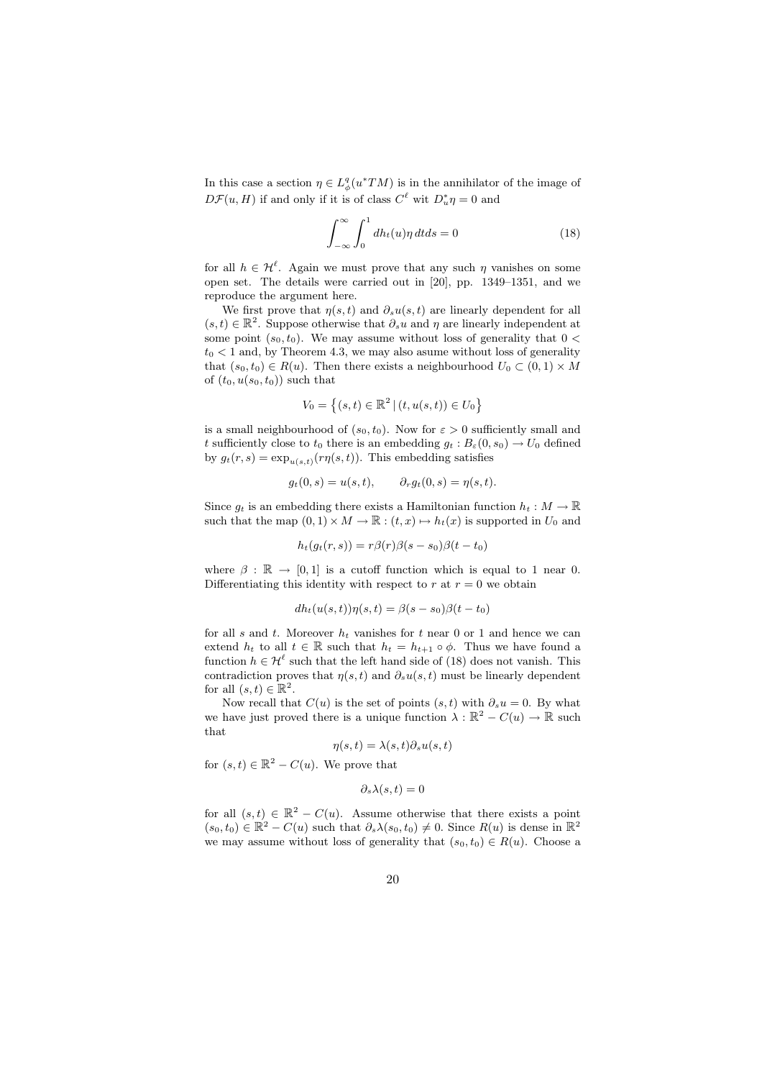In this case a section  $\eta \in L^q_{\phi}(u^*TM)$  is in the annihilator of the image of  $D\mathcal{F}(u, H)$  if and only if it is of class  $C^{\ell}$  wit  $D_u^*\eta = 0$  and

$$
\int_{-\infty}^{\infty} \int_{0}^{1} dh_t(u)\eta \, dt ds = 0 \tag{18}
$$

for all  $h \in \mathcal{H}^{\ell}$ . Again we must prove that any such  $\eta$  vanishes on some open set. The details were carried out in [20], pp. 1349–1351, and we reproduce the argument here.

We first prove that  $\eta(s,t)$  and  $\partial_s u(s,t)$  are linearly dependent for all  $(s,t) \in \mathbb{R}^2$ . Suppose otherwise that  $\partial_s u$  and  $\eta$  are linearly independent at some point  $(s_0, t_0)$ . We may assume without loss of generality that  $0 <$  $t_0 < 1$  and, by Theorem 4.3, we may also asume without loss of generality that  $(s_0, t_0) \in R(u)$ . Then there exists a neighbourhood  $U_0 \subset (0, 1) \times M$ of  $(t_0, u(s_0, t_0))$  such that

$$
V_0 = \left\{ (s, t) \in \mathbb{R}^2 \, | \, (t, u(s, t)) \in U_0 \right\}
$$

is a small neighbourhood of  $(s_0, t_0)$ . Now for  $\varepsilon > 0$  sufficiently small and t sufficiently close to  $t_0$  there is an embedding  $g_t : B_\varepsilon(0, s_0) \to U_0$  defined by  $g_t(r,s) = \exp_{u(s,t)}(r\eta(s,t))$ . This embedding satisfies

$$
g_t(0, s) = u(s, t), \qquad \partial_r g_t(0, s) = \eta(s, t).
$$

Since  $q_t$  is an embedding there exists a Hamiltonian function  $h_t : M \to \mathbb{R}$ such that the map  $(0, 1) \times M \to \mathbb{R} : (t, x) \mapsto h_t(x)$  is supported in  $U_0$  and

$$
h_t(g_t(r,s)) = r\beta(r)\beta(s-s_0)\beta(t-t_0)
$$

where  $\beta : \mathbb{R} \to [0, 1]$  is a cutoff function which is equal to 1 near 0. Differentiating this identity with respect to  $r$  at  $r = 0$  we obtain

$$
dh_t(u(s,t))\eta(s,t) = \beta(s-s_0)\beta(t-t_0)
$$

for all s and t. Moreover  $h_t$  vanishes for t near 0 or 1 and hence we can extend  $h_t$  to all  $t \in \mathbb{R}$  such that  $h_t = h_{t+1} \circ \phi$ . Thus we have found a function  $h \in \mathcal{H}^{\ell}$  such that the left hand side of (18) does not vanish. This contradiction proves that  $\eta(s,t)$  and  $\partial_s u(s,t)$  must be linearly dependent for all  $(s,t) \in \mathbb{R}^2$ .

Now recall that  $C(u)$  is the set of points  $(s,t)$  with  $\partial_s u = 0$ . By what we have just proved there is a unique function  $\lambda : \mathbb{R}^2 - C(u) \to \mathbb{R}$  such that

$$
\eta(s,t) = \lambda(s,t)\partial_s u(s,t)
$$

for  $(s,t) \in \mathbb{R}^2 - C(u)$ . We prove that

$$
\partial_s \lambda(s,t) = 0
$$

for all  $(s,t) \in \mathbb{R}^2 - C(u)$ . Assume otherwise that there exists a point  $(s_0, t_0) \in \mathbb{R}^2 - C(u)$  such that  $\partial_s \lambda(s_0, t_0) \neq 0$ . Since  $R(u)$  is dense in  $\mathbb{R}^2$ we may assume without loss of generality that  $(s_0, t_0) \in R(u)$ . Choose a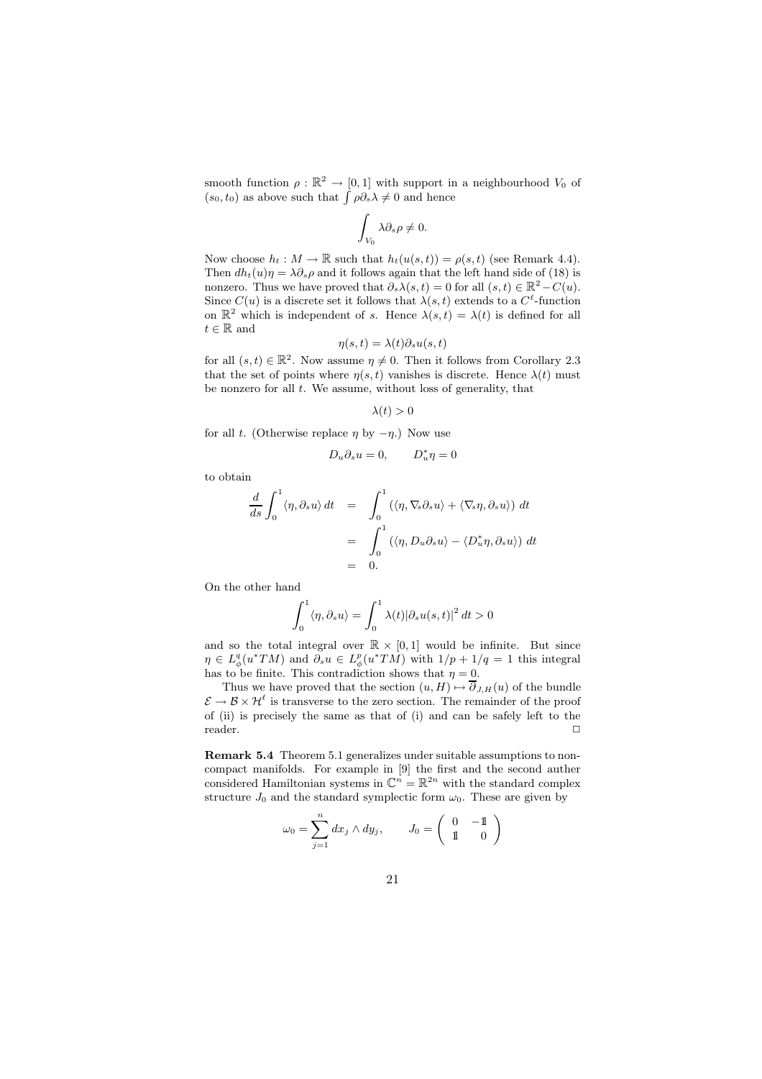smooth function  $\rho : \mathbb{R}^2 \to [0,1]$  with support in a neighbourhood  $V_0$  of  $(s_0, t_0)$  as above such that  $\int \rho \partial_s \lambda \neq 0$  and hence

$$
\int_{V_0} \lambda \partial_s \rho \neq 0.
$$

Now choose  $h_t : M \to \mathbb{R}$  such that  $h_t(u(s,t)) = \rho(s,t)$  (see Remark 4.4). Then  $dh_t(u)\eta = \lambda \partial_s \rho$  and it follows again that the left hand side of (18) is nonzero. Thus we have proved that  $\partial_s \lambda(s,t) = 0$  for all  $(s,t) \in \mathbb{R}^2 - C(u)$ . Since  $C(u)$  is a discrete set it follows that  $\lambda(s,t)$  extends to a  $C^{\ell}$ -function on  $\mathbb{R}^2$  which is independent of s. Hence  $\lambda(s,t) = \lambda(t)$  is defined for all  $t \in \mathbb{R}$  and

$$
\eta(s,t) = \lambda(t)\partial_s u(s,t)
$$

for all  $(s,t) \in \mathbb{R}^2$ . Now assume  $\eta \neq 0$ . Then it follows from Corollary 2.3 that the set of points where  $\eta(s,t)$  vanishes is discrete. Hence  $\lambda(t)$  must be nonzero for all  $t$ . We assume, without loss of generality, that

 $\lambda(t) > 0$ 

for all t. (Otherwise replace  $\eta$  by  $-\eta$ .) Now use

$$
D_u \partial_s u = 0, \qquad D_u^* \eta = 0
$$

to obtain

$$
\frac{d}{ds} \int_0^1 \langle \eta, \partial_s u \rangle dt = \int_0^1 (\langle \eta, \nabla_s \partial_s u \rangle + \langle \nabla_s \eta, \partial_s u \rangle) dt
$$

$$
= \int_0^1 (\langle \eta, D_u \partial_s u \rangle - \langle D_u^* \eta, \partial_s u \rangle) dt
$$

$$
= 0.
$$

On the other hand

$$
\int_0^1 \langle \eta, \partial_s u \rangle = \int_0^1 \lambda(t) |\partial_s u(s, t)|^2 dt > 0
$$

and so the total integral over  $\mathbb{R} \times [0,1]$  would be infinite. But since  $\eta \in L^q_{\phi}(u^*TM)$  and  $\partial_s u \in L^p_{\phi}(u^*TM)$  with  $1/p + 1/q = 1$  this integral has to be finite. This contradiction shows that  $\eta = 0$ .

Thus we have proved that the section  $(u, H) \mapsto \overline{\partial}_{J,H}(u)$  of the bundle  $\mathcal{E} \to \mathcal{B} \times \mathcal{H}^{\ell}$  is transverse to the zero section. The remainder of the proof of (ii) is precisely the same as that of (i) and can be safely left to the  $\Box$ reader.  $\Box$ 

Remark 5.4 Theorem 5.1 generalizes under suitable assumptions to noncompact manifolds. For example in [9] the first and the second auther considered Hamiltonian systems in  $\mathbb{C}^n = \mathbb{R}^{2n}$  with the standard complex structure  $J_0$  and the standard symplectic form  $\omega_0$ . These are given by

$$
\omega_0 = \sum_{j=1}^n dx_j \wedge dy_j, \qquad J_0 = \left( \begin{array}{cc} 0 & -1 \\ 1 & 0 \end{array} \right)
$$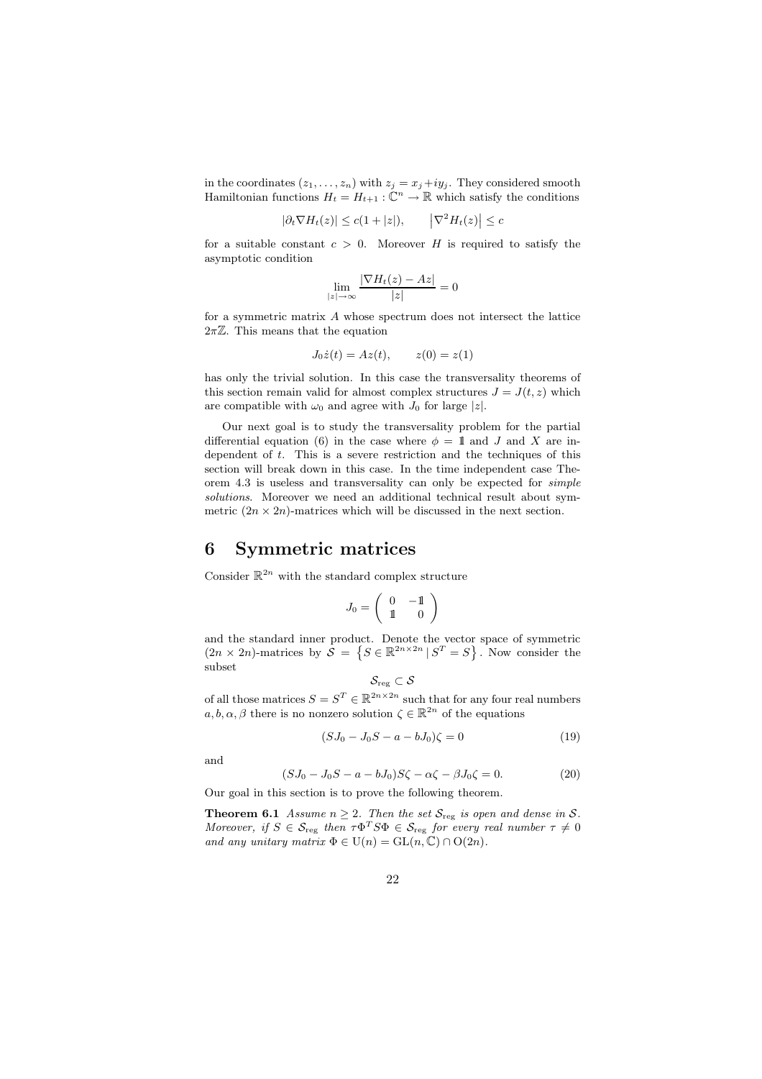in the coordinates  $(z_1, \ldots, z_n)$  with  $z_j = x_j + iy_j$ . They considered smooth Hamiltonian functions  $H_t = H_{t+1} : \mathbb{C}^n \to \mathbb{R}$  which satisfy the conditions

$$
|\partial_t \nabla H_t(z)| \le c(1+|z|), \qquad \left| \nabla^2 H_t(z) \right| \le c
$$

for a suitable constant  $c > 0$ . Moreover H is required to satisfy the asymptotic condition

$$
\lim_{|z| \to \infty} \frac{|\nabla H_t(z) - Az|}{|z|} = 0
$$

for a symmetric matrix A whose spectrum does not intersect the lattice  $2\pi\mathbb{Z}$ . This means that the equation

$$
J_0 \dot{z}(t) = Az(t), \qquad z(0) = z(1)
$$

has only the trivial solution. In this case the transversality theorems of this section remain valid for almost complex structures  $J = J(t, z)$  which are compatible with  $\omega_0$  and agree with  $J_0$  for large |z|.

Our next goal is to study the transversality problem for the partial differential equation (6) in the case where  $\phi = 1$  and J and X are independent of  $t$ . This is a severe restriction and the techniques of this section will break down in this case. In the time independent case Theorem 4.3 is useless and transversality can only be expected for simple solutions. Moreover we need an additional technical result about symmetric  $(2n \times 2n)$ -matrices which will be discussed in the next section.

#### 6 Symmetric matrices

Consider  $\mathbb{R}^{2n}$  with the standard complex structure

$$
J_0=\left(\begin{array}{cc}0&-1\\1&0\end{array}\right)
$$

and the standard inner product. Denote the vector space of symmetric  $(2n \times 2n)$ -matrices by  $\mathcal{S} = \{ S \in \mathbb{R}^{2n \times 2n} | S^T = S \}$ . Now consider the subset

$$
\mathcal{S}_{\textnormal{reg}} \subset \mathcal{S}
$$

of all those matrices  $S = S^T \in \mathbb{R}^{2n \times 2n}$  such that for any four real numbers  $a, b, \alpha, \beta$  there is no nonzero solution  $\zeta \in \mathbb{R}^{2n}$  of the equations

$$
(S J_0 - J_0 S - a - b J_0)\zeta = 0 \tag{19}
$$

and

$$
(SJ_0 - J_0S - a - bJ_0)S\zeta - \alpha\zeta - \beta J_0\zeta = 0.
$$
 (20)

Our goal in this section is to prove the following theorem.

**Theorem 6.1** Assume  $n \geq 2$ . Then the set  $S_{reg}$  is open and dense in S. Moreover, if  $S \in \mathcal{S}_{reg}$  then  $\tau \Phi^T S \Phi \in \mathcal{S}_{reg}$  for every real number  $\tau \neq 0$ and any unitary matrix  $\Phi \in U(n) = GL(n, \mathbb{C}) \cap O(2n)$ .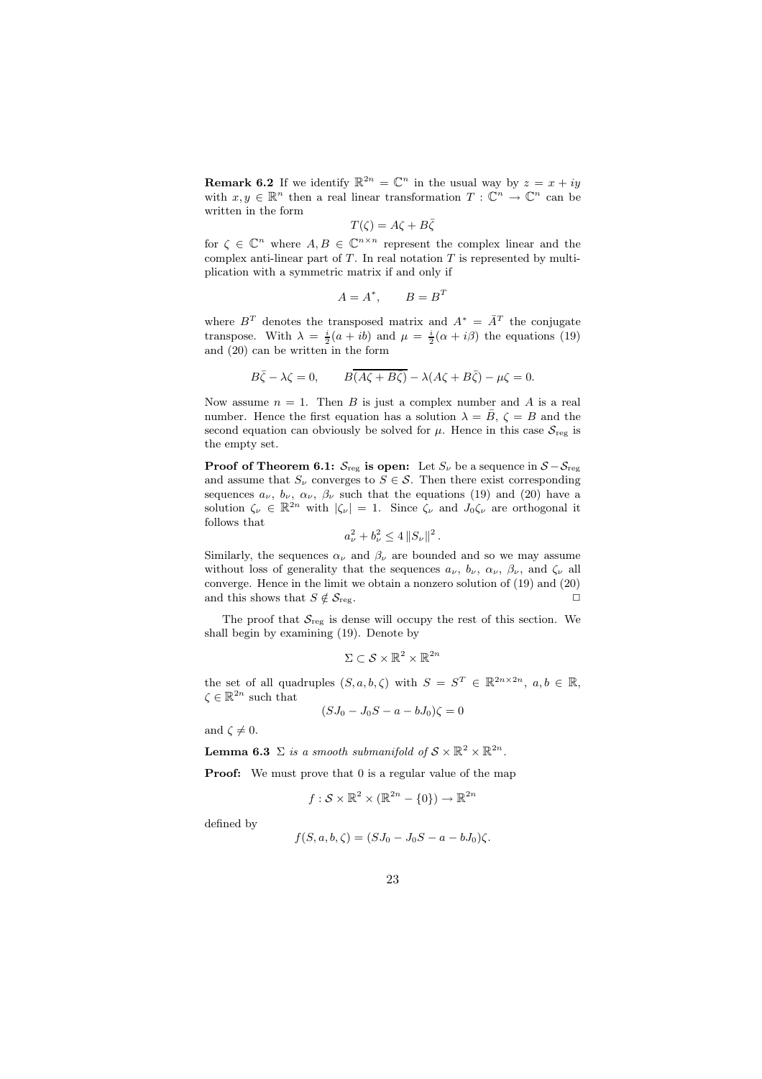**Remark 6.2** If we identify  $\mathbb{R}^{2n} = \mathbb{C}^n$  in the usual way by  $z = x + iy$ with  $x, y \in \mathbb{R}^n$  then a real linear transformation  $T : \mathbb{C}^n \to \mathbb{C}^n$  can be written in the form

$$
T(\zeta) = A\zeta + B\bar{\zeta}
$$

for  $\zeta \in \mathbb{C}^n$  where  $A, B \in \mathbb{C}^{n \times n}$  represent the complex linear and the complex anti-linear part of  $T$ . In real notation  $T$  is represented by multiplication with a symmetric matrix if and only if

$$
A = A^*, \qquad B = B^T
$$

where  $B<sup>T</sup>$  denotes the transposed matrix and  $A^* = \overline{A}^T$  the conjugate transpose. With  $\lambda = \frac{i}{2}(a + ib)$  and  $\mu = \frac{i}{2}(\alpha + i\beta)$  the equations (19) and (20) can be written in the form

$$
B\overline{\zeta} - \lambda \zeta = 0, \qquad B\overline{(A\zeta + B\overline{\zeta})} - \lambda (A\zeta + B\overline{\zeta}) - \mu \zeta = 0.
$$

Now assume  $n = 1$ . Then B is just a complex number and A is a real number. Hence the first equation has a solution  $\lambda = \bar{B}$ ,  $\zeta = B$  and the second equation can obviously be solved for  $\mu$ . Hence in this case  $S_{reg}$  is the empty set.

**Proof of Theorem 6.1:**  $S_{reg}$  is open: Let  $S_{\nu}$  be a sequence in  $S - S_{reg}$ and assume that  $S_{\nu}$  converges to  $S \in \mathcal{S}$ . Then there exist corresponding sequences  $a_{\nu}$ ,  $b_{\nu}$ ,  $\alpha_{\nu}$ ,  $\beta_{\nu}$  such that the equations (19) and (20) have a solution  $\zeta_{\nu} \in \mathbb{R}^{2n}$  with  $|\zeta_{\nu}| = 1$ . Since  $\zeta_{\nu}$  and  $J_0 \zeta_{\nu}$  are orthogonal it follows that

$$
a_{\nu}^{2}+b_{\nu}^{2}\leq 4\left\|S_{\nu}\right\|^{2}.
$$

Similarly, the sequences  $\alpha_{\nu}$  and  $\beta_{\nu}$  are bounded and so we may assume without loss of generality that the sequences  $a_{\nu}$ ,  $b_{\nu}$ ,  $\alpha_{\nu}$ ,  $\beta_{\nu}$ , and  $\zeta_{\nu}$  all converge. Hence in the limit we obtain a nonzero solution of (19) and (20) and this shows that  $S \notin \mathcal{S}_{reg}$ .

The proof that  $S_{reg}$  is dense will occupy the rest of this section. We shall begin by examining (19). Denote by

$$
\Sigma\subset\mathcal{S}\times\mathbb{R}^2\times\mathbb{R}^{2n}
$$

the set of all quadruples  $(S, a, b, \zeta)$  with  $S = S^T \in \mathbb{R}^{2n \times 2n}$ ,  $a, b \in \mathbb{R}$ ,  $\zeta \in \mathbb{R}^{2n}$  such that

$$
(SJ_0 - J_0S - a - bJ_0)\zeta = 0
$$

and  $\zeta \neq 0$ .

**Lemma 6.3**  $\Sigma$  is a smooth submanifold of  $S \times \mathbb{R}^2 \times \mathbb{R}^{2n}$ .

**Proof:** We must prove that 0 is a regular value of the map

$$
f: \mathcal{S} \times \mathbb{R}^2 \times (\mathbb{R}^{2n} - \{0\}) \to \mathbb{R}^{2n}
$$

defined by

$$
f(S, a, b, \zeta) = (SJ_0 - J_0S - a - bJ_0)\zeta.
$$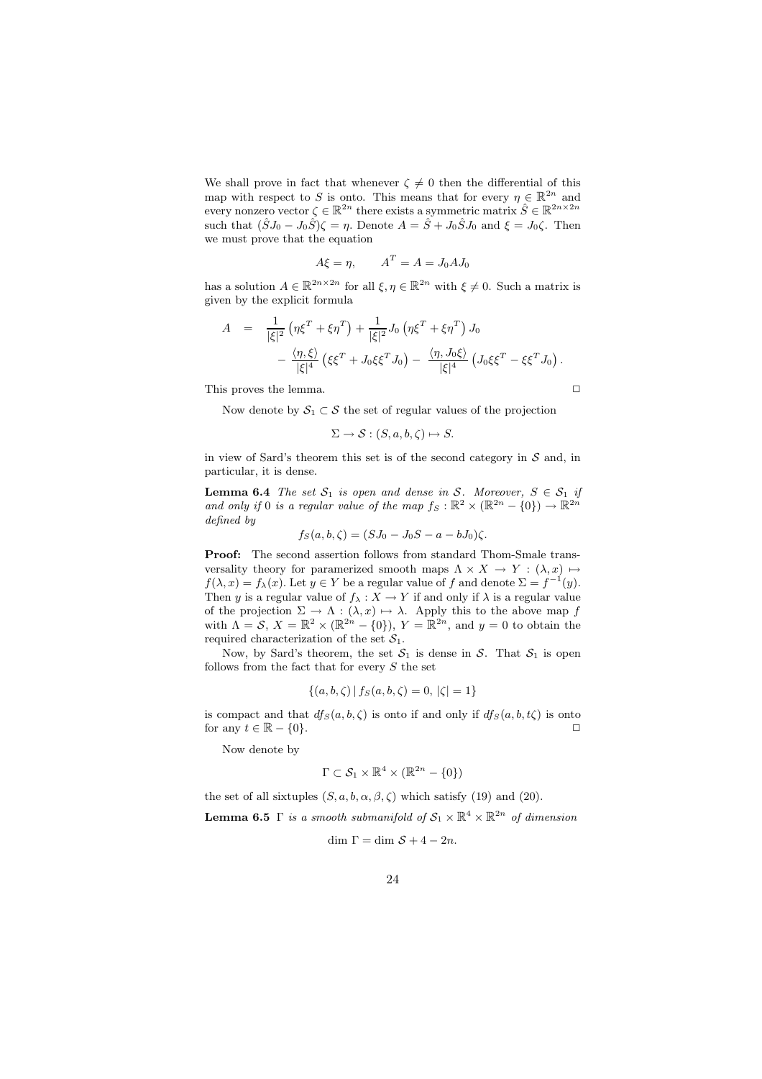We shall prove in fact that whenever  $\zeta \neq 0$  then the differential of this map with respect to S is onto. This means that for every  $\eta \in \mathbb{R}^{2n}$  and every nonzero vector  $\zeta \in \mathbb{R}^{2n}$  there exists a symmetric matrix  $\hat{S} \in \mathbb{R}^{2n \times 2n}$ such that  $(\hat{S}J_0 - J_0\hat{S})\zeta = \eta$ . Denote  $A = \hat{S} + J_0\hat{S}J_0$  and  $\xi = J_0\zeta$ . Then we must prove that the equation

$$
A\xi = \eta, \qquad A^T = A = J_0 A J_0
$$

has a solution  $A \in \mathbb{R}^{2n \times 2n}$  for all  $\xi, \eta \in \mathbb{R}^{2n}$  with  $\xi \neq 0$ . Such a matrix is given by the explicit formula

$$
A = \frac{1}{|\xi|^2} \left( \eta \xi^T + \xi \eta^T \right) + \frac{1}{|\xi|^2} J_0 \left( \eta \xi^T + \xi \eta^T \right) J_0 - \frac{\langle \eta, \xi \rangle}{|\xi|^4} \left( \xi \xi^T + J_0 \xi \xi^T J_0 \right) - \frac{\langle \eta, J_0 \xi \rangle}{|\xi|^4} \left( J_0 \xi \xi^T - \xi \xi^T J_0 \right).
$$

This proves the lemma.  $\Box$ 

Now denote by  $S_1 \subset S$  the set of regular values of the projection

$$
\Sigma \to \mathcal{S}: (S, a, b, \zeta) \mapsto S.
$$

in view of Sard's theorem this set is of the second category in  $S$  and, in particular, it is dense.

**Lemma 6.4** The set  $S_1$  is open and dense in S. Moreover,  $S \in S_1$  if and only if 0 is a regular value of the map  $f_S : \mathbb{R}^2 \times (\mathbb{R}^{2n} - \{0\}) \to \mathbb{R}^{2n}$ defined by

$$
f_S(a, b, \zeta) = (SJ_0 - J_0S - a - bJ_0)\zeta.
$$

Proof: The second assertion follows from standard Thom-Smale transversality theory for paramerized smooth maps  $\Lambda \times X \to Y : (\lambda, x) \mapsto$  $f(\lambda, x) = f_{\lambda}(x)$ . Let  $y \in Y$  be a regular value of f and denote  $\Sigma = f^{-1}(y)$ . Then y is a regular value of  $f_{\lambda}: X \to Y$  if and only if  $\lambda$  is a regular value of the projection  $\Sigma \to \Lambda : (\lambda, x) \mapsto \lambda$ . Apply this to the above map f with  $\Lambda = \mathcal{S}, X = \mathbb{R}^2 \times (\mathbb{R}^{2n} - \{0\}), Y = \mathbb{R}^{2n}$ , and  $y = 0$  to obtain the required characterization of the set  $S_1$ .

Now, by Sard's theorem, the set  $S_1$  is dense in S. That  $S_1$  is open follows from the fact that for every  $S$  the set

$$
\{(a, b, \zeta) | f_S(a, b, \zeta) = 0, |\zeta| = 1\}
$$

is compact and that  $df_S(a, b, \zeta)$  is onto if and only if  $df_S(a, b, t\zeta)$  is onto for any  $t \in \mathbb{R} - \{0\}.$ 

Now denote by

$$
\Gamma \subset \mathcal{S}_1 \times \mathbb{R}^4 \times (\mathbb{R}^{2n} - \{0\})
$$

the set of all sixtuples  $(S, a, b, \alpha, \beta, \zeta)$  which satisfy (19) and (20).

**Lemma 6.5**  $\Gamma$  is a smooth submanifold of  $S_1 \times \mathbb{R}^4 \times \mathbb{R}^{2n}$  of dimension

$$
\dim \Gamma = \dim \mathcal{S} + 4 - 2n.
$$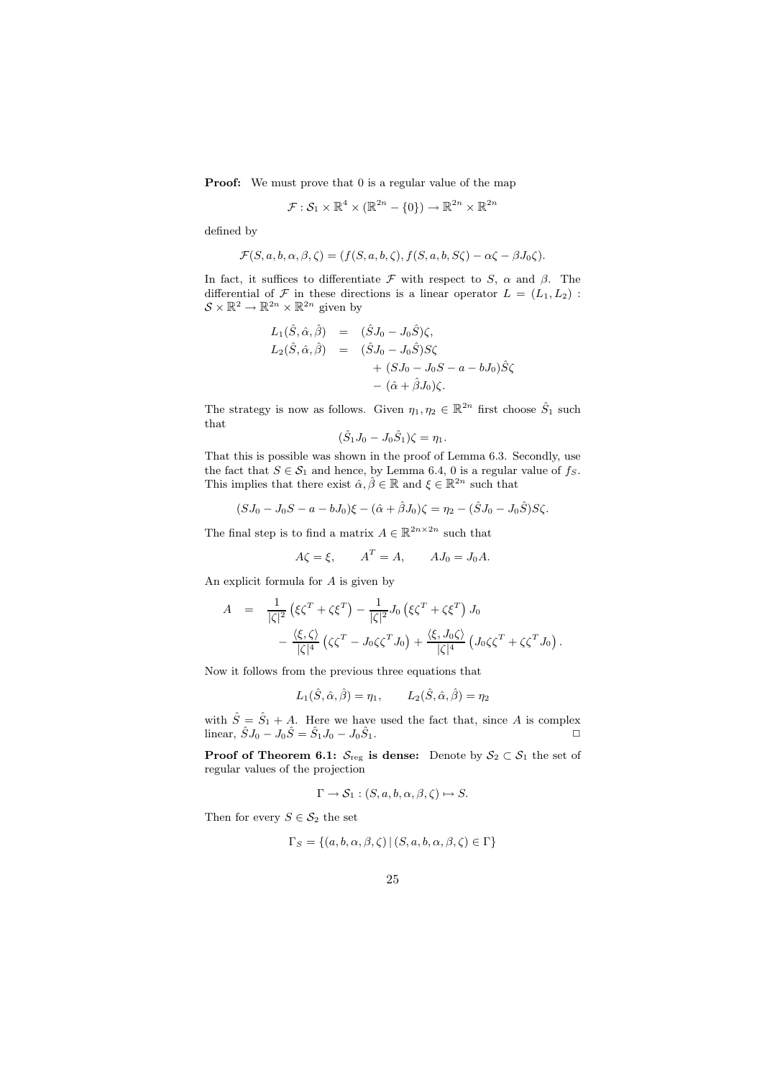Proof: We must prove that 0 is a regular value of the map

$$
\mathcal{F}: \mathcal{S}_1 \times \mathbb{R}^4 \times (\mathbb{R}^{2n} - \{0\}) \to \mathbb{R}^{2n} \times \mathbb{R}^{2n}
$$

defined by

$$
\mathcal{F}(S, a, b, \alpha, \beta, \zeta) = (f(S, a, b, \zeta), f(S, a, b, S\zeta) - \alpha \zeta - \beta J_0 \zeta).
$$

In fact, it suffices to differentiate  $\mathcal F$  with respect to S,  $\alpha$  and  $\beta$ . The differential of  $\mathcal F$  in these directions is a linear operator  $L = (L_1, L_2)$ :<br> $S \times \mathbb{R}^2 \to \mathbb{R}^{2n} \times \mathbb{R}^{2n}$  given by

$$
L_1(\hat{S}, \hat{\alpha}, \hat{\beta}) = (\hat{S}J_0 - J_0\hat{S})\zeta,
$$
  
\n
$$
L_2(\hat{S}, \hat{\alpha}, \hat{\beta}) = (\hat{S}J_0 - J_0\hat{S})S\zeta
$$
  
\n
$$
+ (SJ_0 - J_0S - a - bJ_0)\hat{S}\zeta
$$
  
\n
$$
- (\hat{\alpha} + \hat{\beta}J_0)\zeta.
$$

The strategy is now as follows. Given  $\eta_1, \eta_2 \in \mathbb{R}^{2n}$  first choose  $\hat{S}_1$  such that

$$
(\hat{S}_1 J_0 - J_0 \hat{S}_1)\zeta = \eta_1.
$$

That this is possible was shown in the proof of Lemma 6.3. Secondly, use the fact that  $S \in \mathcal{S}_1$  and hence, by Lemma 6.4, 0 is a regular value of  $f_S$ . This implies that there exist  $\hat{\alpha}, \hat{\beta} \in \mathbb{R}$  and  $\xi \in \mathbb{R}^{2n}$  such that

$$
(SJ_0 - J_0S - a - bJ_0)\xi - (\hat{\alpha} + \hat{\beta}J_0)\zeta = \eta_2 - (\hat{S}J_0 - J_0\hat{S})S\zeta.
$$

The final step is to find a matrix  $A \in \mathbb{R}^{2n \times 2n}$  such that

$$
A\zeta = \xi, \qquad A^T = A, \qquad AJ_0 = J_0 A.
$$

An explicit formula for A is given by

$$
A = \frac{1}{|\zeta|^2} \left( \xi \zeta^T + \zeta \xi^T \right) - \frac{1}{|\zeta|^2} J_0 \left( \xi \zeta^T + \zeta \xi^T \right) J_0
$$

$$
- \frac{\langle \xi, \zeta \rangle}{|\zeta|^4} \left( \zeta \zeta^T - J_0 \zeta \zeta^T J_0 \right) + \frac{\langle \xi, J_0 \zeta \rangle}{|\zeta|^4} \left( J_0 \zeta \zeta^T + \zeta \zeta^T J_0 \right).
$$

Now it follows from the previous three equations that

$$
L_1(\hat{S}, \hat{\alpha}, \hat{\beta}) = \eta_1, \qquad L_2(\hat{S}, \hat{\alpha}, \hat{\beta}) = \eta_2
$$

with  $\hat{S} = \hat{S}_1 + A$ . Here we have used the fact that, since A is complex linear,  $\hat{S}J_0 - J_0\hat{S} = \hat{S}_1J_0 - J_0\hat{S}_1.$ 

**Proof of Theorem 6.1:**  $S_{reg}$  is dense: Denote by  $S_2 \subset S_1$  the set of regular values of the projection

$$
\Gamma \to \mathcal{S}_1 : (S, a, b, \alpha, \beta, \zeta) \mapsto S.
$$

Then for every  $S \in \mathcal{S}_2$  the set

$$
\Gamma_S = \{(a, b, \alpha, \beta, \zeta) \mid (S, a, b, \alpha, \beta, \zeta) \in \Gamma\}
$$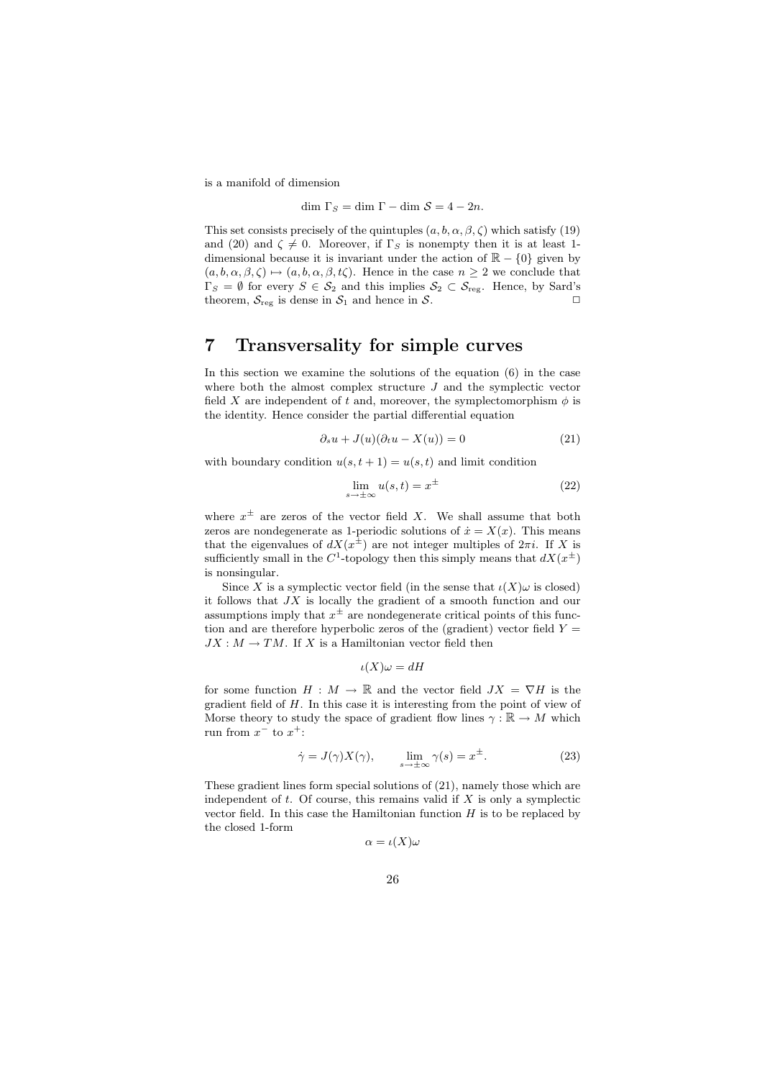is a manifold of dimension

$$
\dim \Gamma_S = \dim \Gamma - \dim \mathcal{S} = 4 - 2n.
$$

This set consists precisely of the quintuples  $(a, b, \alpha, \beta, \zeta)$  which satisfy (19) and (20) and  $\zeta \neq 0$ . Moreover, if  $\Gamma_S$  is nonempty then it is at least 1dimensional because it is invariant under the action of  $\mathbb{R} - \{0\}$  given by  $(a, b, \alpha, \beta, \zeta) \mapsto (a, b, \alpha, \beta, t\zeta)$ . Hence in the case  $n \geq 2$  we conclude that  $\Gamma_S = \emptyset$  for every  $S \in \mathcal{S}_2$  and this implies  $\mathcal{S}_2 \subset \mathcal{S}_{reg}$ . Hence, by Sard's theorem,  $S_{reg}$  is dense in  $S_1$  and hence in S.

#### 7 Transversality for simple curves

In this section we examine the solutions of the equation (6) in the case where both the almost complex structure  $J$  and the symplectic vector field X are independent of t and, moreover, the symplectomorphism  $\phi$  is the identity. Hence consider the partial differential equation

$$
\partial_s u + J(u)(\partial_t u - X(u)) = 0 \tag{21}
$$

with boundary condition  $u(s, t + 1) = u(s, t)$  and limit condition

$$
\lim_{s \to \pm \infty} u(s, t) = x^{\pm}
$$
\n(22)

where  $x^{\pm}$  are zeros of the vector field X. We shall assume that both zeros are nondegenerate as 1-periodic solutions of  $\dot{x} = X(x)$ . This means that the eigenvalues of  $dX(x^{\pm})$  are not integer multiples of  $2\pi i$ . If X is sufficiently small in the C<sup>1</sup>-topology then this simply means that  $dX(x^{\pm})$ is nonsingular.

Since X is a symplectic vector field (in the sense that  $\iota(X)\omega$  is closed) it follows that JX is locally the gradient of a smooth function and our assumptions imply that  $x^{\pm}$  are nondegenerate critical points of this function and are therefore hyperbolic zeros of the (gradient) vector field  $Y =$  $JX : M \to TM$ . If X is a Hamiltonian vector field then

$$
\iota(X)\omega = dH
$$

for some function  $H : M \to \mathbb{R}$  and the vector field  $JX = \nabla H$  is the gradient field of  $H$ . In this case it is interesting from the point of view of Morse theory to study the space of gradient flow lines  $\gamma : \mathbb{R} \to M$  which run from  $x^-$  to  $x^+$ :

$$
\dot{\gamma} = J(\gamma)X(\gamma), \qquad \lim_{s \to \pm \infty} \gamma(s) = x^{\pm}.
$$
 (23)

These gradient lines form special solutions of (21), namely those which are independent of  $t$ . Of course, this remains valid if  $X$  is only a symplectic vector field. In this case the Hamiltonian function  $H$  is to be replaced by the closed 1-form

$$
\alpha=\iota(X)\omega
$$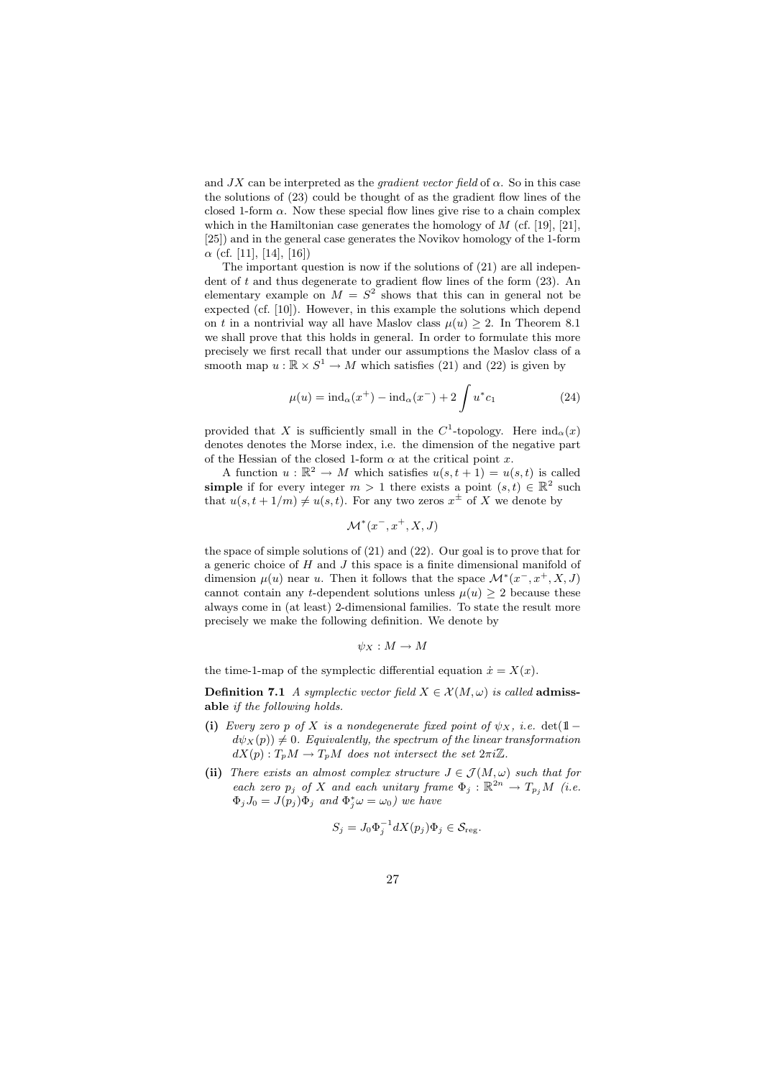and  $JX$  can be interpreted as the *gradient vector field* of  $\alpha$ . So in this case the solutions of (23) could be thought of as the gradient flow lines of the closed 1-form  $\alpha$ . Now these special flow lines give rise to a chain complex which in the Hamiltonian case generates the homology of  $M$  (cf. [19], [21], [25]) and in the general case generates the Novikov homology of the 1-form  $\alpha$  (cf. [11], [14], [16])

The important question is now if the solutions of (21) are all independent of t and thus degenerate to gradient flow lines of the form (23). An elementary example on  $M = S^2$  shows that this can in general not be expected (cf. [10]). However, in this example the solutions which depend on t in a nontrivial way all have Maslov class  $\mu(u) \geq 2$ . In Theorem 8.1 we shall prove that this holds in general. In order to formulate this more precisely we first recall that under our assumptions the Maslov class of a smooth map  $u : \mathbb{R} \times S^1 \to M$  which satisfies (21) and (22) is given by

$$
\mu(u) = \text{ind}_{\alpha}(x^{+}) - \text{ind}_{\alpha}(x^{-}) + 2 \int u^{*} c_{1}
$$
\n(24)

provided that X is sufficiently small in the C<sup>1</sup>-topology. Here  $ind_{\alpha}(x)$ denotes denotes the Morse index, i.e. the dimension of the negative part of the Hessian of the closed 1-form  $\alpha$  at the critical point x.

A function  $u : \mathbb{R}^2 \to M$  which satisfies  $u(s, t + 1) = u(s, t)$  is called **simple** if for every integer  $m > 1$  there exists a point  $(s,t) \in \mathbb{R}^2$  such that  $u(s, t + 1/m) \neq u(s, t)$ . For any two zeros  $x^{\pm}$  of X we denote by

$$
\mathcal{M}^*(x^-, x^+, X, J)
$$

the space of simple solutions of (21) and (22). Our goal is to prove that for a generic choice of H and J this space is a finite dimensional manifold of dimension  $\mu(u)$  near u. Then it follows that the space  $\mathcal{M}^*(x^-, x^+, X, J)$ cannot contain any t-dependent solutions unless  $\mu(u) \geq 2$  because these always come in (at least) 2-dimensional families. To state the result more precisely we make the following definition. We denote by

$$
\psi_X: M \to M
$$

the time-1-map of the symplectic differential equation  $\dot{x} = X(x)$ .

**Definition 7.1** A symplectic vector field  $X \in \mathcal{X}(M, \omega)$  is called **admiss**able if the following holds.

- (i) Every zero p of X is a nondegenerate fixed point of  $\psi_X$ , i.e. det(1l −  $d\psi_X(p)$   $\neq$  0. Equivalently, the spectrum of the linear transformation  $dX(p): T_pM \to T_pM$  does not intersect the set  $2\pi i\mathbb{Z}$ .
- (ii) There exists an almost complex structure  $J \in \mathcal{J}(M, \omega)$  such that for each zero  $p_j$  of X and each unitary frame  $\Phi_j : \mathbb{R}^{2n} \to T_{p_j}M$  (i.e.  $\Phi_j J_0 = J(p_j) \Phi_j$  and  $\Phi_j^* \omega = \omega_0$ ) we have

$$
S_j = J_0 \Phi_j^{-1} dX(p_j) \Phi_j \in \mathcal{S}_{\text{reg}}.
$$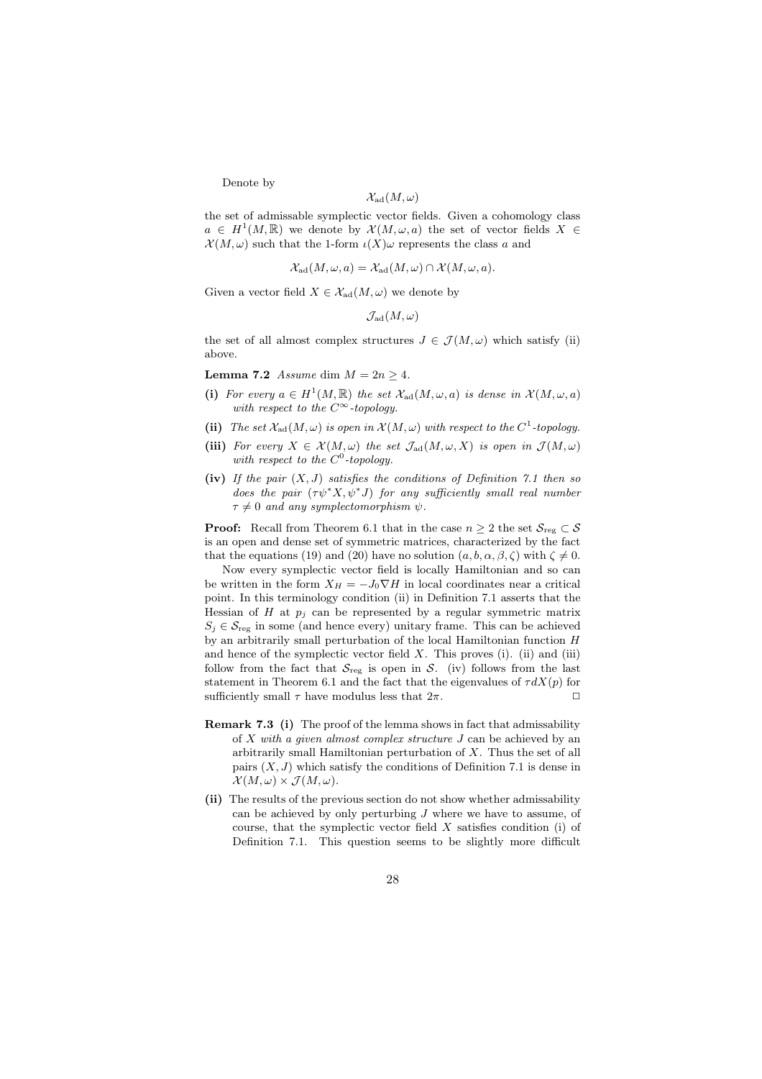Denote by

$$
\mathcal{X}_\mathrm{ad}(M,\omega)
$$

the set of admissable symplectic vector fields. Given a cohomology class  $a \in H^1(M,\mathbb{R})$  we denote by  $\mathcal{X}(M,\omega,a)$  the set of vector fields  $X \in$  $\mathcal{X}(M,\omega)$  such that the 1-form  $\iota(X)\omega$  represents the class a and

$$
\mathcal{X}_{\text{ad}}(M,\omega,a) = \mathcal{X}_{\text{ad}}(M,\omega) \cap \mathcal{X}(M,\omega,a).
$$

Given a vector field  $X \in \mathcal{X}_{ad}(M, \omega)$  we denote by

 $\mathcal{J}_{\mathrm{ad}}(M,\omega)$ 

the set of all almost complex structures  $J \in \mathcal{J}(M,\omega)$  which satisfy (ii) above.

Lemma 7.2 Assume dim  $M = 2n \geq 4$ .

- (i) For every  $a \in H^1(M, \mathbb{R})$  the set  $\mathcal{X}_{ad}(M, \omega, a)$  is dense in  $\mathcal{X}(M, \omega, a)$ with respect to the  $C^{\infty}$ -topology.
- (ii) The set  $\mathcal{X}_{ad}(M,\omega)$  is open in  $\mathcal{X}(M,\omega)$  with respect to the  $C^1$ -topology.
- (iii) For every  $X \in \mathcal{X}(M,\omega)$  the set  $\mathcal{J}_{ad}(M,\omega,X)$  is open in  $\mathcal{J}(M,\omega)$ with respect to the  $C^0$ -topology.
- (iv) If the pair  $(X, J)$  satisfies the conditions of Definition 7.1 then so does the pair  $(\tau \psi^* X, \psi^* J)$  for any sufficiently small real number  $\tau \neq 0$  and any symplectomorphism  $\psi$ .

**Proof:** Recall from Theorem 6.1 that in the case  $n \geq 2$  the set  $\mathcal{S}_{reg} \subset \mathcal{S}$ is an open and dense set of symmetric matrices, characterized by the fact that the equations (19) and (20) have no solution  $(a, b, \alpha, \beta, \zeta)$  with  $\zeta \neq 0$ .

Now every symplectic vector field is locally Hamiltonian and so can be written in the form  $X_H = -J_0 \nabla H$  in local coordinates near a critical point. In this terminology condition (ii) in Definition 7.1 asserts that the Hessian of H at  $p_i$  can be represented by a regular symmetric matrix  $S_i \in \mathcal{S}_{reg}$  in some (and hence every) unitary frame. This can be achieved by an arbitrarily small perturbation of the local Hamiltonian function H and hence of the symplectic vector field  $X$ . This proves (i). (ii) and (iii) follow from the fact that  $S_{reg}$  is open in S. (iv) follows from the last statement in Theorem 6.1 and the fact that the eigenvalues of  $\tau dX(p)$  for sufficiently small  $\tau$  have modulus less that  $2\pi$ .

- Remark 7.3 (i) The proof of the lemma shows in fact that admissability of X with a given almost complex structure J can be achieved by an arbitrarily small Hamiltonian perturbation of X. Thus the set of all pairs  $(X, J)$  which satisfy the conditions of Definition 7.1 is dense in  $\mathcal{X}(M,\omega)\times\mathcal{J}(M,\omega).$
- (ii) The results of the previous section do not show whether admissability can be achieved by only perturbing  $J$  where we have to assume, of course, that the symplectic vector field X satisfies condition (i) of Definition 7.1. This question seems to be slightly more difficult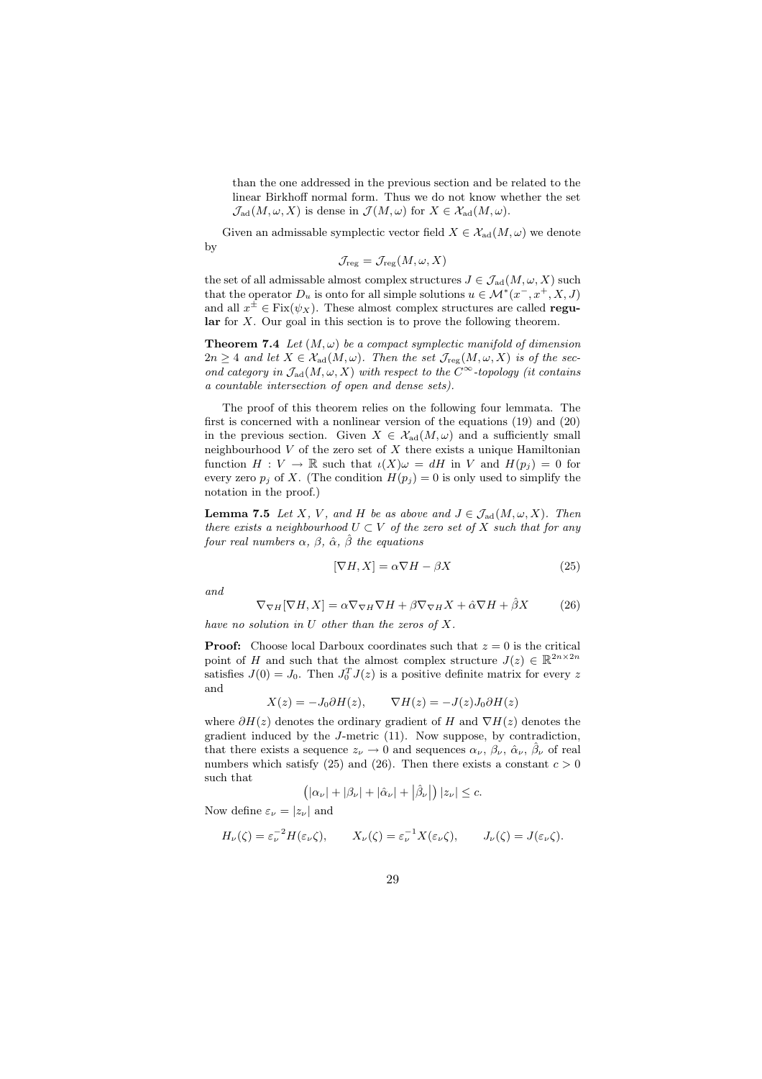than the one addressed in the previous section and be related to the linear Birkhoff normal form. Thus we do not know whether the set  $\mathcal{J}_{\mathrm{ad}}(M,\omega,X)$  is dense in  $\mathcal{J}(M,\omega)$  for  $X \in \mathcal{X}_{\mathrm{ad}}(M,\omega)$ .

Given an admissable symplectic vector field  $X \in \mathcal{X}_{ad}(M, \omega)$  we denote by

$$
\mathcal{J}_{\text{reg}} = \mathcal{J}_{\text{reg}}(M,\omega,X)
$$

the set of all admissable almost complex structures  $J \in \mathcal{J}_{ad}(M, \omega, X)$  such that the operator  $D_u$  is onto for all simple solutions  $u \in \mathcal{M}^*(x^-, x^+, X, J)$ and all  $x^{\pm} \in Fix(\psi_X)$ . These almost complex structures are called regu- $\text{lar}$  for X. Our goal in this section is to prove the following theorem.

**Theorem 7.4** Let  $(M, \omega)$  be a compact symplectic manifold of dimension  $2n \geq 4$  and let  $X \in \mathcal{X}_{ad}(M,\omega)$ . Then the set  $\mathcal{J}_{reg}(M,\omega,X)$  is of the second category in  $\mathcal{J}_{ad}(M, \omega, X)$  with respect to the  $C^{\infty}$ -topology (it contains a countable intersection of open and dense sets).

The proof of this theorem relies on the following four lemmata. The first is concerned with a nonlinear version of the equations (19) and (20) in the previous section. Given  $X \in \mathcal{X}_{ad}(M,\omega)$  and a sufficiently small neighbourhood  $V$  of the zero set of  $X$  there exists a unique Hamiltonian function  $H: V \to \mathbb{R}$  such that  $\iota(X)\omega = dH$  in V and  $H(p_i) = 0$  for every zero  $p_j$  of X. (The condition  $H(p_j) = 0$  is only used to simplify the notation in the proof.)

**Lemma 7.5** Let X, V, and H be as above and  $J \in \mathcal{J}_{ad}(M, \omega, X)$ . Then there exists a neighbourhood  $U \subset V$  of the zero set of X such that for any four real numbers  $\alpha$ ,  $\beta$ ,  $\hat{\alpha}$ ,  $\hat{\beta}$  the equations

$$
[\nabla H, X] = \alpha \nabla H - \beta X \tag{25}
$$

and

$$
\nabla_{\nabla H} [\nabla H, X] = \alpha \nabla_{\nabla H} \nabla H + \beta \nabla_{\nabla H} X + \hat{\alpha} \nabla H + \hat{\beta} X \tag{26}
$$

have no solution in  $U$  other than the zeros of  $X$ .

**Proof:** Choose local Darboux coordinates such that  $z = 0$  is the critical point of H and such that the almost complex structure  $J(z) \in \mathbb{R}^{2n \times 2n}$ satisfies  $J(0) = J_0$ . Then  $J_0^T J(z)$  is a positive definite matrix for every z and

$$
X(z) = -J_0 \partial H(z), \qquad \nabla H(z) = -J(z)J_0 \partial H(z)
$$

where  $\partial H(z)$  denotes the ordinary gradient of H and  $\nabla H(z)$  denotes the gradient induced by the J-metric (11). Now suppose, by contradiction, that there exists a sequence  $z_{\nu} \to 0$  and sequences  $\alpha_{\nu}, \beta_{\nu}, \hat{\alpha}_{\nu}, \hat{\beta}_{\nu}$  of real numbers which satisfy (25) and (26). Then there exists a constant  $c > 0$ such that

$$
\left( |\alpha_{\nu}| + |\beta_{\nu}| + |\hat{\alpha}_{\nu}| + |\hat{\beta}_{\nu}| \right) |z_{\nu}| \leq c.
$$

Now define  $\varepsilon_{\nu} = |z_{\nu}|$  and

$$
H_{\nu}(\zeta) = \varepsilon_{\nu}^{-2} H(\varepsilon_{\nu}\zeta), \qquad X_{\nu}(\zeta) = \varepsilon_{\nu}^{-1} X(\varepsilon_{\nu}\zeta), \qquad J_{\nu}(\zeta) = J(\varepsilon_{\nu}\zeta).
$$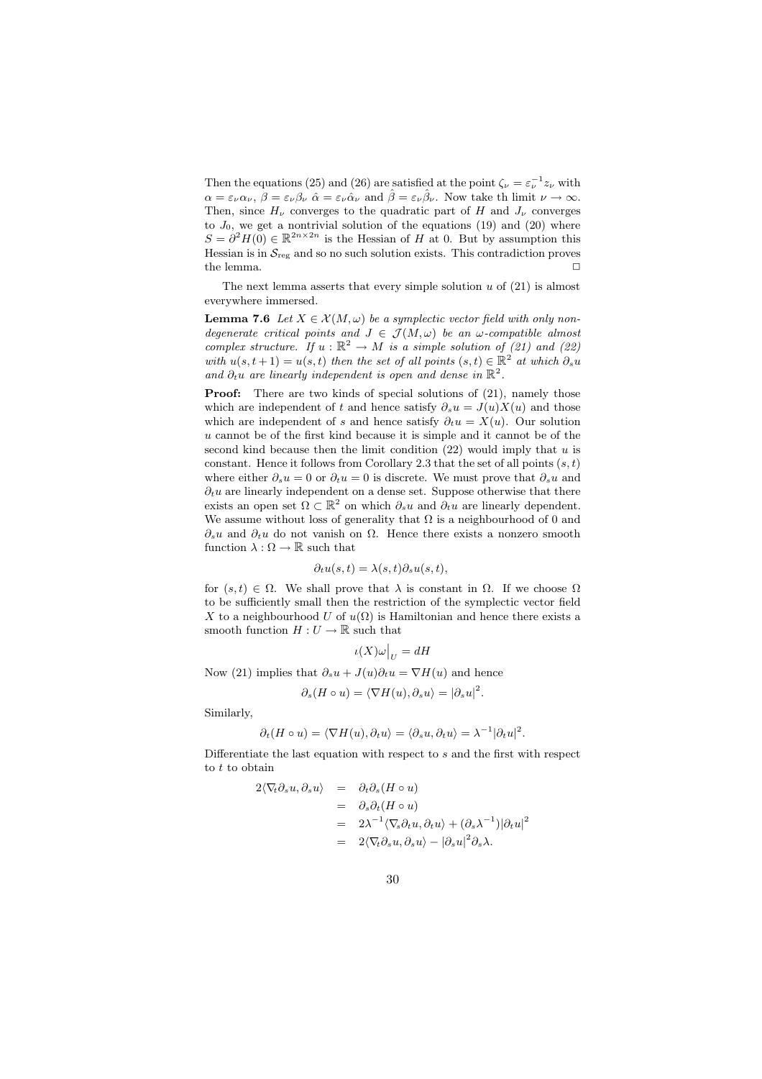Then the equations (25) and (26) are satisfied at the point  $\zeta_{\nu} = \varepsilon_{\nu}^{-1} z_{\nu}$  with  $\alpha = \varepsilon_{\nu}\alpha_{\nu}, \ \beta = \varepsilon_{\nu}\beta_{\nu} \ \hat{\alpha} = \varepsilon_{\nu}\hat{\alpha}_{\nu}$  and  $\hat{\beta} = \varepsilon_{\nu}\hat{\beta}_{\nu}$ . Now take th limit  $\nu \to \infty$ . Then, since  $H_{\nu}$  converges to the quadratic part of H and  $J_{\nu}$  converges to  $J_0$ , we get a nontrivial solution of the equations (19) and (20) where  $S = \partial^2 H(0) \in \mathbb{R}^{2n \times 2n}$  is the Hessian of H at 0. But by assumption this Hessian is in  $S_{reg}$  and so no such solution exists. This contradiction proves the lemma.  $\hfill \square$ 

The next lemma asserts that every simple solution  $u$  of  $(21)$  is almost everywhere immersed.

**Lemma 7.6** Let  $X \in \mathcal{X}(M, \omega)$  be a symplectic vector field with only nondegenerate critical points and  $J \in \mathcal{J}(M, \omega)$  be an  $\omega$ -compatible almost complex structure. If  $u : \mathbb{R}^2 \to M$  is a simple solution of (21) and (22) with  $u(s,t+1) = u(s,t)$  then the set of all points  $(s,t) \in \mathbb{R}^2$  at which  $\partial_s u$ and  $\partial_t u$  are linearly independent is open and dense in  $\mathbb{R}^2$ .

**Proof:** There are two kinds of special solutions of  $(21)$ , namely those which are independent of t and hence satisfy  $\partial_s u = J(u)X(u)$  and those which are independent of s and hence satisfy  $\partial_t u = X(u)$ . Our solution u cannot be of the first kind because it is simple and it cannot be of the second kind because then the limit condition  $(22)$  would imply that u is constant. Hence it follows from Corollary 2.3 that the set of all points  $(s, t)$ where either  $\partial_s u = 0$  or  $\partial_t u = 0$  is discrete. We must prove that  $\partial_s u$  and  $\partial_t u$  are linearly independent on a dense set. Suppose otherwise that there exists an open set  $\Omega \subset \mathbb{R}^2$  on which  $\partial_s u$  and  $\partial_t u$  are linearly dependent. We assume without loss of generality that  $\Omega$  is a neighbourhood of 0 and  $\partial_s u$  and  $\partial_t u$  do not vanish on  $\Omega$ . Hence there exists a nonzero smooth function  $\lambda:\Omega\to\mathbb{R}$  such that

$$
\partial_t u(s,t) = \lambda(s,t) \partial_s u(s,t),
$$

for  $(s,t) \in \Omega$ . We shall prove that  $\lambda$  is constant in  $\Omega$ . If we choose  $\Omega$ to be sufficiently small then the restriction of the symplectic vector field X to a neighbourhood U of  $u(\Omega)$  is Hamiltonian and hence there exists a smooth function  $H:U\to\mathbb{R}$  such that

$$
\iota(X)\omega\big|_U=dH
$$

Now (21) implies that  $\partial_s u + J(u)\partial_t u = \nabla H(u)$  and hence

$$
\partial_s(H \circ u) = \langle \nabla H(u), \partial_s u \rangle = |\partial_s u|^2.
$$

Similarly,

$$
\partial_t (H \circ u) = \langle \nabla H(u), \partial_t u \rangle = \langle \partial_s u, \partial_t u \rangle = \lambda^{-1} |\partial_t u|^2
$$

.

Differentiate the last equation with respect to s and the first with respect to  $t$  to obtain

$$
2\langle \nabla_t \partial_s u, \partial_s u \rangle = \partial_t \partial_s (H \circ u)
$$
  
=  $\partial_s \partial_t (H \circ u)$   
=  $2\lambda^{-1} \langle \nabla_s \partial_t u, \partial_t u \rangle + (\partial_s \lambda^{-1}) |\partial_t u|^2$   
=  $2\langle \nabla_t \partial_s u, \partial_s u \rangle - |\partial_s u|^2 \partial_s \lambda$ .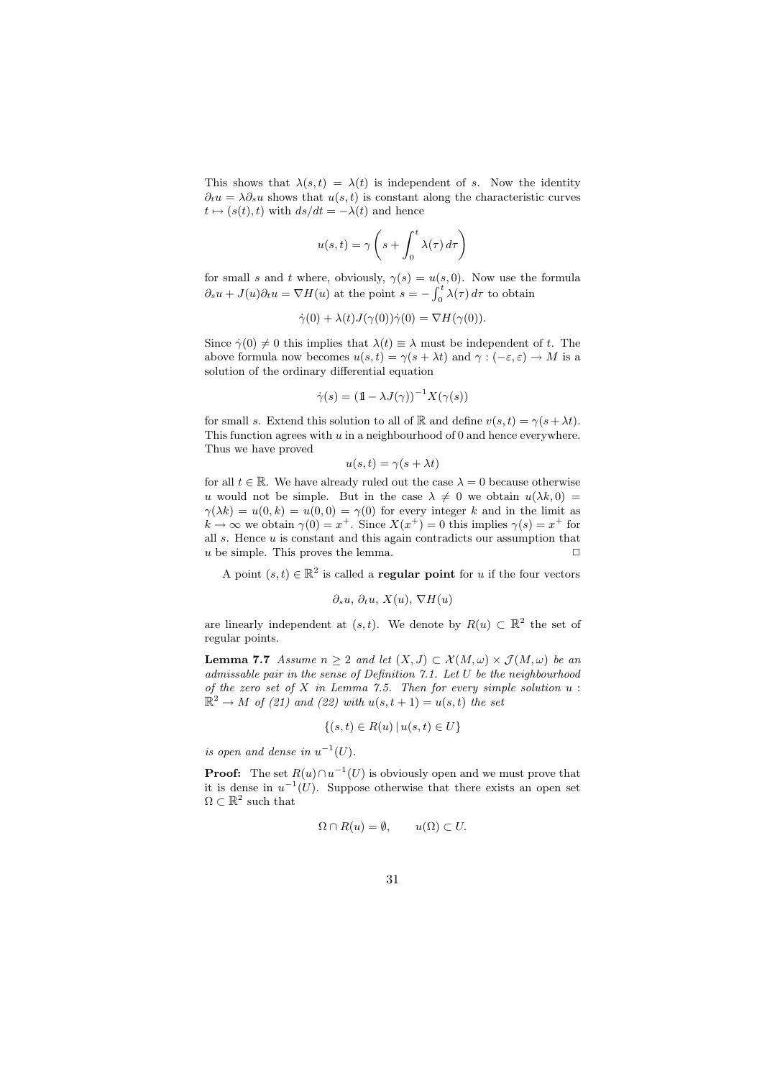This shows that  $\lambda(s,t) = \lambda(t)$  is independent of s. Now the identity  $\partial_t u = \lambda \partial_s u$  shows that  $u(s,t)$  is constant along the characteristic curves  $t \mapsto (s(t),t)$  with  $ds/dt = -\lambda(t)$  and hence

$$
u(s,t) = \gamma \left(s + \int_0^t \lambda(\tau) d\tau\right)
$$

for small s and t where, obviously,  $\gamma(s) = u(s, 0)$ . Now use the formula  $\partial_s u + J(u)\partial_t u = \nabla H(u)$  at the point  $s = -\int_0^t \lambda(\tau) d\tau$  to obtain

$$
\dot{\gamma}(0) + \lambda(t)J(\gamma(0))\dot{\gamma}(0) = \nabla H(\gamma(0)).
$$

Since  $\dot{\gamma}(0) \neq 0$  this implies that  $\lambda(t) \equiv \lambda$  must be independent of t. The above formula now becomes  $u(s,t) = \gamma(s + \lambda t)$  and  $\gamma : (-\varepsilon, \varepsilon) \to M$  is a solution of the ordinary differential equation

$$
\dot{\gamma}(s) = \left(\mathbb{1} - \lambda J(\gamma)\right)^{-1} X(\gamma(s))
$$

for small s. Extend this solution to all of R and define  $v(s,t) = \gamma(s + \lambda t)$ . This function agrees with  $u$  in a neighbourhood of 0 and hence everywhere. Thus we have proved

$$
u(s,t) = \gamma(s + \lambda t)
$$

for all  $t \in \mathbb{R}$ . We have already ruled out the case  $\lambda = 0$  because otherwise u would not be simple. But in the case  $\lambda \neq 0$  we obtain  $u(\lambda k, 0) =$  $\gamma(\lambda k) = u(0, k) = u(0, 0) = \gamma(0)$  for every integer k and in the limit as  $k \to \infty$  we obtain  $\gamma(0) = x^+$ . Since  $X(x^+) = 0$  this implies  $\gamma(s) = x^+$  for all  $s$ . Hence  $u$  is constant and this again contradicts our assumption that u be simple. This proves the lemma.  $\Box$ 

A point  $(s,t) \in \mathbb{R}^2$  is called a **regular point** for u if the four vectors

$$
\partial_s u, \partial_t u, X(u), \nabla H(u)
$$

are linearly independent at  $(s,t)$ . We denote by  $R(u) \subset \mathbb{R}^2$  the set of regular points.

**Lemma 7.7** Assume  $n \geq 2$  and let  $(X, J) \subset \mathcal{X}(M, \omega) \times \mathcal{J}(M, \omega)$  be an admissable pair in the sense of Definition 7.1. Let U be the neighbourhood of the zero set of  $X$  in Lemma 7.5. Then for every simple solution  $u$  :  $\mathbb{R}^2 \to M$  of (21) and (22) with  $u(s,t+1) = u(s,t)$  the set

$$
\{(s,t) \in R(u) \, | \, u(s,t) \in U\}
$$

is open and dense in  $u^{-1}(U)$ .

**Proof:** The set  $R(u) \cap u^{-1}(U)$  is obviously open and we must prove that it is dense in  $u^{-1}(U)$ . Suppose otherwise that there exists an open set  $\Omega \subset \mathbb{R}^2$  such that

$$
\Omega \cap R(u) = \emptyset, \qquad u(\Omega) \subset U.
$$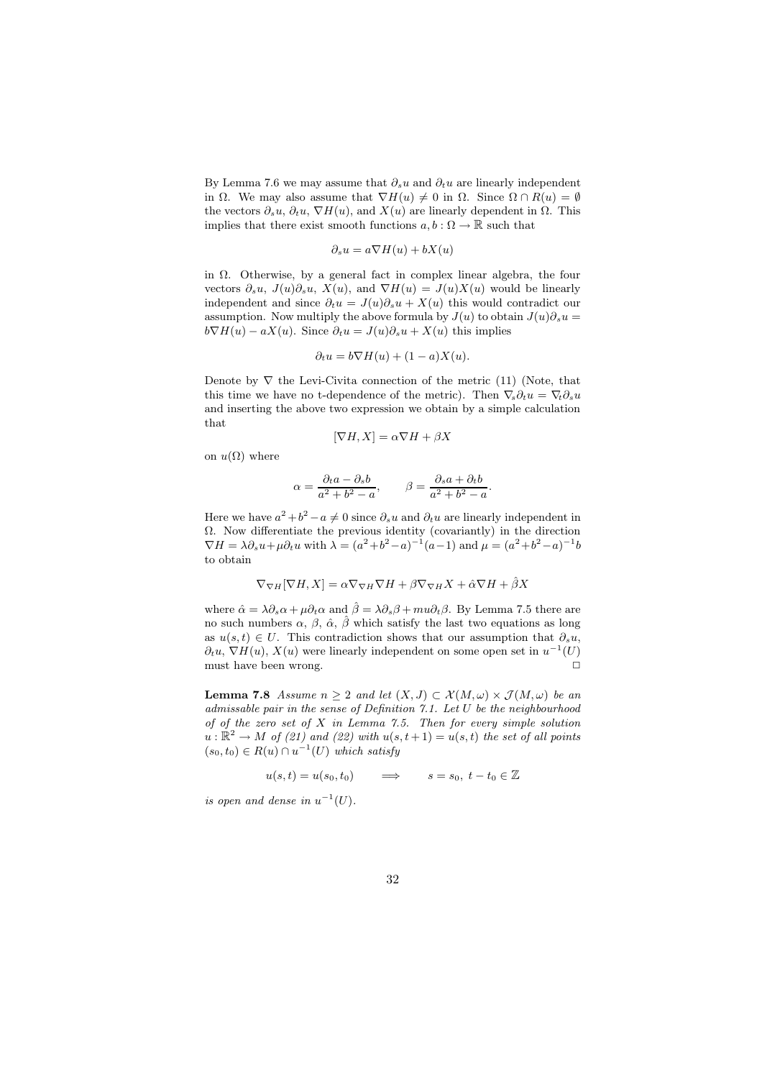By Lemma 7.6 we may assume that  $\partial_s u$  and  $\partial_t u$  are linearly independent in  $\Omega$ . We may also assume that  $\nabla H(u) \neq 0$  in  $\Omega$ . Since  $\Omega \cap R(u) = \emptyset$ the vectors  $\partial_s u$ ,  $\partial_t u$ ,  $\nabla H(u)$ , and  $X(u)$  are linearly dependent in  $\Omega$ . This implies that there exist smooth functions  $a, b : \Omega \to \mathbb{R}$  such that

$$
\partial_s u = a \nabla H(u) + bX(u)
$$

in Ω. Otherwise, by a general fact in complex linear algebra, the four vectors  $\partial_s u$ ,  $J(u)\partial_s u$ ,  $X(u)$ , and  $\nabla H(u) = J(u)X(u)$  would be linearly independent and since  $\partial_t u = J(u)\partial_s u + X(u)$  this would contradict our assumption. Now multiply the above formula by  $J(u)$  to obtain  $J(u)\partial_s u =$  $b\nabla H(u) - aX(u)$ . Since  $\partial_t u = J(u)\partial_s u + X(u)$  this implies

$$
\partial_t u = b \nabla H(u) + (1 - a)X(u).
$$

Denote by  $\nabla$  the Levi-Civita connection of the metric (11) (Note, that this time we have no t-dependence of the metric). Then  $\nabla_s \partial_t u = \nabla_t \partial_s u$ and inserting the above two expression we obtain by a simple calculation that

$$
[\nabla H, X] = \alpha \nabla H + \beta X
$$

on  $u(\Omega)$  where

$$
\alpha = \frac{\partial_t a - \partial_s b}{a^2 + b^2 - a}, \qquad \beta = \frac{\partial_s a + \partial_t b}{a^2 + b^2 - a}.
$$

Here we have  $a^2 + b^2 - a \neq 0$  since  $\partial_s u$  and  $\partial_t u$  are linearly independent in  $\Omega$ . Now differentiate the previous identity (covariantly) in the direction  $\nabla H = \lambda \partial_s u + \mu \partial_t u$  with  $\lambda = (a^2 + b^2 - a)^{-1} (a - 1)$  and  $\mu = (a^2 + b^2 - a)^{-1} b$ to obtain

$$
\nabla_{\nabla H}[\nabla H, X] = \alpha \nabla_{\nabla H} \nabla H + \beta \nabla_{\nabla H} X + \hat{\alpha} \nabla H + \hat{\beta} X
$$

where  $\hat{\alpha} = \lambda \partial_s \alpha + \mu \partial_t \alpha$  and  $\hat{\beta} = \lambda \partial_s \beta + \mu \partial_t \beta$ . By Lemma 7.5 there are no such numbers  $\alpha$ ,  $\beta$ ,  $\hat{\alpha}$ ,  $\hat{\beta}$  which satisfy the last two equations as long as  $u(s,t) \in U$ . This contradiction shows that our assumption that  $\partial_s u$ ,  $\partial_t u$ ,  $\nabla H(u)$ ,  $X(u)$  were linearly independent on some open set in  $u^{-1}(U)$ must have been wrong.  $\hfill \Box$ 

**Lemma 7.8** Assume  $n \geq 2$  and let  $(X, J) \subset \mathcal{X}(M, \omega) \times \mathcal{J}(M, \omega)$  be an admissable pair in the sense of Definition 7.1. Let U be the neighbourhood of of the zero set of  $X$  in Lemma 7.5. Then for every simple solution  $u : \mathbb{R}^2 \to M$  of (21) and (22) with  $u(s,t+1) = u(s,t)$  the set of all points  $(s_0, t_0) \in R(u) \cap u^{-1}(U)$  which satisfy

 $u(s,t) = u(s_0,t_0) \qquad \Longrightarrow \qquad s = s_0, \ t - t_0 \in \mathbb{Z}$ 

is open and dense in  $u^{-1}(U)$ .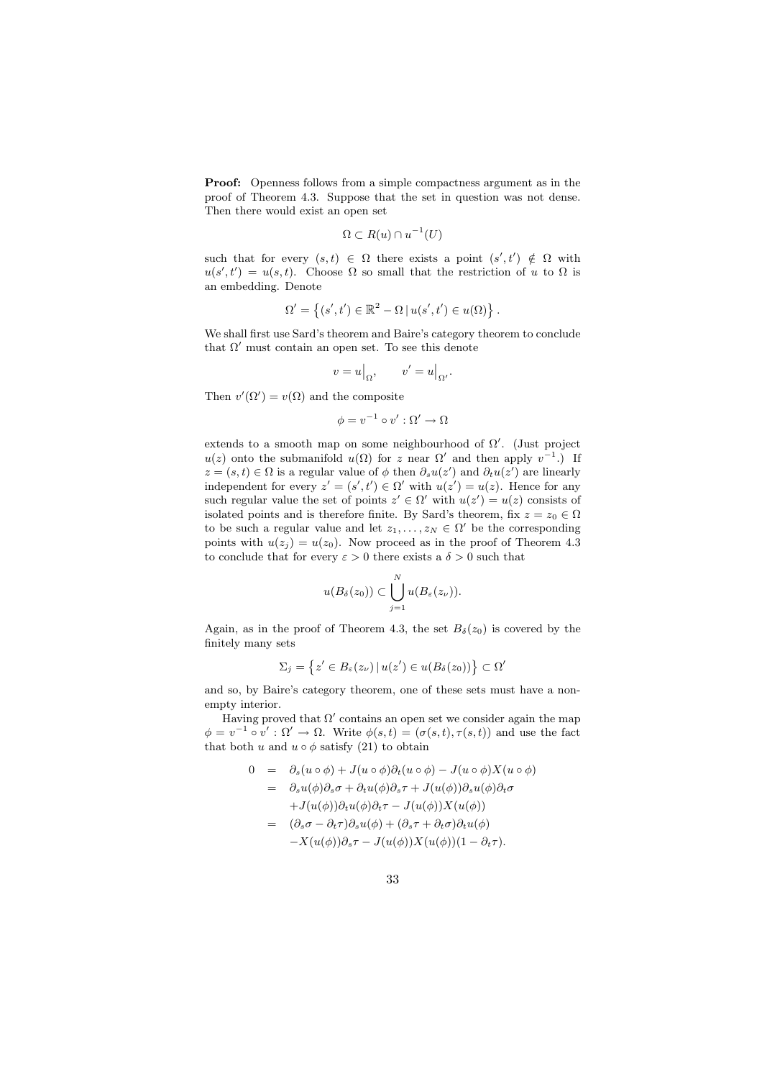Proof: Openness follows from a simple compactness argument as in the proof of Theorem 4.3. Suppose that the set in question was not dense. Then there would exist an open set

$$
\Omega \subset R(u) \cap u^{-1}(U)
$$

such that for every  $(s,t) \in \Omega$  there exists a point  $(s',t') \notin \Omega$  with  $u(s',t') = u(s,t)$ . Choose  $\Omega$  so small that the restriction of u to  $\Omega$  is an embedding. Denote

$$
\Omega' = \left\{ (s', t') \in \mathbb{R}^2 - \Omega \, | \, u(s', t') \in u(\Omega) \right\}.
$$

We shall first use Sard's theorem and Baire's category theorem to conclude that  $\Omega'$  must contain an open set. To see this denote

$$
v = u\big|_{\Omega}, \qquad v' = u\big|_{\Omega'}.
$$

Then  $v'(\Omega') = v(\Omega)$  and the composite

$$
\phi = v^{-1} \circ v' : \Omega' \to \Omega
$$

extends to a smooth map on some neighbourhood of  $\Omega'$ . (Just project  $u(z)$  onto the submanifold  $u(\Omega)$  for z near  $\Omega'$  and then apply  $v^{-1}$ .) If  $z = (s, t) \in \Omega$  is a regular value of  $\phi$  then  $\partial_s u(z')$  and  $\partial_t u(z')$  are linearly independent for every  $z' = (s', t') \in \Omega'$  with  $u(z') = u(z)$ . Hence for any such regular value the set of points  $z' \in \Omega'$  with  $u(z') = u(z)$  consists of isolated points and is therefore finite. By Sard's theorem, fix  $z = z_0 \in \Omega$ to be such a regular value and let  $z_1, \ldots, z_N \in \Omega'$  be the corresponding points with  $u(z_i) = u(z_0)$ . Now proceed as in the proof of Theorem 4.3 to conclude that for every  $\varepsilon > 0$  there exists a  $\delta > 0$  such that

$$
u(B_{\delta}(z_0))\subset \bigcup_{j=1}^N u(B_{\varepsilon}(z_{\nu})).
$$

Again, as in the proof of Theorem 4.3, the set  $B_\delta(z_0)$  is covered by the finitely many sets

$$
\Sigma_j = \left\{ z' \in B_{\varepsilon}(z_{\nu}) \, | \, u(z') \in u(B_{\delta}(z_0)) \right\} \subset \Omega'
$$

and so, by Baire's category theorem, one of these sets must have a nonempty interior.

Having proved that  $\Omega'$  contains an open set we consider again the map  $\phi = v^{-1} \circ v' : \Omega' \to \Omega$ . Write  $\phi(s,t) = (\sigma(s,t), \tau(s,t))$  and use the fact that both u and  $u \circ \phi$  satisfy (21) to obtain

$$
0 = \partial_s(u \circ \phi) + J(u \circ \phi)\partial_t(u \circ \phi) - J(u \circ \phi)X(u \circ \phi)
$$
  
\n
$$
= \partial_s u(\phi)\partial_s \sigma + \partial_t u(\phi)\partial_s \tau + J(u(\phi))\partial_s u(\phi)\partial_t \sigma
$$
  
\n
$$
+ J(u(\phi))\partial_t u(\phi)\partial_t \tau - J(u(\phi))X(u(\phi))
$$
  
\n
$$
= (\partial_s \sigma - \partial_t \tau)\partial_s u(\phi) + (\partial_s \tau + \partial_t \sigma)\partial_t u(\phi)
$$
  
\n
$$
- X(u(\phi))\partial_s \tau - J(u(\phi))X(u(\phi))(1 - \partial_t \tau).
$$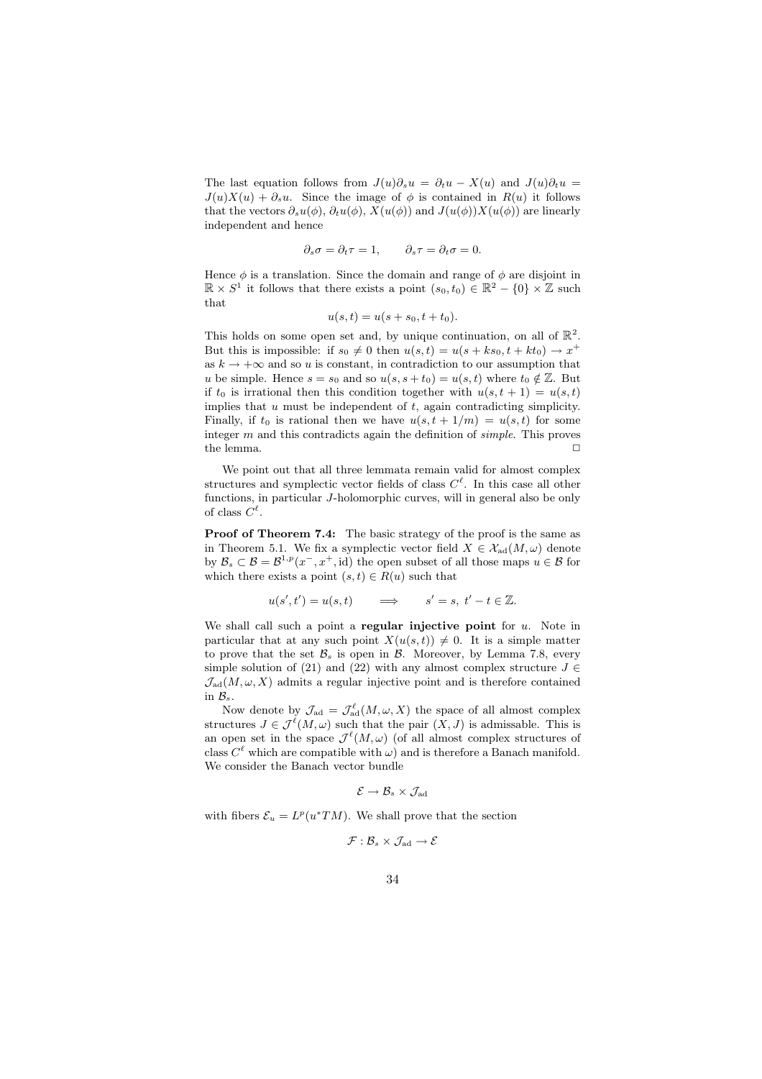The last equation follows from  $J(u)\partial_s u = \partial_t u - X(u)$  and  $J(u)\partial_t u =$  $J(u)X(u) + \partial_s u$ . Since the image of  $\phi$  is contained in  $R(u)$  it follows that the vectors  $\partial_s u(\phi)$ ,  $\partial_t u(\phi)$ ,  $X(u(\phi))$  and  $J(u(\phi))X(u(\phi))$  are linearly independent and hence

$$
\partial_s \sigma = \partial_t \tau = 1, \qquad \partial_s \tau = \partial_t \sigma = 0.
$$

Hence  $\phi$  is a translation. Since the domain and range of  $\phi$  are disjoint in  $\mathbb{R} \times S^1$  it follows that there exists a point  $(s_0, t_0) \in \mathbb{R}^2 - \{0\} \times \mathbb{Z}$  such that

$$
u(s,t) = u(s + s_0, t + t_0).
$$

This holds on some open set and, by unique continuation, on all of  $\mathbb{R}^2$ . But this is impossible: if  $s_0 \neq 0$  then  $u(s,t) = u(s + ks_0, t + kt_0) \rightarrow x^+$ as  $k \to +\infty$  and so u is constant, in contradiction to our assumption that u be simple. Hence  $s = s_0$  and so  $u(s, s + t_0) = u(s, t)$  where  $t_0 \notin \mathbb{Z}$ . But if  $t_0$  is irrational then this condition together with  $u(s,t + 1) = u(s,t)$ implies that  $u$  must be independent of  $t$ , again contradicting simplicity. Finally, if  $t_0$  is rational then we have  $u(s,t + 1/m) = u(s,t)$  for some integer  $m$  and this contradicts again the definition of *simple*. This proves the lemma.  $\Box$ 

We point out that all three lemmata remain valid for almost complex structures and symplectic vector fields of class  $C^{\ell}$ . In this case all other functions, in particular J-holomorphic curves, will in general also be only of class  $C^{\ell}$ .

Proof of Theorem 7.4: The basic strategy of the proof is the same as in Theorem 5.1. We fix a symplectic vector field  $X \in \mathcal{X}_{ad}(M, \omega)$  denote by  $\mathcal{B}_s \subset \mathcal{B} = \mathcal{B}^{1,p}(x^-, x^+, \text{id})$  the open subset of all those maps  $u \in \mathcal{B}$  for which there exists a point  $(s,t) \in R(u)$  such that

$$
u(s',t') = u(s,t) \qquad \Longrightarrow \qquad s' = s, \ t' - t \in \mathbb{Z}.
$$

We shall call such a point a **regular injective point** for  $u$ . Note in particular that at any such point  $X(u(s,t)) \neq 0$ . It is a simple matter to prove that the set  $\mathcal{B}_s$  is open in  $\mathcal{B}$ . Moreover, by Lemma 7.8, every simple solution of (21) and (22) with any almost complex structure  $J \in$  $\mathcal{J}_{\text{ad}}(M,\omega,X)$  admits a regular injective point and is therefore contained in  $\mathcal{B}_s$ .

Now denote by  $\mathcal{J}_{ad} = \mathcal{J}_{ad}^{\ell}(M, \omega, X)$  the space of all almost complex structures  $J \in \mathcal{J}^{\ell}(M, \omega)$  such that the pair  $(X, J)$  is admissable. This is an open set in the space  $\mathcal{J}^{\ell}(M,\omega)$  (of all almost complex structures of class  $C^{\ell}$  which are compatible with  $\omega$ ) and is therefore a Banach manifold. We consider the Banach vector bundle

$$
\mathcal{E} \to \mathcal{B}_s \times \mathcal{J}_{\mathrm{ad}}
$$

with fibers  $\mathcal{E}_u = L^p(u^*TM)$ . We shall prove that the section

$$
\mathcal{F}:\mathcal{B}_s\times\mathcal{J}_{\mathrm{ad}}\to\mathcal{E}
$$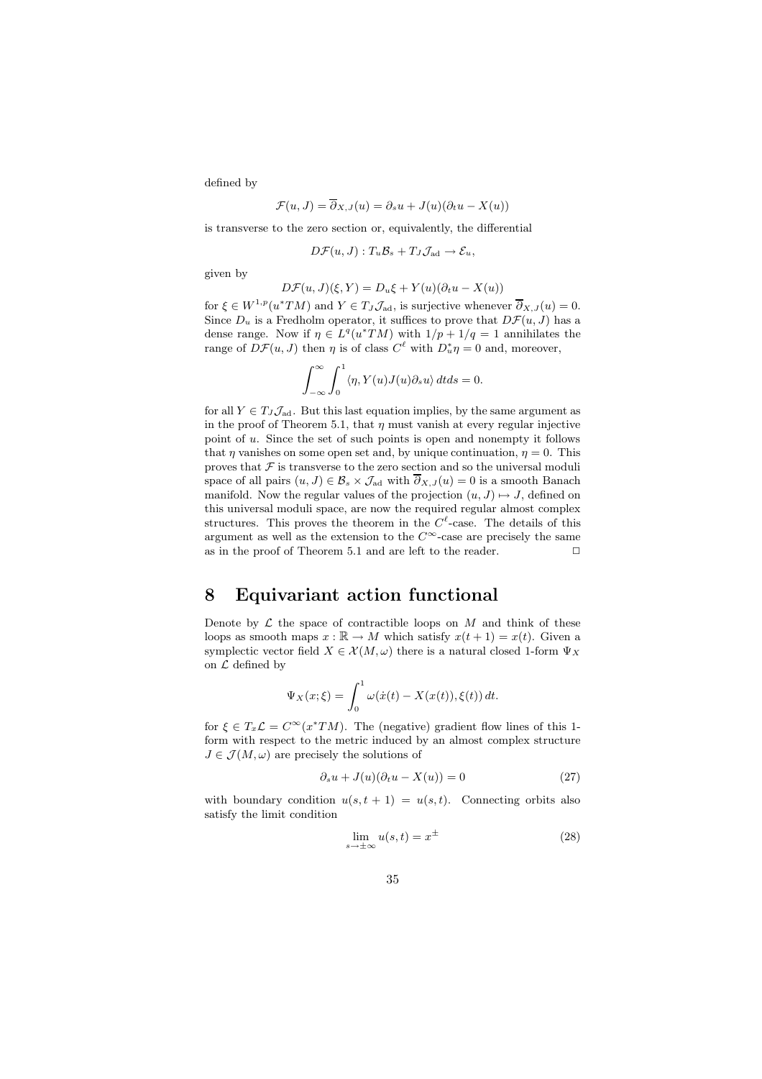defined by

$$
\mathcal{F}(u, J) = \overline{\partial}_{X, J}(u) = \partial_s u + J(u)(\partial_t u - X(u))
$$

is transverse to the zero section or, equivalently, the differential

$$
D\mathcal{F}(u, J): T_u \mathcal{B}_s + T_J \mathcal{J}_{ad} \to \mathcal{E}_u,
$$

given by

$$
D\mathcal{F}(u, J)(\xi, Y) = D_u \xi + Y(u)(\partial_t u - X(u))
$$

for  $\xi \in W^{1,p}(u^*TM)$  and  $Y \in T_J\mathcal{J}_{ad}$ , is surjective whenever  $\overline{\partial}_{X,J}(u) = 0$ . Since  $D_u$  is a Fredholm operator, it suffices to prove that  $D\mathcal{F}(u, J)$  has a dense range. Now if  $\eta \in L^q(u^*TM)$  with  $1/p + 1/q = 1$  annihilates the range of  $D\mathcal{F}(u, J)$  then  $\eta$  is of class  $C^{\ell}$  with  $D^*_{u}\eta = 0$  and, moreover,

$$
\int_{-\infty}^{\infty} \int_{0}^{1} \langle \eta, Y(u)J(u)\partial_s u \rangle dt ds = 0.
$$

for all  $Y \in T_J \mathcal{J}_{ad}$ . But this last equation implies, by the same argument as in the proof of Theorem 5.1, that  $\eta$  must vanish at every regular injective point of u. Since the set of such points is open and nonempty it follows that  $\eta$  vanishes on some open set and, by unique continuation,  $\eta = 0$ . This proves that  $\mathcal F$  is transverse to the zero section and so the universal moduli space of all pairs  $(u, J) \in \mathcal{B}_s \times \mathcal{J}_{ad}$  with  $\overline{\partial}_{X,J}(u) = 0$  is a smooth Banach manifold. Now the regular values of the projection  $(u, J) \mapsto J$ , defined on this universal moduli space, are now the required regular almost complex structures. This proves the theorem in the  $C^{\ell}$ -case. The details of this argument as well as the extension to the  $C^{\infty}$ -case are precisely the same as in the proof of Theorem 5.1 and are left to the reader.  $\Box$ 

# 8 Equivariant action functional

Denote by  $\mathcal L$  the space of contractible loops on  $M$  and think of these loops as smooth maps  $x : \mathbb{R} \to M$  which satisfy  $x(t + 1) = x(t)$ . Given a symplectic vector field  $X \in \mathcal{X}(M, \omega)$  there is a natural closed 1-form  $\Psi_X$ on  $\mathcal L$  defined by

$$
\Psi_X(x;\xi) = \int_0^1 \omega(\dot{x}(t) - X(x(t)), \xi(t)) dt.
$$

for  $\xi \in T_x \mathcal{L} = C^\infty(x^*TM)$ . The (negative) gradient flow lines of this 1form with respect to the metric induced by an almost complex structure  $J \in \mathcal{J}(M, \omega)$  are precisely the solutions of

$$
\partial_s u + J(u)(\partial_t u - X(u)) = 0 \tag{27}
$$

with boundary condition  $u(s,t + 1) = u(s,t)$ . Connecting orbits also satisfy the limit condition

$$
\lim_{s \to \pm \infty} u(s, t) = x^{\pm}
$$
\n(28)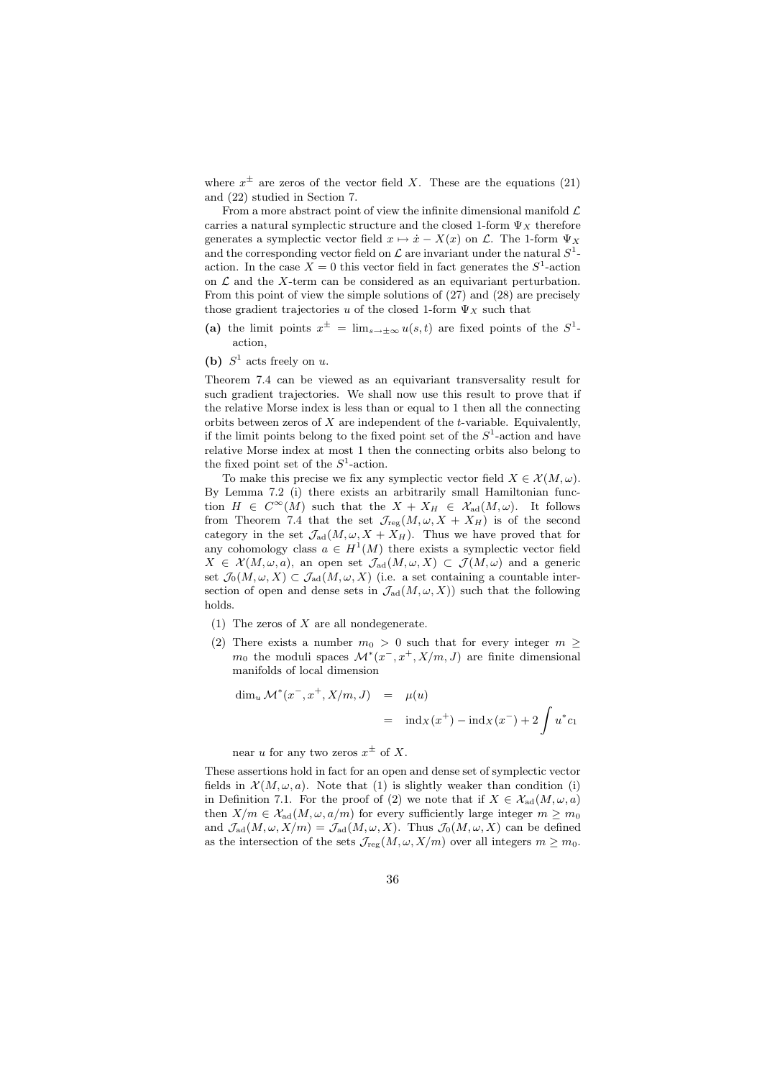where  $x^{\pm}$  are zeros of the vector field X. These are the equations (21) and (22) studied in Section 7.

From a more abstract point of view the infinite dimensional manifold  $\mathcal L$ carries a natural symplectic structure and the closed 1-form  $\Psi_X$  therefore generates a symplectic vector field  $x \mapsto \dot{x} - X(x)$  on  $\mathcal{L}$ . The 1-form  $\Psi_X$ and the corresponding vector field on  $\mathcal L$  are invariant under the natural  $S^1$ action. In the case  $X = 0$  this vector field in fact generates the  $S^1$ -action on  $\mathcal L$  and the X-term can be considered as an equivariant perturbation. From this point of view the simple solutions of (27) and (28) are precisely those gradient trajectories u of the closed 1-form  $\Psi_X$  such that

- (a) the limit points  $x^{\pm} = \lim_{s \to \pm \infty} u(s,t)$  are fixed points of the  $S^1$ action,
- (b)  $S^1$  acts freely on u.

Theorem 7.4 can be viewed as an equivariant transversality result for such gradient trajectories. We shall now use this result to prove that if the relative Morse index is less than or equal to 1 then all the connecting orbits between zeros of  $X$  are independent of the  $t$ -variable. Equivalently, if the limit points belong to the fixed point set of the  $S^1$ -action and have relative Morse index at most 1 then the connecting orbits also belong to the fixed point set of the  $S^1$ -action.

To make this precise we fix any symplectic vector field  $X \in \mathcal{X}(M, \omega)$ . By Lemma 7.2 (i) there exists an arbitrarily small Hamiltonian function  $H \in C^{\infty}(M)$  such that the  $X + X_H \in \mathcal{X}_{ad}(M,\omega)$ . It follows from Theorem 7.4 that the set  $\mathcal{J}_{reg}(M,\omega,X+X_H)$  is of the second category in the set  $\mathcal{J}_{ad}(M, \omega, X + X_H)$ . Thus we have proved that for any cohomology class  $a \in H^1(M)$  there exists a symplectic vector field  $X \in \mathcal{X}(M,\omega,a)$ , an open set  $\mathcal{J}_{ad}(M,\omega,X) \subset \mathcal{J}(M,\omega)$  and a generic set  $\mathcal{J}_0(M,\omega,X) \subset \mathcal{J}_{ad}(M,\omega,X)$  (i.e. a set containing a countable intersection of open and dense sets in  $\mathcal{J}_{ad}(M,\omega,X)$  such that the following holds.

(1) The zeros of  $X$  are all nondegenerate.

(2) There exists a number  $m_0 > 0$  such that for every integer  $m \geq$  $m_0$  the moduli spaces  $\mathcal{M}^*(x^-, x^+, X/m, J)$  are finite dimensional manifolds of local dimension

$$
\dim_u \mathcal{M}^*(x^-, x^+, X/m, J) = \mu(u)
$$
  
=  $\operatorname{ind}_X(x^+) - \operatorname{ind}_X(x^-) + 2 \int u^* c_1$ 

near u for any two zeros  $x^{\pm}$  of X.

These assertions hold in fact for an open and dense set of symplectic vector fields in  $\mathcal{X}(M,\omega,a)$ . Note that (1) is slightly weaker than condition (i) in Definition 7.1. For the proof of (2) we note that if  $X \in \mathcal{X}_{ad}(M,\omega,a)$ then  $X/m \in \mathcal{X}_{ad}(M, \omega, a/m)$  for every sufficiently large integer  $m \geq m_0$ and  $\mathcal{J}_{\text{ad}}(M,\omega,X/m) = \mathcal{J}_{\text{ad}}(M,\omega,X)$ . Thus  $\mathcal{J}_0(M,\omega,X)$  can be defined as the intersection of the sets  $\mathcal{J}_{reg}(M, \omega, X/m)$  over all integers  $m \geq m_0$ .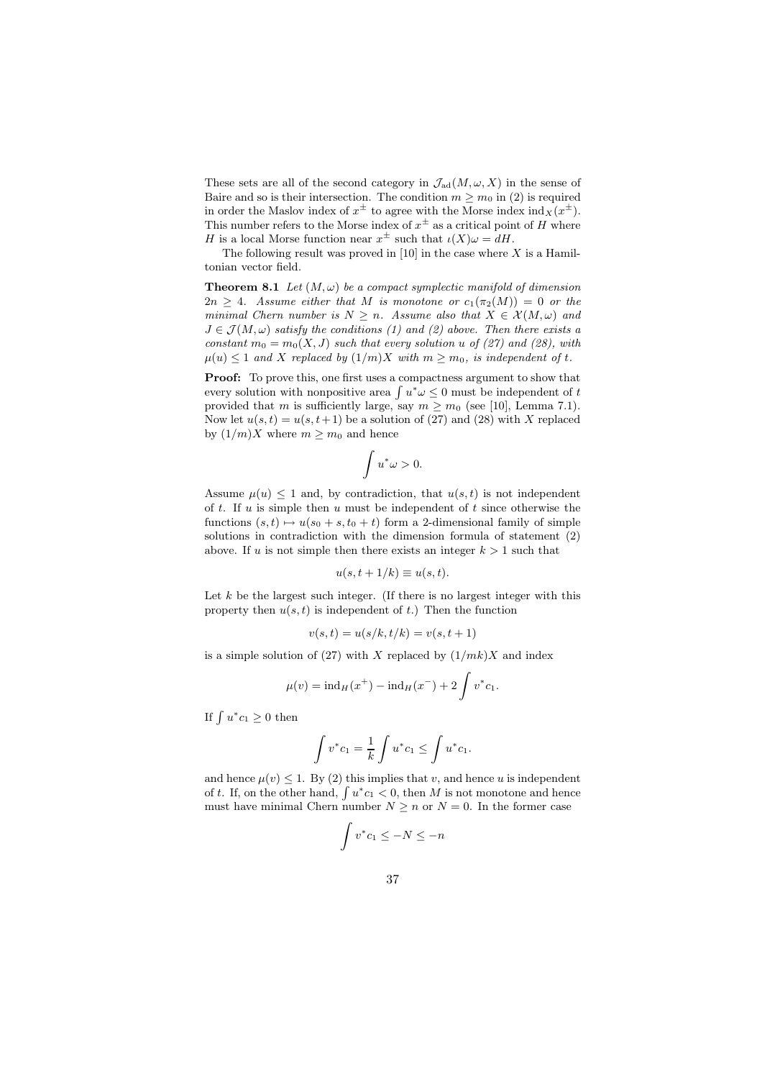These sets are all of the second category in  $\mathcal{J}_{ad}(M, \omega, X)$  in the sense of Baire and so is their intersection. The condition  $m \geq m_0$  in (2) is required in order the Maslov index of  $x^{\pm}$  to agree with the Morse index  $\text{ind}_X(x^{\pm})$ . This number refers to the Morse index of  $x^{\pm}$  as a critical point of H where H is a local Morse function near  $x^{\pm}$  such that  $\iota(X)\omega = dH$ .

The following result was proved in  $[10]$  in the case where X is a Hamiltonian vector field.

**Theorem 8.1** Let  $(M, \omega)$  be a compact symplectic manifold of dimension  $2n \geq 4$ . Assume either that M is monotone or  $c_1(\pi_2(M)) = 0$  or the minimal Chern number is  $N \geq n$ . Assume also that  $X \in \mathcal{X}(M, \omega)$  and  $J \in \mathcal{J}(M,\omega)$  satisfy the conditions (1) and (2) above. Then there exists a constant  $m_0 = m_0(X, J)$  such that every solution u of (27) and (28), with  $\mu(u) \leq 1$  and X replaced by  $(1/m)X$  with  $m \geq m_0$ , is independent of t.

Proof: To prove this, one first uses a compactness argument to show that every solution with nonpositive area  $\int u^*\omega \leq 0$  must be independent of t provided that m is sufficiently large, say  $m \geq m_0$  (see [10], Lemma 7.1). Now let  $u(s,t) = u(s,t+1)$  be a solution of (27) and (28) with X replaced by  $(1/m)X$  where  $m \geq m_0$  and hence

$$
\int u^*\omega > 0.
$$

Assume  $\mu(u) \leq 1$  and, by contradiction, that  $u(s,t)$  is not independent of  $t$ . If  $u$  is simple then  $u$  must be independent of  $t$  since otherwise the functions  $(s,t) \mapsto u(s_0 + s,t_0 + t)$  form a 2-dimensional family of simple solutions in contradiction with the dimension formula of statement (2) above. If u is not simple then there exists an integer  $k > 1$  such that

$$
u(s, t + 1/k) \equiv u(s, t).
$$

Let  $k$  be the largest such integer. (If there is no largest integer with this property then  $u(s,t)$  is independent of t.) Then the function

$$
v(s,t) = u(s/k, t/k) = v(s, t+1)
$$

is a simple solution of (27) with X replaced by  $(1/mk)X$  and index

$$
\mu(v) = \text{ind}_{H}(x^{+}) - \text{ind}_{H}(x^{-}) + 2 \int v^{*} c_{1}.
$$

If  $\int u^* c_1 \geq 0$  then

$$
\int v^* c_1 = \frac{1}{k} \int u^* c_1 \le \int u^* c_1.
$$

and hence  $\mu(v) \leq 1$ . By (2) this implies that v, and hence u is independent of t. If, on the other hand,  $\int u^* c_1 < 0$ , then M is not monotone and hence must have minimal Chern number  $N > n$  or  $N = 0$ . In the former case

$$
\int v^* c_1 \le -N \le -n
$$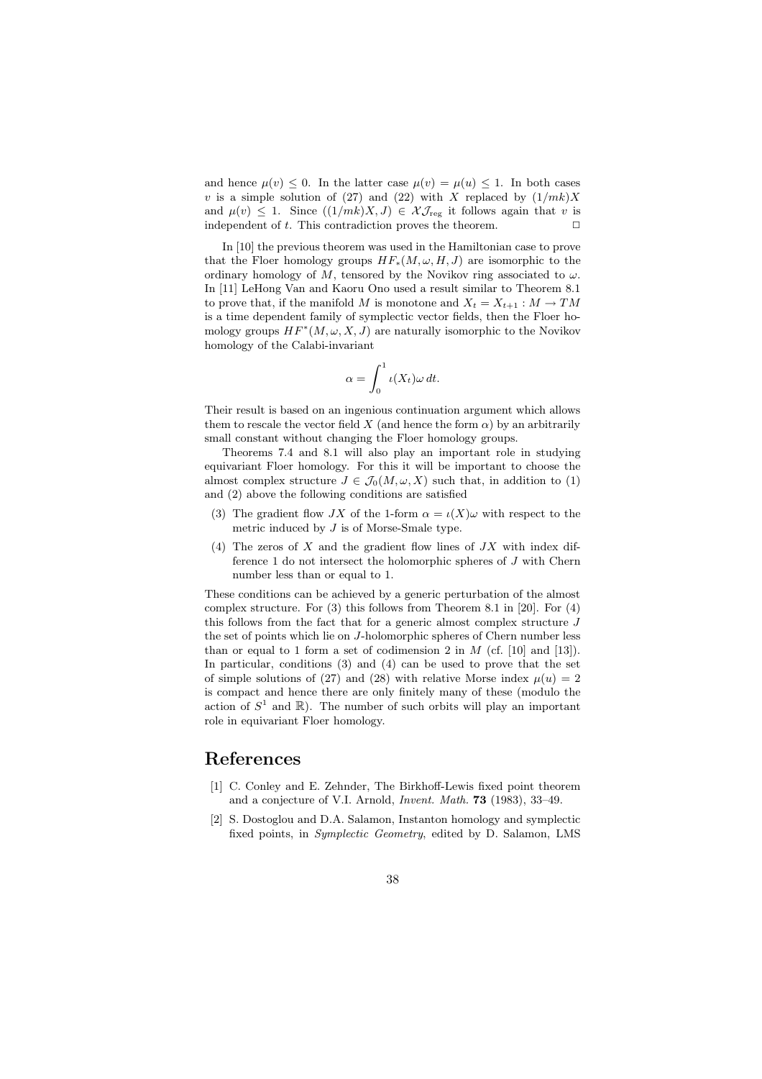and hence  $\mu(v) \leq 0$ . In the latter case  $\mu(v) = \mu(u) \leq 1$ . In both cases v is a simple solution of (27) and (22) with X replaced by  $(1/mk)X$ and  $\mu(v) \leq 1$ . Since  $((1/mk)X, J) \in \mathcal{X} \mathcal{J}_{reg}$  it follows again that v is independent of t. This contradiction proves the theorem.  $\Box$ 

In [10] the previous theorem was used in the Hamiltonian case to prove that the Floer homology groups  $HF_*(M, \omega, H, J)$  are isomorphic to the ordinary homology of M, tensored by the Novikov ring associated to  $\omega$ . In [11] LeHong Van and Kaoru Ono used a result similar to Theorem 8.1 to prove that, if the manifold M is monotone and  $X_t = X_{t+1} : M \to TM$ is a time dependent family of symplectic vector fields, then the Floer homology groups  $HF^*(M, \omega, X, J)$  are naturally isomorphic to the Novikov homology of the Calabi-invariant

$$
\alpha = \int_0^1 \iota(X_t) \omega \, dt.
$$

Their result is based on an ingenious continuation argument which allows them to rescale the vector field X (and hence the form  $\alpha$ ) by an arbitrarily small constant without changing the Floer homology groups.

Theorems 7.4 and 8.1 will also play an important role in studying equivariant Floer homology. For this it will be important to choose the almost complex structure  $J \in \mathcal{J}_0(M, \omega, X)$  such that, in addition to (1) and (2) above the following conditions are satisfied

- (3) The gradient flow JX of the 1-form  $\alpha = \iota(X)\omega$  with respect to the metric induced by J is of Morse-Smale type.
- (4) The zeros of  $X$  and the gradient flow lines of  $JX$  with index difference 1 do not intersect the holomorphic spheres of J with Chern number less than or equal to 1.

These conditions can be achieved by a generic perturbation of the almost complex structure. For (3) this follows from Theorem 8.1 in [20]. For (4) this follows from the fact that for a generic almost complex structure  $J$ the set of points which lie on J-holomorphic spheres of Chern number less than or equal to 1 form a set of codimension 2 in  $M$  (cf. [10] and [13]). In particular, conditions (3) and (4) can be used to prove that the set of simple solutions of (27) and (28) with relative Morse index  $\mu(u) = 2$ is compact and hence there are only finitely many of these (modulo the action of  $S^1$  and  $\mathbb{R}$ ). The number of such orbits will play an important role in equivariant Floer homology.

# References

- [1] C. Conley and E. Zehnder, The Birkhoff-Lewis fixed point theorem and a conjecture of V.I. Arnold, Invent. Math. 73 (1983), 33–49.
- [2] S. Dostoglou and D.A. Salamon, Instanton homology and symplectic fixed points, in Symplectic Geometry, edited by D. Salamon, LMS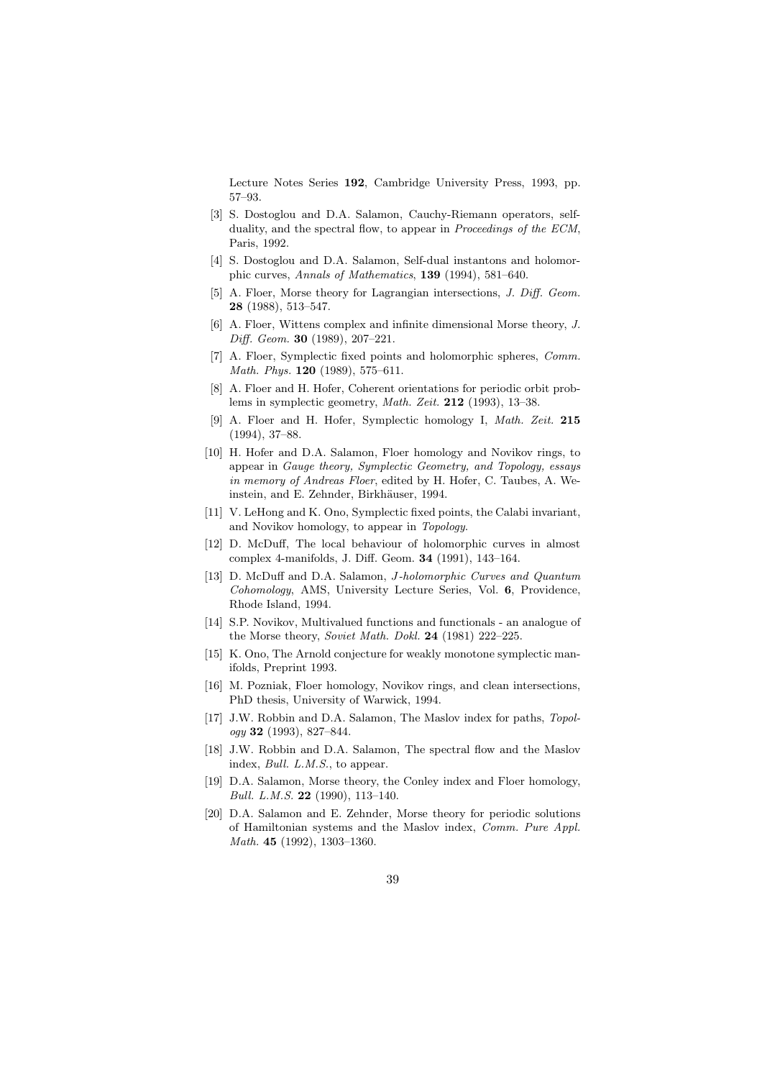Lecture Notes Series 192, Cambridge University Press, 1993, pp. 57–93.

- [3] S. Dostoglou and D.A. Salamon, Cauchy-Riemann operators, selfduality, and the spectral flow, to appear in Proceedings of the ECM, Paris, 1992.
- [4] S. Dostoglou and D.A. Salamon, Self-dual instantons and holomorphic curves, Annals of Mathematics, 139 (1994), 581–640.
- [5] A. Floer, Morse theory for Lagrangian intersections, J. Diff. Geom. 28 (1988), 513–547.
- [6] A. Floer, Wittens complex and infinite dimensional Morse theory, J. Diff. Geom. 30 (1989), 207–221.
- [7] A. Floer, Symplectic fixed points and holomorphic spheres, Comm. Math. Phys. 120 (1989), 575–611.
- [8] A. Floer and H. Hofer, Coherent orientations for periodic orbit problems in symplectic geometry, Math. Zeit. 212 (1993), 13–38.
- [9] A. Floer and H. Hofer, Symplectic homology I, Math. Zeit. 215 (1994), 37–88.
- [10] H. Hofer and D.A. Salamon, Floer homology and Novikov rings, to appear in Gauge theory, Symplectic Geometry, and Topology, essays in memory of Andreas Floer, edited by H. Hofer, C. Taubes, A. Weinstein, and E. Zehnder, Birkhäuser, 1994.
- [11] V. LeHong and K. Ono, Symplectic fixed points, the Calabi invariant, and Novikov homology, to appear in Topology.
- [12] D. McDuff, The local behaviour of holomorphic curves in almost complex 4-manifolds, J. Diff. Geom. 34 (1991), 143–164.
- [13] D. McDuff and D.A. Salamon, *J-holomorphic Curves and Quantum* Cohomology, AMS, University Lecture Series, Vol. 6, Providence, Rhode Island, 1994.
- [14] S.P. Novikov, Multivalued functions and functionals an analogue of the Morse theory, Soviet Math. Dokl. 24 (1981) 222–225.
- [15] K. Ono, The Arnold conjecture for weakly monotone symplectic manifolds, Preprint 1993.
- [16] M. Pozniak, Floer homology, Novikov rings, and clean intersections, PhD thesis, University of Warwick, 1994.
- [17] J.W. Robbin and D.A. Salamon, The Maslov index for paths, Topol $ogy 32 (1993), 827-844.$
- [18] J.W. Robbin and D.A. Salamon, The spectral flow and the Maslov index, Bull. L.M.S., to appear.
- [19] D.A. Salamon, Morse theory, the Conley index and Floer homology, Bull. L.M.S. 22 (1990), 113–140.
- [20] D.A. Salamon and E. Zehnder, Morse theory for periodic solutions of Hamiltonian systems and the Maslov index, Comm. Pure Appl. Math. 45 (1992), 1303–1360.